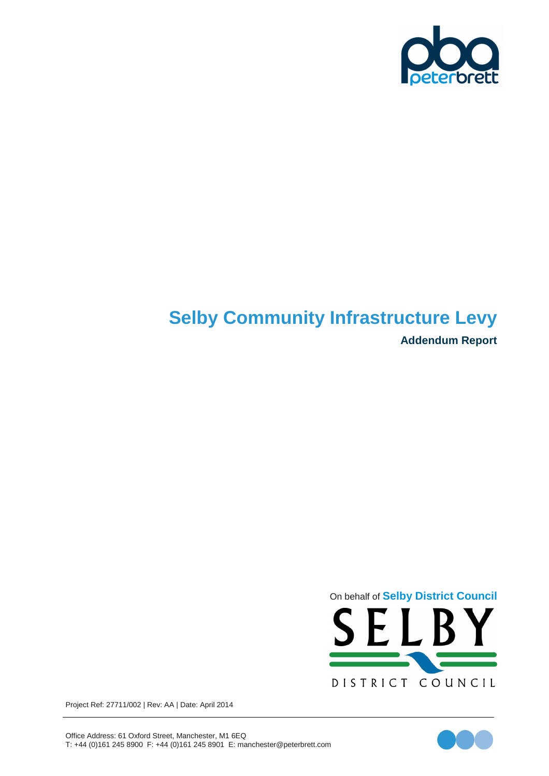

## **Selby Community Infrastructure Levy Addendum Report**



Project Ref: 27711/002 | Rev: AA | Date: April 2014

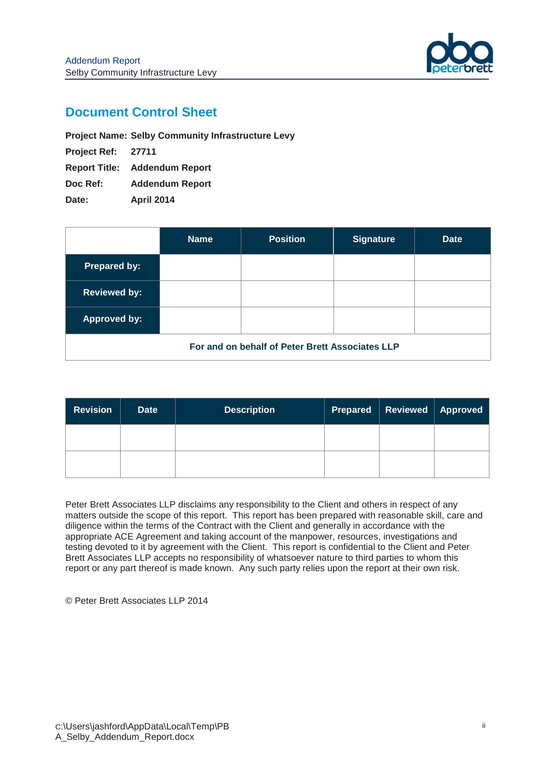

### **Document Control Sheet**

**Project Name: Selby Community Infrastructure Levy** 

**Project Ref: 27711** 

**Report Title: Addendum Report** 

**Doc Ref: Addendum Report** 

**Date: April 2014** 

|                                                 | <b>Name</b> | <b>Position</b> | <b>Signature</b> | <b>Date</b> |  |  |
|-------------------------------------------------|-------------|-----------------|------------------|-------------|--|--|
| <b>Prepared by:</b>                             |             |                 |                  |             |  |  |
| <b>Reviewed by:</b>                             |             |                 |                  |             |  |  |
| <b>Approved by:</b>                             |             |                 |                  |             |  |  |
| For and on behalf of Peter Brett Associates LLP |             |                 |                  |             |  |  |

| <b>Revision</b> | <b>Date</b> | <b>Description</b> | Prepared   Reviewed   Approved |  |
|-----------------|-------------|--------------------|--------------------------------|--|
|                 |             |                    |                                |  |
|                 |             |                    |                                |  |

Peter Brett Associates LLP disclaims any responsibility to the Client and others in respect of any matters outside the scope of this report. This report has been prepared with reasonable skill, care and diligence within the terms of the Contract with the Client and generally in accordance with the appropriate ACE Agreement and taking account of the manpower, resources, investigations and testing devoted to it by agreement with the Client. This report is confidential to the Client and Peter Brett Associates LLP accepts no responsibility of whatsoever nature to third parties to whom this report or any part thereof is made known. Any such party relies upon the report at their own risk.

© Peter Brett Associates LLP 2014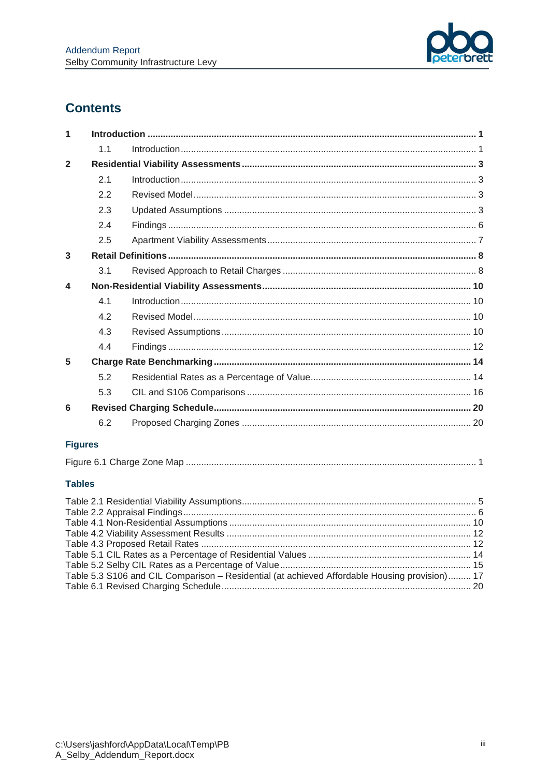

### **Contents**

| 1                       |     |  |
|-------------------------|-----|--|
|                         | 1.1 |  |
| $\overline{2}$          |     |  |
|                         | 2.1 |  |
|                         | 2.2 |  |
|                         | 2.3 |  |
|                         | 2.4 |  |
|                         | 2.5 |  |
| 3                       |     |  |
|                         | 3.1 |  |
| $\overline{\mathbf{A}}$ |     |  |
|                         | 4.1 |  |
|                         | 4.2 |  |
|                         | 4.3 |  |
|                         | 4.4 |  |
| 5                       |     |  |
|                         | 5.2 |  |
|                         | 5.3 |  |
| 6                       |     |  |
|                         | 6.2 |  |
| <b>Figures</b>          |     |  |

### 

#### **Tables**

| Table 5.3 S106 and CIL Comparison - Residential (at achieved Affordable Housing provision) 17 |  |
|-----------------------------------------------------------------------------------------------|--|
|                                                                                               |  |
|                                                                                               |  |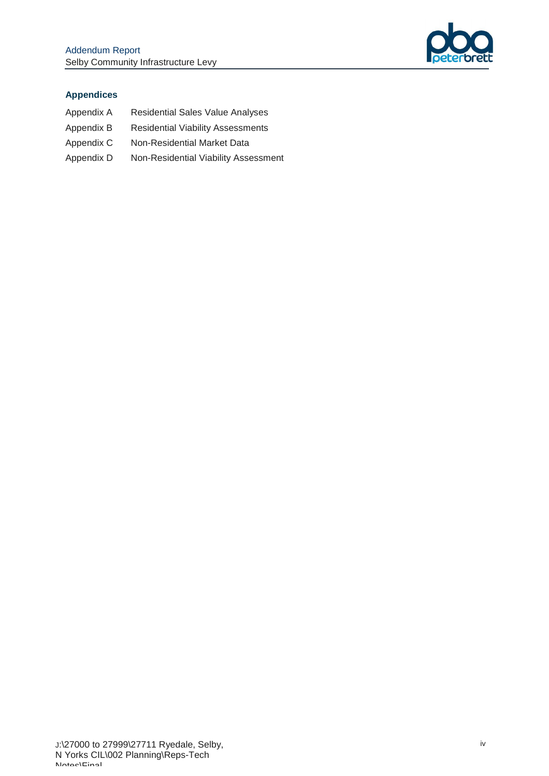

#### **Appendices**

- Appendix A Residential Sales Value Analyses Appendix B Residential Viability Assessments Appendix C Non-Residential Market Data
- Appendix D Non-Residential Viability Assessment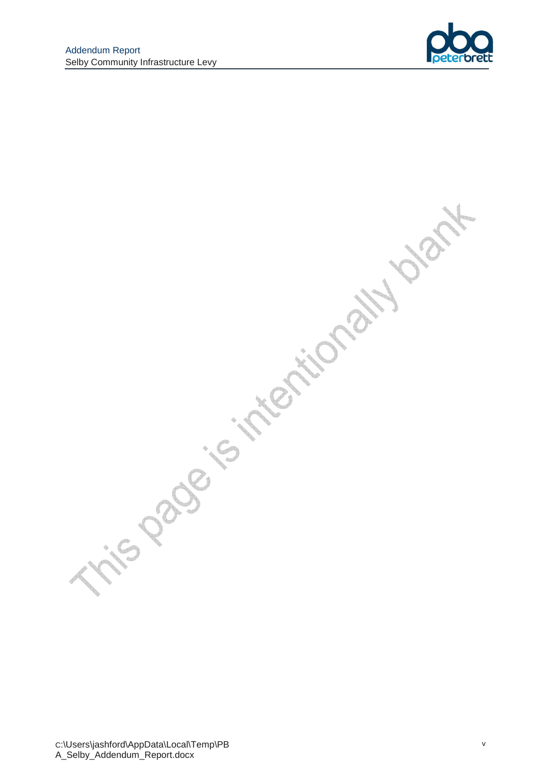

This gage is intertionally joint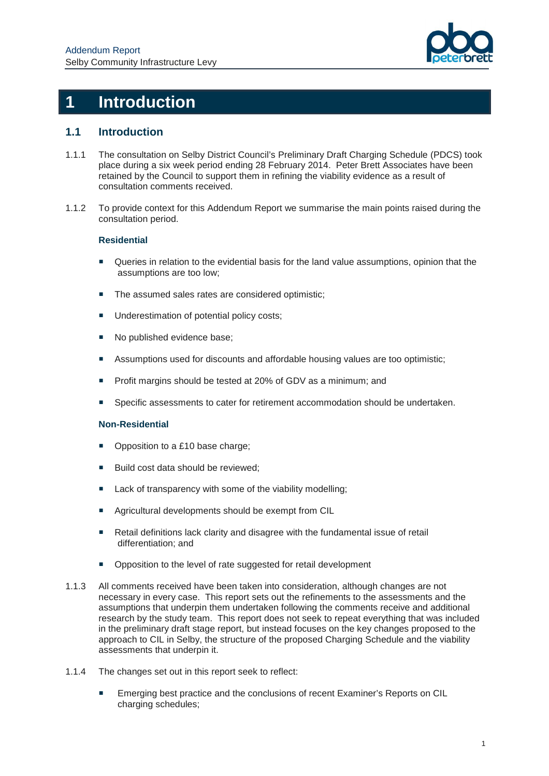

## **1 Introduction**

#### **1.1 Introduction**

- 1.1.1 The consultation on Selby District Council's Preliminary Draft Charging Schedule (PDCS) took place during a six week period ending 28 February 2014. Peter Brett Associates have been retained by the Council to support them in refining the viability evidence as a result of consultation comments received.
- 1.1.2 To provide context for this Addendum Report we summarise the main points raised during the consultation period.

#### **Residential**

- Queries in relation to the evidential basis for the land value assumptions, opinion that the assumptions are too low;
- The assumed sales rates are considered optimistic;
- **Underestimation of potential policy costs;**
- No published evidence base;
- Assumptions used for discounts and affordable housing values are too optimistic;
- **Profit margins should be tested at 20% of GDV as a minimum; and**
- Specific assessments to cater for retirement accommodation should be undertaken.

#### **Non-Residential**

- Opposition to a £10 base charge;
- Build cost data should be reviewed;
- Lack of transparency with some of the viability modelling;
- Agricultural developments should be exempt from CIL
- Retail definitions lack clarity and disagree with the fundamental issue of retail differentiation; and
- **P** Opposition to the level of rate suggested for retail development
- 1.1.3 All comments received have been taken into consideration, although changes are not necessary in every case. This report sets out the refinements to the assessments and the assumptions that underpin them undertaken following the comments receive and additional research by the study team. This report does not seek to repeat everything that was included in the preliminary draft stage report, but instead focuses on the key changes proposed to the approach to CIL in Selby, the structure of the proposed Charging Schedule and the viability assessments that underpin it.
- 1.1.4 The changes set out in this report seek to reflect:
	- Emerging best practice and the conclusions of recent Examiner's Reports on CIL charging schedules;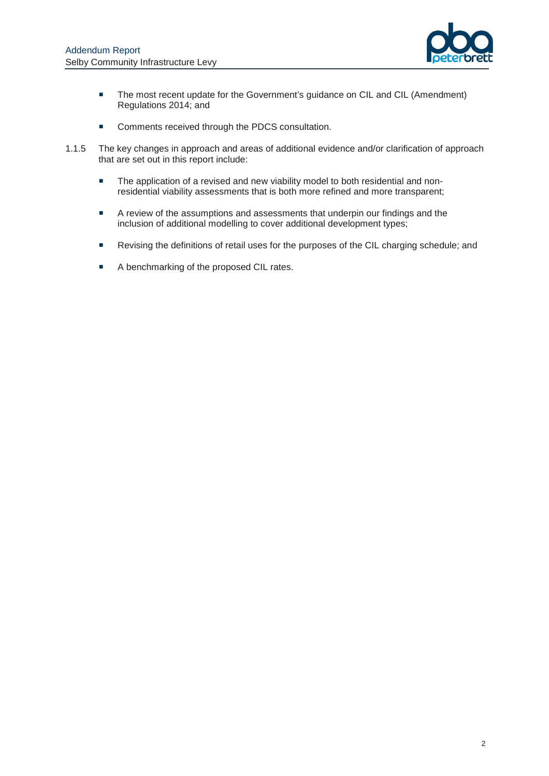

- The most recent update for the Government's guidance on CIL and CIL (Amendment) Regulations 2014; and
- Comments received through the PDCS consultation.
- 1.1.5 The key changes in approach and areas of additional evidence and/or clarification of approach that are set out in this report include:
	- **The application of a revised and new viability model to both residential and non**residential viability assessments that is both more refined and more transparent;
	- A review of the assumptions and assessments that underpin our findings and the inclusion of additional modelling to cover additional development types;
	- **Revising the definitions of retail uses for the purposes of the CIL charging schedule; and**
	- A benchmarking of the proposed CIL rates.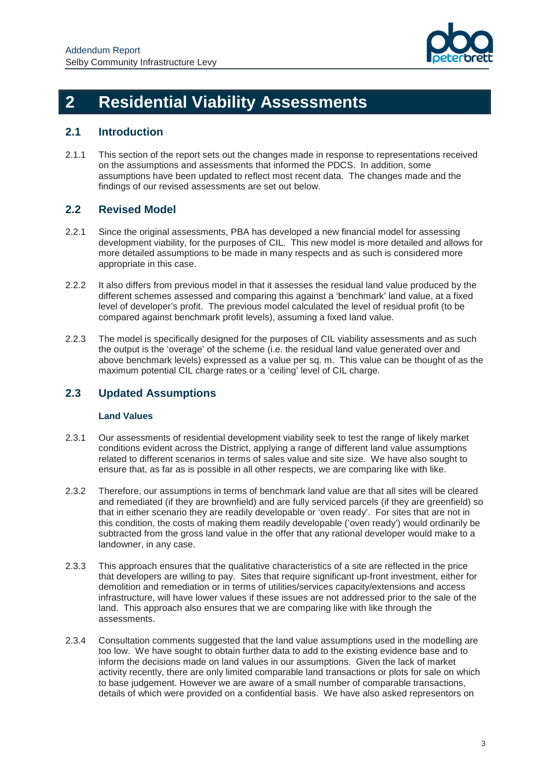

## **2 Residential Viability Assessments**

#### **2.1 Introduction**

2.1.1 This section of the report sets out the changes made in response to representations received on the assumptions and assessments that informed the PDCS. In addition, some assumptions have been updated to reflect most recent data. The changes made and the findings of our revised assessments are set out below.

#### **2.2 Revised Model**

- 2.2.1 Since the original assessments, PBA has developed a new financial model for assessing development viability, for the purposes of CIL. This new model is more detailed and allows for more detailed assumptions to be made in many respects and as such is considered more appropriate in this case.
- 2.2.2 It also differs from previous model in that it assesses the residual land value produced by the different schemes assessed and comparing this against a 'benchmark' land value, at a fixed level of developer's profit. The previous model calculated the level of residual profit (to be compared against benchmark profit levels), assuming a fixed land value.
- 2.2.3 The model is specifically designed for the purposes of CIL viability assessments and as such the output is the 'overage' of the scheme (i.e. the residual land value generated over and above benchmark levels) expressed as a value per sq. m. This value can be thought of as the maximum potential CIL charge rates or a 'ceiling' level of CIL charge.

#### **2.3 Updated Assumptions**

#### **Land Values**

- 2.3.1 Our assessments of residential development viability seek to test the range of likely market conditions evident across the District, applying a range of different land value assumptions related to different scenarios in terms of sales value and site size. We have also sought to ensure that, as far as is possible in all other respects, we are comparing like with like.
- 2.3.2 Therefore, our assumptions in terms of benchmark land value are that all sites will be cleared and remediated (if they are brownfield) and are fully serviced parcels (if they are greenfield) so that in either scenario they are readily developable or 'oven ready'. For sites that are not in this condition, the costs of making them readily developable ('oven ready') would ordinarily be subtracted from the gross land value in the offer that any rational developer would make to a landowner, in any case.
- 2.3.3 This approach ensures that the qualitative characteristics of a site are reflected in the price that developers are willing to pay. Sites that require significant up-front investment, either for demolition and remediation or in terms of utilities/services capacity/extensions and access infrastructure, will have lower values if these issues are not addressed prior to the sale of the land. This approach also ensures that we are comparing like with like through the assessments.
- 2.3.4 Consultation comments suggested that the land value assumptions used in the modelling are too low. We have sought to obtain further data to add to the existing evidence base and to inform the decisions made on land values in our assumptions. Given the lack of market activity recently, there are only limited comparable land transactions or plots for sale on which to base judgement. However we are aware of a small number of comparable transactions, details of which were provided on a confidential basis. We have also asked representors on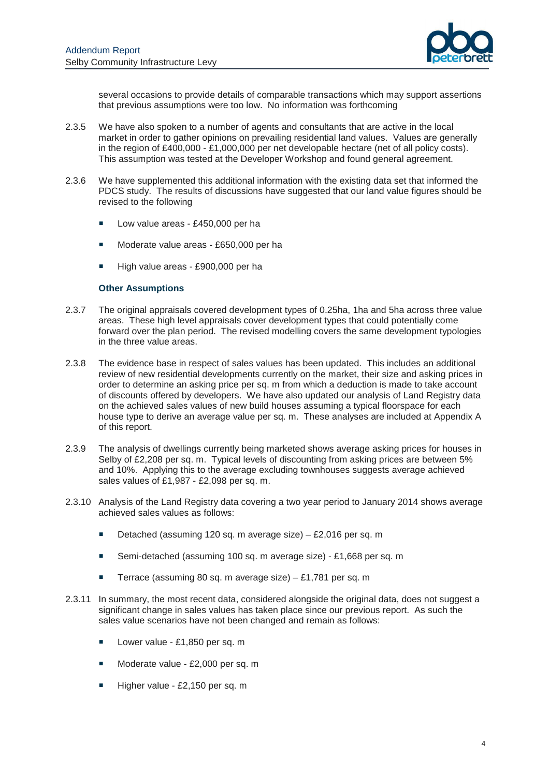

several occasions to provide details of comparable transactions which may support assertions that previous assumptions were too low. No information was forthcoming

- 2.3.5 We have also spoken to a number of agents and consultants that are active in the local market in order to gather opinions on prevailing residential land values. Values are generally in the region of £400,000 - £1,000,000 per net developable hectare (net of all policy costs). This assumption was tested at the Developer Workshop and found general agreement.
- 2.3.6 We have supplemented this additional information with the existing data set that informed the PDCS study. The results of discussions have suggested that our land value figures should be revised to the following
	- Low value areas £450,000 per ha
	- Moderate value areas £650,000 per ha
	- High value areas £900,000 per ha

#### **Other Assumptions**

- 2.3.7 The original appraisals covered development types of 0.25ha, 1ha and 5ha across three value areas. These high level appraisals cover development types that could potentially come forward over the plan period. The revised modelling covers the same development typologies in the three value areas.
- 2.3.8 The evidence base in respect of sales values has been updated. This includes an additional review of new residential developments currently on the market, their size and asking prices in order to determine an asking price per sq. m from which a deduction is made to take account of discounts offered by developers. We have also updated our analysis of Land Registry data on the achieved sales values of new build houses assuming a typical floorspace for each house type to derive an average value per sq. m. These analyses are included at Appendix A of this report.
- 2.3.9 The analysis of dwellings currently being marketed shows average asking prices for houses in Selby of £2,208 per sq. m. Typical levels of discounting from asking prices are between 5% and 10%. Applying this to the average excluding townhouses suggests average achieved sales values of £1,987 - £2,098 per sq. m.
- 2.3.10 Analysis of the Land Registry data covering a two year period to January 2014 shows average achieved sales values as follows:
	- Detached (assuming 120 sq. m average size) £2,016 per sq. m
	- Semi-detached (assuming 100 sq. m average size) £1,668 per sq. m
	- Terrace (assuming 80 sq. m average size)  $-$  £1,781 per sq. m
- 2.3.11 In summary, the most recent data, considered alongside the original data, does not suggest a significant change in sales values has taken place since our previous report. As such the sales value scenarios have not been changed and remain as follows:
	- **Lower value £1,850 per sq. m**
	- Moderate value £2,000 per sq. m
	- Higher value £2,150 per sq. m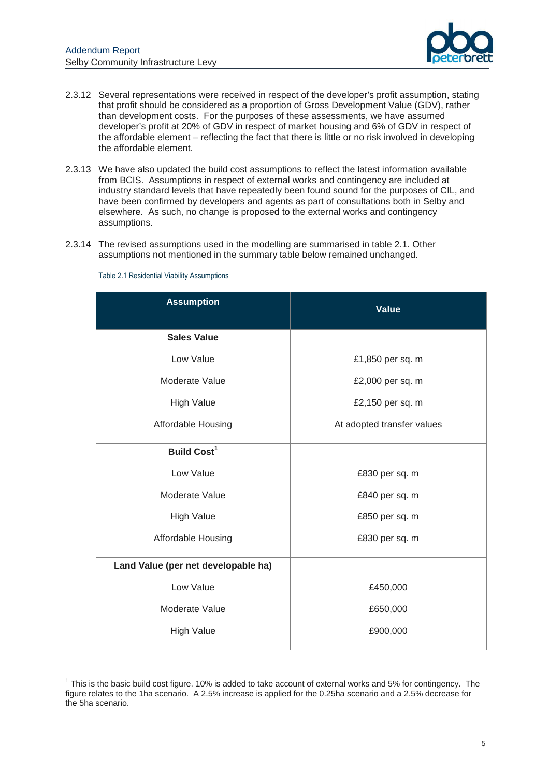

- 2.3.12 Several representations were received in respect of the developer's profit assumption, stating that profit should be considered as a proportion of Gross Development Value (GDV), rather than development costs. For the purposes of these assessments, we have assumed developer's profit at 20% of GDV in respect of market housing and 6% of GDV in respect of the affordable element – reflecting the fact that there is little or no risk involved in developing the affordable element.
- 2.3.13 We have also updated the build cost assumptions to reflect the latest information available from BCIS. Assumptions in respect of external works and contingency are included at industry standard levels that have repeatedly been found sound for the purposes of CIL, and have been confirmed by developers and agents as part of consultations both in Selby and elsewhere. As such, no change is proposed to the external works and contingency assumptions.
- 2.3.14 The revised assumptions used in the modelling are summarised in table 2.1. Other assumptions not mentioned in the summary table below remained unchanged.

| <b>Assumption</b>                   | <b>Value</b>               |  |  |
|-------------------------------------|----------------------------|--|--|
| <b>Sales Value</b>                  |                            |  |  |
| Low Value                           | £1,850 per sq. m           |  |  |
| Moderate Value                      | £2,000 per sq. m           |  |  |
| <b>High Value</b>                   | £2,150 per sq. m           |  |  |
| Affordable Housing                  | At adopted transfer values |  |  |
| <b>Build Cost<sup>1</sup></b>       |                            |  |  |
| Low Value                           | £830 per sq. m             |  |  |
| Moderate Value                      | £840 per sq. m             |  |  |
| <b>High Value</b>                   | £850 per sq. m             |  |  |
| Affordable Housing                  | £830 per sq. m             |  |  |
| Land Value (per net developable ha) |                            |  |  |
| Low Value                           | £450,000                   |  |  |
| Moderate Value                      | £650,000                   |  |  |
| <b>High Value</b>                   | £900,000                   |  |  |

Table 2.1 Residential Viability Assumptions

l

 $1$  This is the basic build cost figure. 10% is added to take account of external works and 5% for contingency. The figure relates to the 1ha scenario. A 2.5% increase is applied for the 0.25ha scenario and a 2.5% decrease for the 5ha scenario.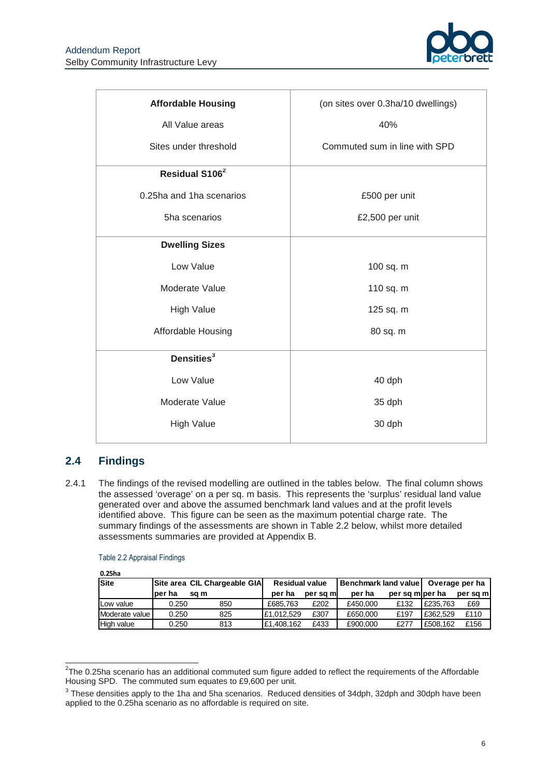

| <b>Affordable Housing</b>  | (on sites over 0.3ha/10 dwellings) |  |  |
|----------------------------|------------------------------------|--|--|
| All Value areas            | 40%                                |  |  |
| Sites under threshold      | Commuted sum in line with SPD      |  |  |
| Residual S106 <sup>2</sup> |                                    |  |  |
| 0.25ha and 1ha scenarios   | £500 per unit                      |  |  |
| 5ha scenarios              | £2,500 per unit                    |  |  |
| <b>Dwelling Sizes</b>      |                                    |  |  |
| Low Value                  | 100 sq. m                          |  |  |
| Moderate Value             | 110 sq. m                          |  |  |
| <b>High Value</b>          | 125 sq. m                          |  |  |
| Affordable Housing         | 80 sq. m                           |  |  |
| Densities <sup>3</sup>     |                                    |  |  |
| Low Value                  | 40 dph                             |  |  |
| Moderate Value             | 35 dph                             |  |  |
| <b>High Value</b>          | 30 dph                             |  |  |

### **2.4 Findings**

2.4.1 The findings of the revised modelling are outlined in the tables below. The final column shows the assessed 'overage' on a per sq. m basis. This represents the 'surplus' residual land value generated over and above the assumed benchmark land values and at the profit levels identified above. This figure can be seen as the maximum potential charge rate. The summary findings of the assessments are shown in Table 2.2 below, whilst more detailed assessments summaries are provided at Appendix B.

| 0.25ha            |                              |      |                       |          |                      |                 |                |          |
|-------------------|------------------------------|------|-----------------------|----------|----------------------|-----------------|----------------|----------|
| <b>Site</b>       | Site area CIL Chargeable GIA |      | <b>Residual value</b> |          | Benchmark land value |                 | Overage per ha |          |
|                   | lper ha                      | sa m | per ha                | per sa m | per ha               | per sa miper ha |                | per sa m |
| <b>ILow value</b> | 0.250                        | 850  | £685,763              | £202     | £450,000             | £132            | £235.763       | £69      |
| Moderate value    | 0.250                        | 825  | £1.012.529            | £307     | £650,000             | £197            | £362.529       | £110     |
| High value        | 0.250                        | 813  | £1.408.162            | £433     | £900,000             | £277            | £508.162       | £156     |

 2 The 0.25ha scenario has an additional commuted sum figure added to reflect the requirements of the Affordable Housing SPD. The commuted sum equates to £9,600 per unit.

 $^3$  These densities apply to the 1ha and 5ha scenarios. Reduced densities of 34dph, 32dph and 30dph have been applied to the 0.25ha scenario as no affordable is required on site.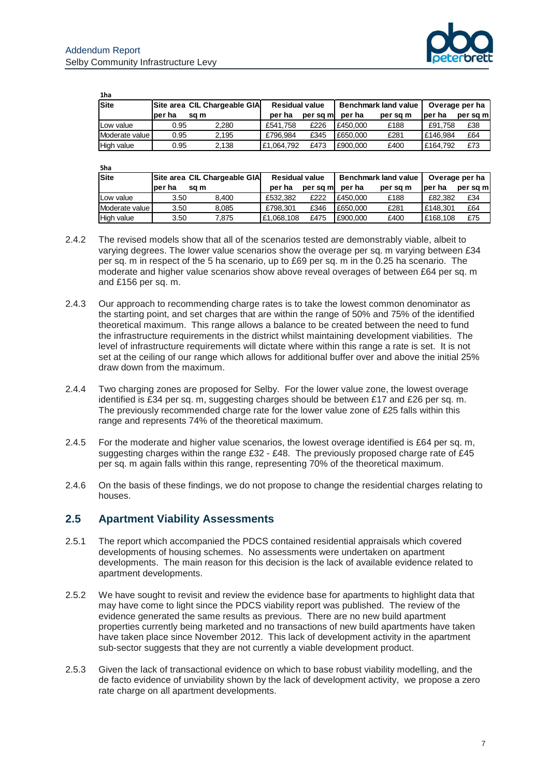

| 1ha            |                              |       |                       |           |                      |         |                |          |
|----------------|------------------------------|-------|-----------------------|-----------|----------------------|---------|----------------|----------|
| <b>Site</b>    | Site area CIL Chargeable GIA |       | <b>Residual value</b> |           | Benchmark land value |         | Overage per ha |          |
|                | lper ha                      | sa m  | per ha                | per sa mi | per ha               | per sam | lper ha        | per sa m |
| Low value      | 0.95                         | 2,280 | £541.758              | £226      | £450,000             | £188    | £91.758        | £38      |
| Moderate value | 0.95                         | 2.195 | £796.984              | £345      | £650,000             | £281    | £146.984       | £64      |
| High value     | 0.95                         | 2.138 | £1.064.792            | £473      | £900,000             | £400    | £164.792       | £73      |

**5ha**

| <b>Site</b>    | Site area CIL Chargeable GIA |       | <b>Residual value</b> |          | Benchmark land value |          | Overage per ha |          |
|----------------|------------------------------|-------|-----------------------|----------|----------------------|----------|----------------|----------|
|                | <b>ber</b> ha                | sa m  | per ha                | per sa m | per ha               | per sa m | lper ha        | per sa m |
| Low value      | 3.50                         | 8.400 | £532.382              | £222     | £450.000             | £188     | £82.382        | £34      |
| Moderate value | 3.50                         | 8.085 | £798.301              | £346     | £650,000             | £281     | £148.301       | £64      |
| High value     | 3.50                         | 7.875 | £1.068.108            | £475     | £900,000             | £400     | £168.108       | £75      |

- 2.4.2 The revised models show that all of the scenarios tested are demonstrably viable, albeit to varying degrees. The lower value scenarios show the overage per sq. m varying between £34 per sq. m in respect of the 5 ha scenario, up to £69 per sq. m in the 0.25 ha scenario. The moderate and higher value scenarios show above reveal overages of between £64 per sq. m and £156 per sq. m.
- 2.4.3 Our approach to recommending charge rates is to take the lowest common denominator as the starting point, and set charges that are within the range of 50% and 75% of the identified theoretical maximum. This range allows a balance to be created between the need to fund the infrastructure requirements in the district whilst maintaining development viabilities. The level of infrastructure requirements will dictate where within this range a rate is set. It is not set at the ceiling of our range which allows for additional buffer over and above the initial 25% draw down from the maximum.
- 2.4.4 Two charging zones are proposed for Selby. For the lower value zone, the lowest overage identified is £34 per sq. m, suggesting charges should be between £17 and £26 per sq. m. The previously recommended charge rate for the lower value zone of £25 falls within this range and represents 74% of the theoretical maximum.
- 2.4.5 For the moderate and higher value scenarios, the lowest overage identified is £64 per sq. m, suggesting charges within the range  $£32 - £48$ . The previously proposed charge rate of £45 per sq. m again falls within this range, representing 70% of the theoretical maximum.
- 2.4.6 On the basis of these findings, we do not propose to change the residential charges relating to houses.

#### **2.5 Apartment Viability Assessments**

- 2.5.1 The report which accompanied the PDCS contained residential appraisals which covered developments of housing schemes. No assessments were undertaken on apartment developments. The main reason for this decision is the lack of available evidence related to apartment developments.
- 2.5.2 We have sought to revisit and review the evidence base for apartments to highlight data that may have come to light since the PDCS viability report was published. The review of the evidence generated the same results as previous. There are no new build apartment properties currently being marketed and no transactions of new build apartments have taken have taken place since November 2012. This lack of development activity in the apartment sub-sector suggests that they are not currently a viable development product.
- 2.5.3 Given the lack of transactional evidence on which to base robust viability modelling, and the de facto evidence of unviability shown by the lack of development activity, we propose a zero rate charge on all apartment developments.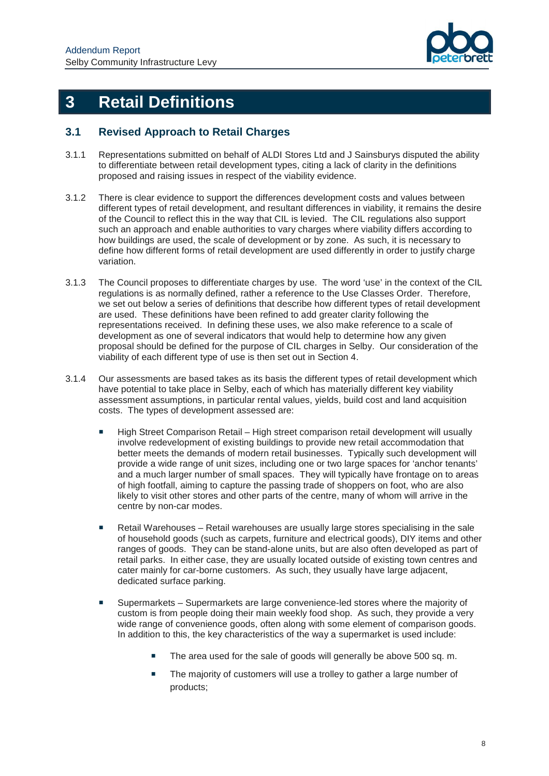

## **3 Retail Definitions**

#### **3.1 Revised Approach to Retail Charges**

- 3.1.1 Representations submitted on behalf of ALDI Stores Ltd and J Sainsburys disputed the ability to differentiate between retail development types, citing a lack of clarity in the definitions proposed and raising issues in respect of the viability evidence.
- 3.1.2 There is clear evidence to support the differences development costs and values between different types of retail development, and resultant differences in viability, it remains the desire of the Council to reflect this in the way that CIL is levied. The CIL regulations also support such an approach and enable authorities to vary charges where viability differs according to how buildings are used, the scale of development or by zone. As such, it is necessary to define how different forms of retail development are used differently in order to justify charge variation.
- 3.1.3 The Council proposes to differentiate charges by use. The word 'use' in the context of the CIL regulations is as normally defined, rather a reference to the Use Classes Order. Therefore, we set out below a series of definitions that describe how different types of retail development are used. These definitions have been refined to add greater clarity following the representations received. In defining these uses, we also make reference to a scale of development as one of several indicators that would help to determine how any given proposal should be defined for the purpose of CIL charges in Selby. Our consideration of the viability of each different type of use is then set out in Section 4.
- 3.1.4 Our assessments are based takes as its basis the different types of retail development which have potential to take place in Selby, each of which has materially different key viability assessment assumptions, in particular rental values, yields, build cost and land acquisition costs. The types of development assessed are:
	- High Street Comparison Retail High street comparison retail development will usually involve redevelopment of existing buildings to provide new retail accommodation that better meets the demands of modern retail businesses. Typically such development will provide a wide range of unit sizes, including one or two large spaces for 'anchor tenants' and a much larger number of small spaces. They will typically have frontage on to areas of high footfall, aiming to capture the passing trade of shoppers on foot, who are also likely to visit other stores and other parts of the centre, many of whom will arrive in the centre by non-car modes.
	- Retail Warehouses Retail warehouses are usually large stores specialising in the sale of household goods (such as carpets, furniture and electrical goods), DIY items and other ranges of goods. They can be stand-alone units, but are also often developed as part of retail parks. In either case, they are usually located outside of existing town centres and cater mainly for car-borne customers. As such, they usually have large adjacent, dedicated surface parking.
	- Supermarkets Supermarkets are large convenience-led stores where the majority of custom is from people doing their main weekly food shop. As such, they provide a very wide range of convenience goods, often along with some element of comparison goods. In addition to this, the key characteristics of the way a supermarket is used include:
		- The area used for the sale of goods will generally be above 500 sq. m.
		- The majority of customers will use a trolley to gather a large number of products;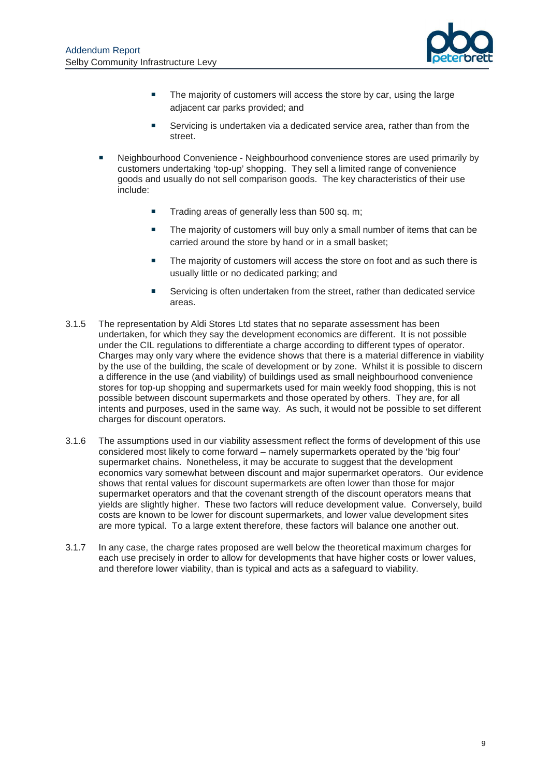

- The majority of customers will access the store by car, using the large adjacent car parks provided; and
- Servicing is undertaken via a dedicated service area, rather than from the street.
- Neighbourhood Convenience Neighbourhood convenience stores are used primarily by customers undertaking 'top-up' shopping. They sell a limited range of convenience goods and usually do not sell comparison goods. The key characteristics of their use include:
	- Trading areas of generally less than 500 sq. m;
	- The majority of customers will buy only a small number of items that can be carried around the store by hand or in a small basket;
	- The majority of customers will access the store on foot and as such there is usually little or no dedicated parking; and
	- Servicing is often undertaken from the street, rather than dedicated service areas.
- 3.1.5 The representation by Aldi Stores Ltd states that no separate assessment has been undertaken, for which they say the development economics are different. It is not possible under the CIL regulations to differentiate a charge according to different types of operator. Charges may only vary where the evidence shows that there is a material difference in viability by the use of the building, the scale of development or by zone. Whilst it is possible to discern a difference in the use (and viability) of buildings used as small neighbourhood convenience stores for top-up shopping and supermarkets used for main weekly food shopping, this is not possible between discount supermarkets and those operated by others. They are, for all intents and purposes, used in the same way. As such, it would not be possible to set different charges for discount operators.
- 3.1.6 The assumptions used in our viability assessment reflect the forms of development of this use considered most likely to come forward – namely supermarkets operated by the 'big four' supermarket chains. Nonetheless, it may be accurate to suggest that the development economics vary somewhat between discount and major supermarket operators. Our evidence shows that rental values for discount supermarkets are often lower than those for major supermarket operators and that the covenant strength of the discount operators means that yields are slightly higher. These two factors will reduce development value. Conversely, build costs are known to be lower for discount supermarkets, and lower value development sites are more typical. To a large extent therefore, these factors will balance one another out.
- 3.1.7 In any case, the charge rates proposed are well below the theoretical maximum charges for each use precisely in order to allow for developments that have higher costs or lower values, and therefore lower viability, than is typical and acts as a safeguard to viability.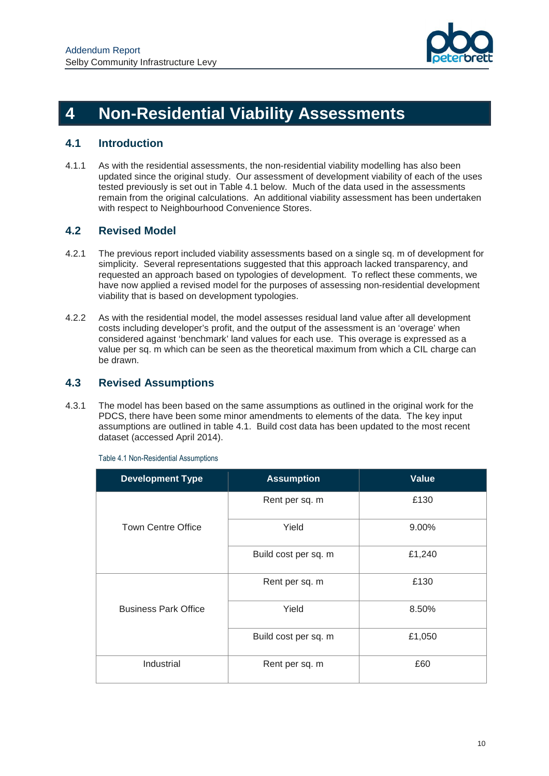

## **4 Non-Residential Viability Assessments**

#### **4.1 Introduction**

4.1.1 As with the residential assessments, the non-residential viability modelling has also been updated since the original study. Our assessment of development viability of each of the uses tested previously is set out in Table 4.1 below. Much of the data used in the assessments remain from the original calculations. An additional viability assessment has been undertaken with respect to Neighbourhood Convenience Stores.

#### **4.2 Revised Model**

- 4.2.1 The previous report included viability assessments based on a single sq. m of development for simplicity. Several representations suggested that this approach lacked transparency, and requested an approach based on typologies of development. To reflect these comments, we have now applied a revised model for the purposes of assessing non-residential development viability that is based on development typologies.
- 4.2.2 As with the residential model, the model assesses residual land value after all development costs including developer's profit, and the output of the assessment is an 'overage' when considered against 'benchmark' land values for each use. This overage is expressed as a value per sq. m which can be seen as the theoretical maximum from which a CIL charge can be drawn.

#### **4.3 Revised Assumptions**

4.3.1 The model has been based on the same assumptions as outlined in the original work for the PDCS, there have been some minor amendments to elements of the data. The key input assumptions are outlined in table 4.1. Build cost data has been updated to the most recent dataset (accessed April 2014).

| <b>Development Type</b>     | <b>Assumption</b>    | <b>Value</b> |
|-----------------------------|----------------------|--------------|
|                             | Rent per sq. m       | £130         |
| <b>Town Centre Office</b>   | Yield                | 9.00%        |
|                             | Build cost per sq. m | £1,240       |
|                             | Rent per sq. m       | £130         |
| <b>Business Park Office</b> | Yield                | 8.50%        |
|                             | Build cost per sq. m | £1,050       |
| Industrial                  | Rent per sq. m       | £60          |

Table 4.1 Non-Residential Assumptions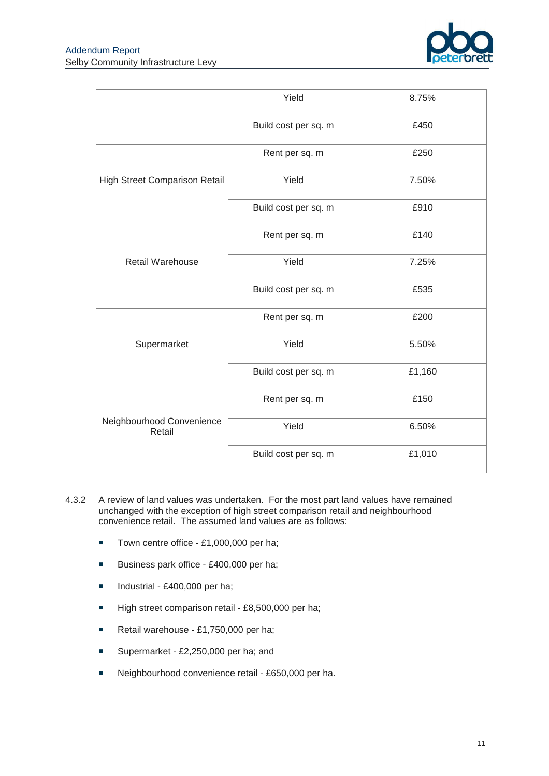

|                                     | Yield                | 8.75%  |
|-------------------------------------|----------------------|--------|
|                                     | Build cost per sq. m | £450   |
|                                     | Rent per sq. m       | £250   |
| High Street Comparison Retail       | Yield                | 7.50%  |
|                                     | Build cost per sq. m | £910   |
|                                     | Rent per sq. m       | £140   |
| <b>Retail Warehouse</b>             | Yield                | 7.25%  |
|                                     | Build cost per sq. m | £535   |
|                                     | Rent per sq. m       | £200   |
| Supermarket                         | Yield                | 5.50%  |
|                                     | Build cost per sq. m | £1,160 |
|                                     | Rent per sq. m       | £150   |
| Neighbourhood Convenience<br>Retail | Yield                | 6.50%  |
|                                     | Build cost per sq. m | £1,010 |

- 4.3.2 A review of land values was undertaken. For the most part land values have remained unchanged with the exception of high street comparison retail and neighbourhood convenience retail. The assumed land values are as follows:
	- Town centre office £1,000,000 per ha;
	- Business park office £400,000 per ha;
	- $\blacksquare$  Industrial £400,000 per ha;
	- High street comparison retail £8,500,000 per ha;
	- Retail warehouse £1,750,000 per ha;
	- Supermarket £2,250,000 per ha; and
	- Neighbourhood convenience retail £650,000 per ha.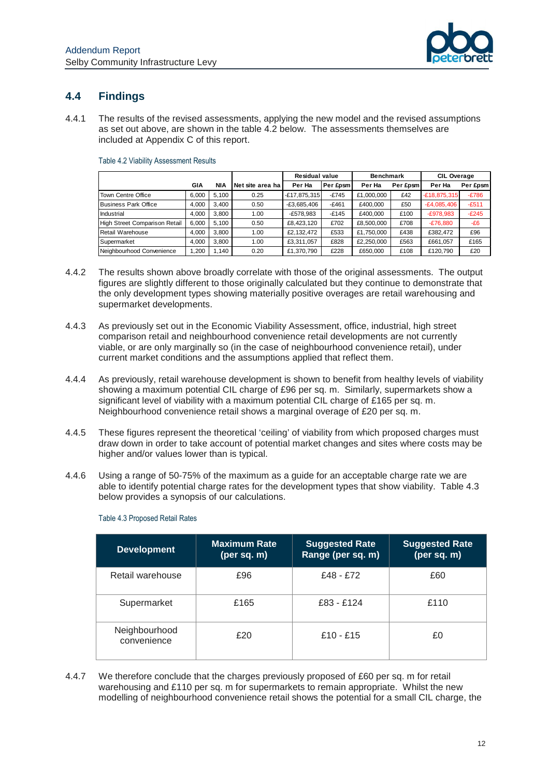

#### **4.4 Findings**

4.4.1 The results of the revised assessments, applying the new model and the revised assumptions as set out above, are shown in the table 4.2 below. The assessments themselves are included at Appendix C of this report.

|                               |       |       |                   | <b>Residual value</b> |          | <b>Benchmark</b> |           | <b>CIL Overage</b> |          |
|-------------------------------|-------|-------|-------------------|-----------------------|----------|------------------|-----------|--------------------|----------|
|                               | GIA   | ΝIΑ   | Net site area hal | Per Ha                | Per £psm | Per Ha           | Per £psml | Per Ha             | Per £psm |
| <b>Town Centre Office</b>     | 6.000 | 5.100 | 0.25              | -£17,875,315          | $-E745$  | £1.000.000       | £42       | $-£18,875,315$     | $-E786$  |
| <b>Business Park Office</b>   | 4.000 | 3.400 | 0.50              | $-£3,685,406$         | $-E461$  | £400.000         | £50       | $-E4,085,406$      | $-E511$  |
| Industrial                    | 4.000 | 3.800 | 1.00              | $-£578,983$           | $-E145$  | £400.000         | £100      | $-E978.983$        | $-E245$  |
| High Street Comparison Retail | 6.000 | 5.100 | 0.50              | £8.423.120            | £702     | £8,500,000       | £708      | $-E76,880$         | $-E6$    |
| <b>Retail Warehouse</b>       | 4.000 | 3.800 | 1.00              | £2.132.472            | £533     | £1.750.000       | £438      | £382,472           | £96      |
| Supermarket                   | 4.000 | 3.800 | 1.00              | £3.311.057            | £828     | £2,250,000       | £563      | £661.057           | £165     |
| Neighbourhood Convenience     | 1.200 | .140  | 0.20              | £1,370,790            | £228     | £650,000         | £108      | £120.790           | £20      |

#### Table 4.2 Viability Assessment Results

- 4.4.2 The results shown above broadly correlate with those of the original assessments. The output figures are slightly different to those originally calculated but they continue to demonstrate that the only development types showing materially positive overages are retail warehousing and supermarket developments.
- 4.4.3 As previously set out in the Economic Viability Assessment, office, industrial, high street comparison retail and neighbourhood convenience retail developments are not currently viable, or are only marginally so (in the case of neighbourhood convenience retail), under current market conditions and the assumptions applied that reflect them.
- 4.4.4 As previously, retail warehouse development is shown to benefit from healthy levels of viability showing a maximum potential CIL charge of £96 per sq. m. Similarly, supermarkets show a significant level of viability with a maximum potential CIL charge of £165 per sq. m. Neighbourhood convenience retail shows a marginal overage of £20 per sq. m.
- 4.4.5 These figures represent the theoretical 'ceiling' of viability from which proposed charges must draw down in order to take account of potential market changes and sites where costs may be higher and/or values lower than is typical.
- 4.4.6 Using a range of 50-75% of the maximum as a guide for an acceptable charge rate we are able to identify potential charge rates for the development types that show viability. Table 4.3 below provides a synopsis of our calculations.

| <b>Development</b>           | <b>Maximum Rate</b><br>$(\text{per sq. m})$ | <b>Suggested Rate</b><br>Range (per sq. m) | <b>Suggested Rate</b><br>(per sq. m) |
|------------------------------|---------------------------------------------|--------------------------------------------|--------------------------------------|
| Retail warehouse             | £96                                         | £48 - £72                                  | £60                                  |
| Supermarket                  | £165                                        | £83 - £124                                 | £110                                 |
| Neighbourhood<br>convenience | £20                                         | £10 - £15                                  | £0                                   |

Table 4.3 Proposed Retail Rates

4.4.7 We therefore conclude that the charges previously proposed of £60 per sq. m for retail warehousing and £110 per sq. m for supermarkets to remain appropriate. Whilst the new modelling of neighbourhood convenience retail shows the potential for a small CIL charge, the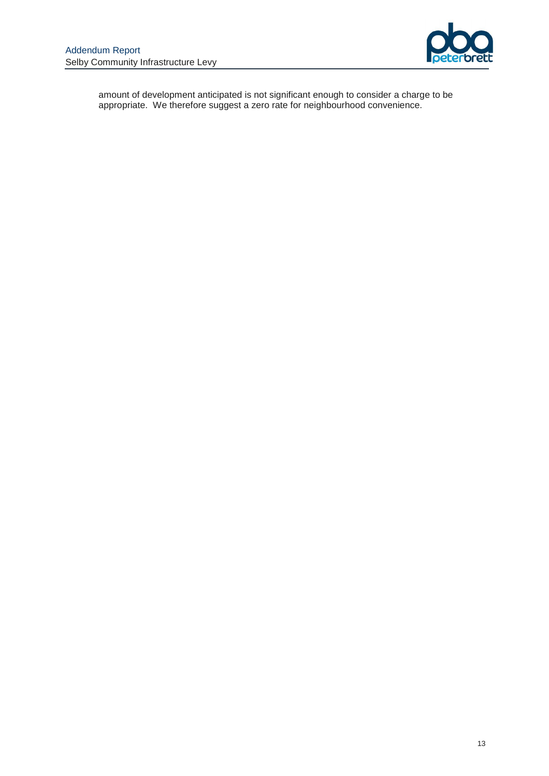

amount of development anticipated is not significant enough to consider a charge to be appropriate. We therefore suggest a zero rate for neighbourhood convenience.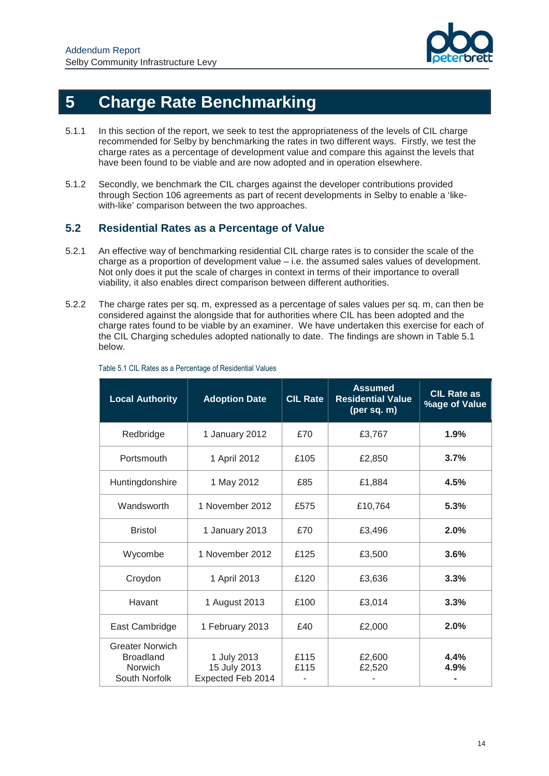

## **5 Charge Rate Benchmarking**

- 5.1.1 In this section of the report, we seek to test the appropriateness of the levels of CIL charge recommended for Selby by benchmarking the rates in two different ways. Firstly, we test the charge rates as a percentage of development value and compare this against the levels that have been found to be viable and are now adopted and in operation elsewhere.
- 5.1.2 Secondly, we benchmark the CIL charges against the developer contributions provided through Section 106 agreements as part of recent developments in Selby to enable a 'likewith-like' comparison between the two approaches.

#### **5.2 Residential Rates as a Percentage of Value**

- 5.2.1 An effective way of benchmarking residential CIL charge rates is to consider the scale of the charge as a proportion of development value – i.e. the assumed sales values of development. Not only does it put the scale of charges in context in terms of their importance to overall viability, it also enables direct comparison between different authorities.
- 5.2.2 The charge rates per sq. m, expressed as a percentage of sales values per sq. m, can then be considered against the alongside that for authorities where CIL has been adopted and the charge rates found to be viable by an examiner. We have undertaken this exercise for each of the CIL Charging schedules adopted nationally to date. The findings are shown in Table 5.1 below.

| <b>Local Authority</b>                                                 | <b>Adoption Date</b>                             | <b>CIL Rate</b> | <b>Assumed</b><br><b>Residential Value</b><br>$(\text{per sq. m})$ | <b>CIL Rate as</b><br>%age of Value |
|------------------------------------------------------------------------|--------------------------------------------------|-----------------|--------------------------------------------------------------------|-------------------------------------|
| Redbridge                                                              | 1 January 2012                                   | £70             | £3,767                                                             | 1.9%                                |
| Portsmouth                                                             | 1 April 2012                                     | £105            | £2,850                                                             | 3.7%                                |
| Huntingdonshire                                                        | 1 May 2012                                       | £85             | £1,884                                                             | 4.5%                                |
| Wandsworth                                                             | 1 November 2012                                  | £575            | £10,764                                                            | 5.3%                                |
| <b>Bristol</b>                                                         | 1 January 2013                                   | £70             | £3,496                                                             | 2.0%                                |
| Wycombe                                                                | 1 November 2012                                  | £125            | £3,500                                                             | 3.6%                                |
| Croydon                                                                | 1 April 2013                                     | £120            | £3,636                                                             | 3.3%                                |
| Havant                                                                 | 1 August 2013                                    | £100            | £3,014                                                             | 3.3%                                |
| East Cambridge                                                         | 1 February 2013                                  | £40             | £2,000                                                             | 2.0%                                |
| <b>Greater Norwich</b><br><b>Broadland</b><br>Norwich<br>South Norfolk | 1 July 2013<br>15 July 2013<br>Expected Feb 2014 | £115<br>£115    | £2,600<br>£2,520                                                   | 4.4%<br>4.9%                        |

Table 5.1 CIL Rates as a Percentage of Residential Values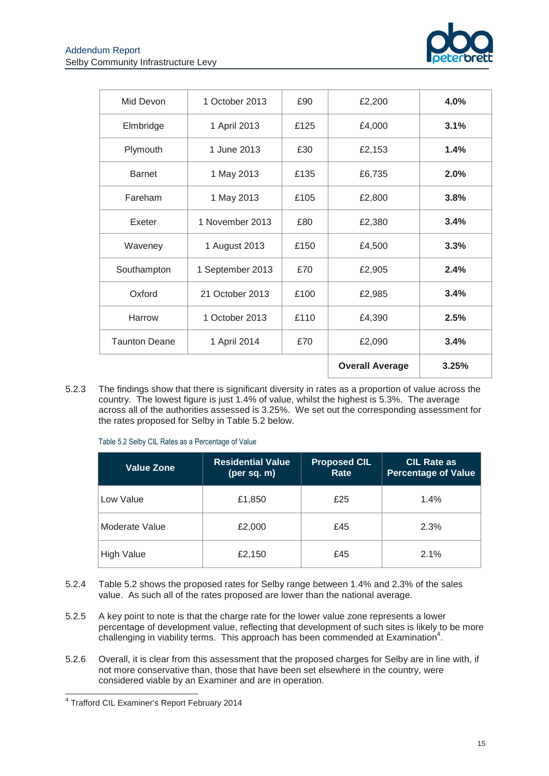

| Mid Devon            | 1 October 2013   | £90  | £2,200                 | 4.0%  |
|----------------------|------------------|------|------------------------|-------|
| Elmbridge            | 1 April 2013     | £125 | £4,000                 | 3.1%  |
| Plymouth             | 1 June 2013      | £30  | £2,153                 | 1.4%  |
| <b>Barnet</b>        | 1 May 2013       | £135 | £6,735                 | 2.0%  |
| Fareham              | 1 May 2013       | £105 | £2,800                 | 3.8%  |
| Exeter               | 1 November 2013  | £80  | £2,380                 | 3.4%  |
| Waveney              | 1 August 2013    | £150 | £4,500                 | 3.3%  |
| Southampton          | 1 September 2013 | £70  | £2,905                 | 2.4%  |
| Oxford               | 21 October 2013  | £100 | £2,985                 | 3.4%  |
| Harrow               | 1 October 2013   | £110 | £4,390                 | 2.5%  |
| <b>Taunton Deane</b> | 1 April 2014     | £70  | £2,090                 | 3.4%  |
|                      |                  |      | <b>Overall Average</b> | 3.25% |

5.2.3 The findings show that there is significant diversity in rates as a proportion of value across the country. The lowest figure is just 1.4% of value, whilst the highest is 5.3%. The average across all of the authorities assessed is 3.25%. We set out the corresponding assessment for the rates proposed for Selby in Table 5.2 below.

Table 5.2 Selby CIL Rates as a Percentage of Value

| <b>Value Zone</b> | <b>Residential Value</b><br>(per sq. m) | <b>Proposed CIL</b><br>Rate | <b>CIL Rate as</b><br><b>Percentage of Value</b> |
|-------------------|-----------------------------------------|-----------------------------|--------------------------------------------------|
| Low Value         | £1,850                                  | £25                         | 1.4%                                             |
| Moderate Value    | £2,000                                  | £45                         | 2.3%                                             |
| <b>High Value</b> | £2,150                                  | £45                         | 2.1%                                             |

- 5.2.4 Table 5.2 shows the proposed rates for Selby range between 1.4% and 2.3% of the sales value. As such all of the rates proposed are lower than the national average.
- 5.2.5 A key point to note is that the charge rate for the lower value zone represents a lower percentage of development value, reflecting that development of such sites is likely to be more challenging in viability terms. This approach has been commended at Examination<sup>4</sup>.
- 5.2.6 Overall, it is clear from this assessment that the proposed charges for Selby are in line with, if not more conservative than, those that have been set elsewhere in the country, were considered viable by an Examiner and are in operation.

 4 Trafford CIL Examiner's Report February 2014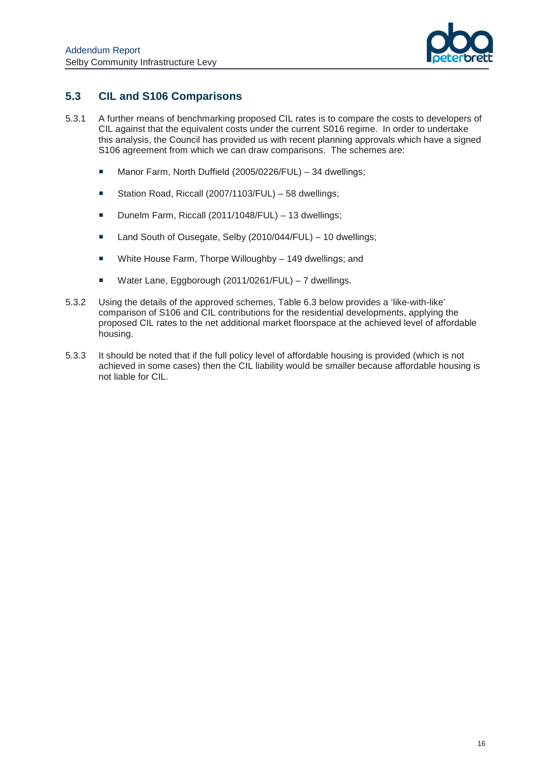

#### **5.3 CIL and S106 Comparisons**

- 5.3.1 A further means of benchmarking proposed CIL rates is to compare the costs to developers of CIL against that the equivalent costs under the current S016 regime. In order to undertake this analysis, the Council has provided us with recent planning approvals which have a signed S106 agreement from which we can draw comparisons. The schemes are:
	- Manor Farm, North Duffield (2005/0226/FUL) 34 dwellings;
	- Station Road, Riccall (2007/1103/FUL) 58 dwellings;
	- Dunelm Farm, Riccall (2011/1048/FUL) 13 dwellings;
	- Land South of Ousegate, Selby (2010/044/FUL) 10 dwellings;
	- White House Farm, Thorpe Willoughby 149 dwellings; and
	- Water Lane, Eggborough (2011/0261/FUL) 7 dwellings.
- 5.3.2 Using the details of the approved schemes, Table 6.3 below provides a 'like-with-like' comparison of S106 and CIL contributions for the residential developments, applying the proposed CIL rates to the net additional market floorspace at the achieved level of affordable housing.
- 5.3.3 It should be noted that if the full policy level of affordable housing is provided (which is not achieved in some cases) then the CIL liability would be smaller because affordable housing is not liable for CIL.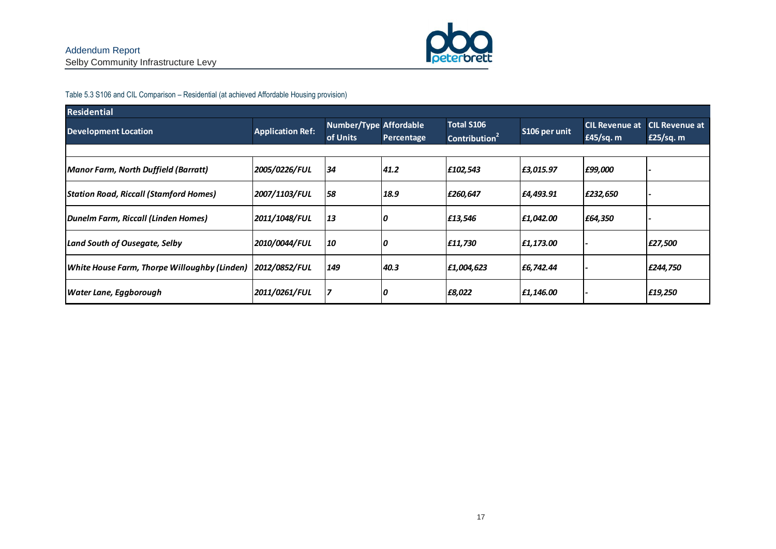

Table 5.3 S106 and CIL Comparison – Residential (at achieved Affordable Housing provision)

| <b>Residential</b>                                  |                         |                                    |            |                                                |               |                                    |                                      |  |  |
|-----------------------------------------------------|-------------------------|------------------------------------|------------|------------------------------------------------|---------------|------------------------------------|--------------------------------------|--|--|
| <b>Development Location</b>                         | <b>Application Ref:</b> | Number/Type Affordable<br>of Units | Percentage | <b>Total S106</b><br>Contribution <sup>2</sup> | S106 per unit | <b>CIL Revenue at</b><br>£45/sq. m | <b>CIL Revenue at</b><br>£25/sq. $m$ |  |  |
|                                                     |                         |                                    |            |                                                |               |                                    |                                      |  |  |
| Manor Farm, North Duffield (Barratt)                | 2005/0226/FUL           | 34                                 | 41.2       | £102,543                                       | £3,015.97     | £99,000                            |                                      |  |  |
| <b>Station Road, Riccall (Stamford Homes)</b>       | 2007/1103/FUL           | 58                                 | 18.9       | £260,647                                       | £4,493.91     | £232,650                           |                                      |  |  |
| <b>Dunelm Farm, Riccall (Linden Homes)</b>          | 2011/1048/FUL           | 13                                 |            | £13,546                                        | £1,042.00     | £64,350                            |                                      |  |  |
| Land South of Ousegate, Selby                       | 2010/0044/FUL           | 10                                 |            | £11,730                                        | £1,173.00     |                                    | £27,500                              |  |  |
| <b>White House Farm, Thorpe Willoughby (Linden)</b> | 2012/0852/FUL           | 149                                | 40.3       | £1,004,623                                     | E6,742.44     |                                    | £244,750                             |  |  |
| <b>Water Lane, Eggborough</b>                       | 2011/0261/FUL           |                                    |            | £8,022                                         | £1,146.00     |                                    | £19,250                              |  |  |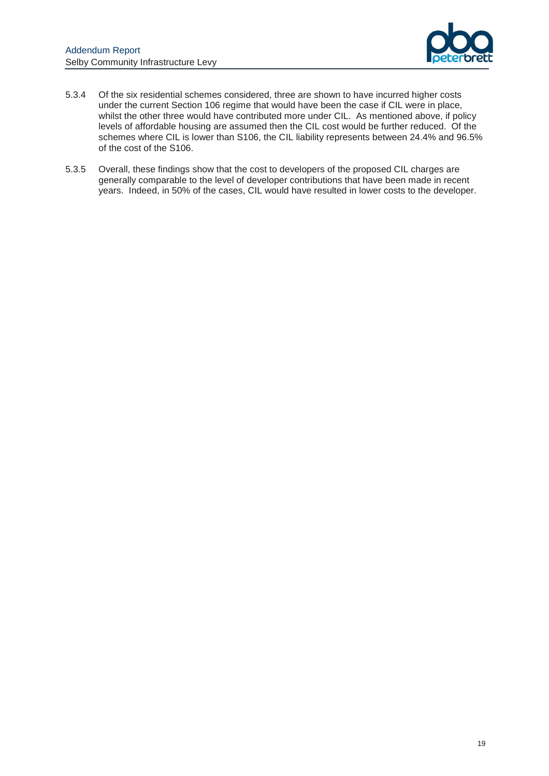

- 5.3.4 Of the six residential schemes considered, three are shown to have incurred higher costs under the current Section 106 regime that would have been the case if CIL were in place, whilst the other three would have contributed more under CIL. As mentioned above, if policy levels of affordable housing are assumed then the CIL cost would be further reduced. Of the schemes where CIL is lower than S106, the CIL liability represents between 24.4% and 96.5% of the cost of the S106.
- 5.3.5 Overall, these findings show that the cost to developers of the proposed CIL charges are generally comparable to the level of developer contributions that have been made in recent years. Indeed, in 50% of the cases, CIL would have resulted in lower costs to the developer.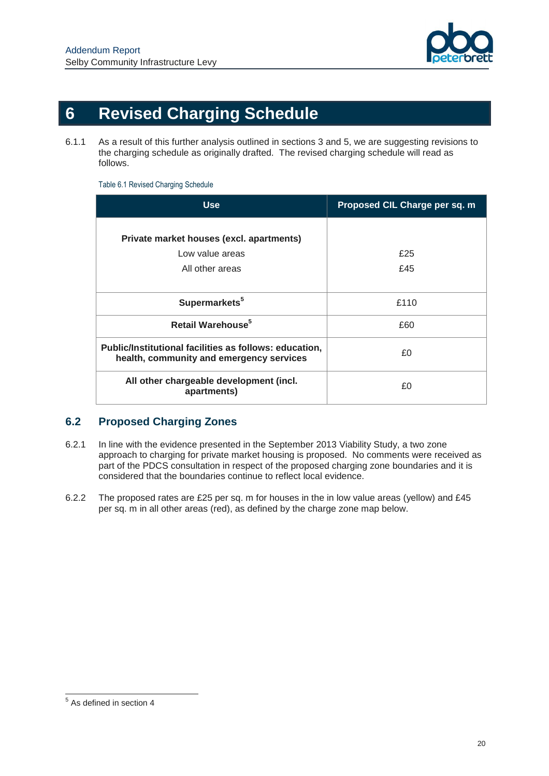

## **6 Revised Charging Schedule**

6.1.1 As a result of this further analysis outlined in sections 3 and 5, we are suggesting revisions to the charging schedule as originally drafted. The revised charging schedule will read as follows.

Table 6.1 Revised Charging Schedule

| <b>Use</b>                                                                                         | Proposed CIL Charge per sq. m |
|----------------------------------------------------------------------------------------------------|-------------------------------|
| Private market houses (excl. apartments)                                                           |                               |
| Low value areas                                                                                    | £25                           |
| All other areas                                                                                    | £45                           |
|                                                                                                    |                               |
| Supermarkets <sup>5</sup>                                                                          | £110                          |
| Retail Warehouse <sup>5</sup>                                                                      | £60                           |
| Public/Institutional facilities as follows: education,<br>health, community and emergency services | £0                            |
| All other chargeable development (incl.<br>apartments)                                             | £٥                            |

#### **6.2 Proposed Charging Zones**

- 6.2.1 In line with the evidence presented in the September 2013 Viability Study, a two zone approach to charging for private market housing is proposed. No comments were received as part of the PDCS consultation in respect of the proposed charging zone boundaries and it is considered that the boundaries continue to reflect local evidence.
- 6.2.2 The proposed rates are £25 per sq. m for houses in the in low value areas (yellow) and £45 per sq. m in all other areas (red), as defined by the charge zone map below.

 5 As defined in section 4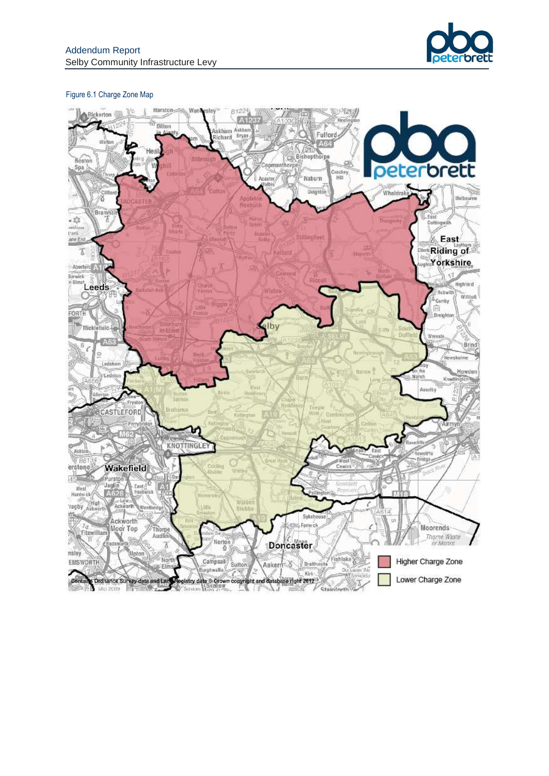

#### Figure 6.1 Charge Zone Map

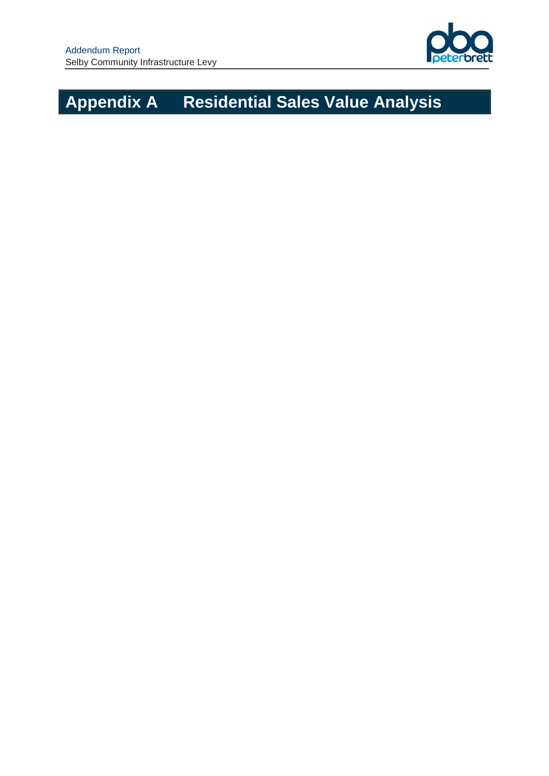

# **Appendix A Residential Sales Value Analysis**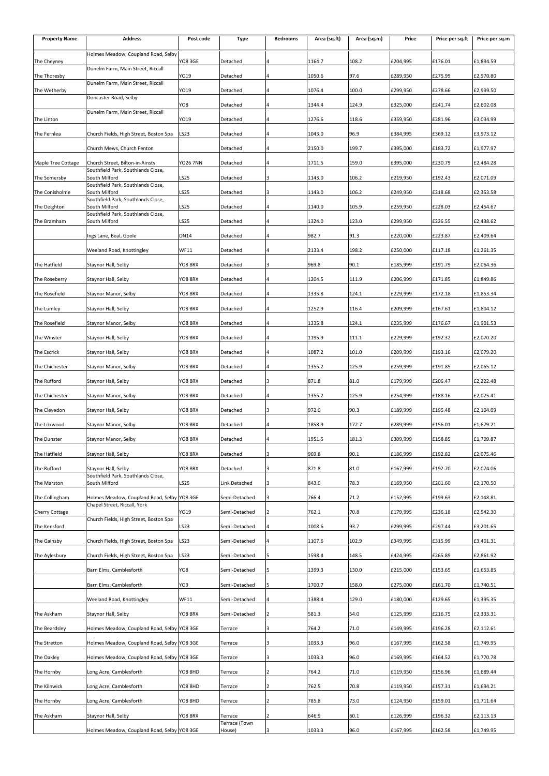| <b>Property Name</b>           | <b>Address</b>                                                                         | Post code                  | Type                     | <b>Bedrooms</b> | Area (sq.ft)     | Area (sq.m)    | Price                | Price per sq.ft    | Price per sq.m         |
|--------------------------------|----------------------------------------------------------------------------------------|----------------------------|--------------------------|-----------------|------------------|----------------|----------------------|--------------------|------------------------|
|                                | Holmes Meadow, Coupland Road, Selby                                                    | YO8 3GE                    |                          |                 |                  |                |                      |                    |                        |
| The Cheyney                    | Dunelm Farm, Main Street, Riccall                                                      |                            | Detached                 |                 | 1164.7           | 108.2          | £204,995             | £176.01            | £1,894.59              |
| The Thoresby                   | Dunelm Farm, Main Street, Riccall                                                      | YO19                       | Detached                 |                 | 1050.6           | 97.6           | £289,950             | £275.99            | £2,970.80              |
| The Wetherby                   | Doncaster Road, Selby                                                                  | YO19<br>YO8                | Detached                 |                 | 1076.4           | 100.0          | £299,950             | £278.66            | £2,999.50<br>£2,602.08 |
|                                | Dunelm Farm, Main Street, Riccall                                                      |                            | Detached                 |                 | 1344.4           | 124.9          | £325,000             | £241.74            | £3,034.99              |
| The Linton                     |                                                                                        | YO19<br><b>LS23</b>        | Detached<br>Detached     | $\overline{4}$  | 1276.6<br>1043.0 | 118.6<br>96.9  | £359,950<br>£384,995 | £281.96<br>£369.12 | £3,973.12              |
| The Fernlea                    | Church Fields, High Street, Boston Spa                                                 |                            |                          | 4               |                  |                |                      |                    |                        |
|                                | Church Mews, Church Fenton                                                             | <b>YO26 7NN</b>            | Detached                 | $\overline{4}$  | 2150.0           | 199.7          | £395,000             | £183.72<br>£230.79 | £1,977.97              |
| Maple Tree Cottage             | Church Street, Bilton-in-Ainsty<br>Southfield Park, Southlands Close,<br>South Milford | <b>LS25</b>                | Detached                 | 3               | 1711.5<br>1143.0 | 159.0<br>106.2 | £395,000<br>£219,950 | £192.43            | £2,484.28<br>£2,071.09 |
| The Somersby<br>The Conisholme | Southfield Park, Southlands Close,<br>South Milford                                    | <b>LS25</b>                | Detached<br>Detached     | ıз              | 1143.0           | 106.2          | £249,950             | £218.68            | £2,353.58              |
|                                | Southfield Park, Southlands Close,<br>South Milford                                    |                            |                          | $\overline{4}$  |                  |                |                      |                    |                        |
| The Deighton                   | Southfield Park, Southlands Close,<br>South Milford                                    | <b>LS25</b><br><b>LS25</b> | Detached                 |                 | 1140.0<br>1324.0 | 105.9<br>123.0 | £259,950             | £228.03<br>£226.55 | £2,454.67<br>£2,438.62 |
| The Bramham                    |                                                                                        |                            | Detached                 | $\overline{4}$  |                  |                | £299,950             |                    |                        |
|                                | Ings Lane, Beal, Goole                                                                 | <b>DN14</b>                | Detached                 | $\overline{4}$  | 982.7            | 91.3           | £220,000             | £223.87            | £2,409.64              |
|                                | Weeland Road, Knottingley                                                              | <b>WF11</b>                | Detached                 | $\overline{4}$  | 2133.4           | 198.2          | £250,000             | £117.18            | £1,261.35              |
| The Hatfield                   | Staynor Hall, Selby                                                                    | <b>YO8 8RX</b>             | Detached                 | 3               | 969.8            | 90.1           | £185,999             | £191.79            | £2,064.36              |
| The Roseberry                  | Staynor Hall, Selby                                                                    | <b>YO8 8RX</b>             | Detached                 |                 | 1204.5           | 111.9          | £206,999             | £171.85            | £1,849.86              |
| The Rosefield                  | Staynor Manor, Selby                                                                   | <b>YO8 8RX</b>             | Detached                 |                 | 1335.8           | 124.1          | £229,999             | £172.18            | £1,853.34              |
| The Lumley                     | Staynor Hall, Selby                                                                    | <b>YO8 8RX</b>             | Detached                 |                 | 1252.9           | 116.4          | £209,999             | £167.61            | £1,804.12              |
| The Rosefield                  | Staynor Manor, Selby                                                                   | <b>YO8 8RX</b>             | Detached                 |                 | 1335.8           | 124.1          | £235,999             | £176.67            | £1,901.53              |
| The Winster                    | Staynor Hall, Selby                                                                    | <b>YO8 8RX</b>             | Detached                 |                 | 1195.9           | 111.1          | £229,999             | £192.32            | £2,070.20              |
| The Escrick                    | Staynor Hall, Selby                                                                    | <b>YO8 8RX</b>             | Detached                 |                 | 1087.2           | 101.0          | £209,999             | £193.16            | £2,079.20              |
| The Chichester                 | Staynor Manor, Selby                                                                   | <b>YO8 8RX</b>             | Detached                 | $\overline{4}$  | 1355.2           | 125.9          | £259,999             | £191.85            | £2,065.12              |
| The Rufford                    | Staynor Hall, Selby                                                                    | <b>YO8 8RX</b>             | Detached                 | 3               | 871.8            | 81.0           | £179,999             | £206.47            | £2,222.48              |
| The Chichester                 | Staynor Manor, Selby                                                                   | <b>YO8 8RX</b>             | Detached                 | $\overline{4}$  | 1355.2           | 125.9          | £254,999             | £188.16            | £2,025.41              |
| The Clevedon                   | Staynor Hall, Selby                                                                    | <b>YO8 8RX</b>             | Detached                 | 3               | 972.0            | 90.3           | £189,999             | £195.48            | £2,104.09              |
| The Loxwood                    | Staynor Manor, Selby                                                                   | <b>YO8 8RX</b>             | Detached                 |                 | 1858.9           | 172.7          | £289,999             | £156.01            | £1,679.21              |
| The Dunster                    | Staynor Manor, Selby                                                                   | <b>YO8 8RX</b>             | Detached                 |                 | 1951.5           | 181.3          | £309,999             | £158.85            | £1,709.87              |
| The Hatfield                   | Staynor Hall, Selby                                                                    | YO8 8RX                    | Detached                 |                 | 969.8            | 90.1           | £186,999             | £192.82            | £2,075.46              |
| The Rufford                    | Staynor Hall, Selby<br>Southfield Park, Southlands Close,                              | <b>YO8 8RX</b>             | Detached                 | 3               | 871.8            | 81.0           | £167,999             | £192.70            | £2,074.06              |
| The Marston                    | South Milford                                                                          | <b>LS25</b>                | Link Detached            |                 | 843.0            | 78.3           | £169,950             | £201.60            | £2,170.50              |
| The Collingham                 | Holmes Meadow, Coupland Road, Selby YO8 3GE<br>Chapel Street, Riccall, York            |                            | Semi-Detached            | 3               | 766.4            | 71.2           | £152,995             | £199.63            | £2,148.81              |
| <b>Cherry Cottage</b>          | Church Fields, High Street, Boston Spa                                                 | YO19                       | Semi-Detached            | 2               | 762.1            | 70.8           | £179,995             | £236.18            | £2,542.30              |
| The Kensford                   |                                                                                        | <b>LS23</b>                | Semi-Detached            |                 | 1008.6           | 93.7           | £299,995             | £297.44            | £3,201.65              |
| The Gainsby                    | Church Fields, High Street, Boston Spa                                                 | <b>LS23</b>                | Semi-Detached            |                 | 1107.6           | 102.9          | £349,995             | £315.99            | £3,401.31              |
| The Aylesbury                  | Church Fields, High Street, Boston Spa                                                 | <b>LS23</b>                | Semi-Detached            |                 | 1598.4           | 148.5          | £424,995             | £265.89            | £2,861.92              |
|                                | Barn Elms, Camblesforth                                                                | YO8                        | Semi-Detached            |                 | 1399.3           | 130.0          | £215,000             | £153.65            | £1,653.85              |
|                                | Barn Elms, Camblesforth                                                                | YO9                        | Semi-Detached            | 5               | 1700.7           | 158.0          | £275,000             | £161.70            | £1,740.51              |
|                                | Weeland Road, Knottingley                                                              | <b>WF11</b>                | Semi-Detached            |                 | 1388.4           | 129.0          | £180,000             | £129.65            | £1,395.35              |
| The Askham                     | Staynor Hall, Selby                                                                    | YO8 8RX                    | Semi-Detached            |                 | 581.3            | 54.0           | £125,999             | £216.75            | £2,333.31              |
| The Beardsley                  | Holmes Meadow, Coupland Road, Selby YO8 3GE                                            |                            | Terrace                  | 3               | 764.2            | 71.0           | £149,995             | £196.28            | £2,112.61              |
| The Stretton                   | Holmes Meadow, Coupland Road, Selby YO8 3GE                                            |                            | Terrace                  | 3               | 1033.3           | 96.0           | £167,995             | £162.58            | £1,749.95              |
| The Oakley                     | Holmes Meadow, Coupland Road, Selby YO8 3GE                                            |                            | Terrace                  | 3               | 1033.3           | 96.0           | £169,995             | £164.52            | £1,770.78              |
| The Hornby                     | Long Acre, Camblesforth                                                                | <b>YO8 8HD</b>             | Terrace                  | 2               | 764.2            | 71.0           | £119,950             | £156.96            | £1,689.44              |
| The Kilnwick                   | Long Acre, Camblesforth                                                                | <b>YO8 8HD</b>             | Terrace                  | $\overline{2}$  | 762.5            | 70.8           | £119,950             | £157.31            | £1,694.21              |
| The Hornby                     | Long Acre, Camblesforth                                                                | <b>YO8 8HD</b>             | Terrace                  | $\mathfrak{p}$  | 785.8            | 73.0           | £124,950             | £159.01            | £1,711.64              |
| The Askham                     | Staynor Hall, Selby                                                                    | <b>YO8 8RX</b>             | Terrace<br>Terrace (Town | $\overline{2}$  | 646.9            | 60.1           | £126,999             | £196.32            | £2,113.13              |
|                                | Holmes Meadow, Coupland Road, Selby YO8 3GE                                            |                            | House)                   | 3               | 1033.3           | 96.0           | £167,995             | £162.58            | £1,749.95              |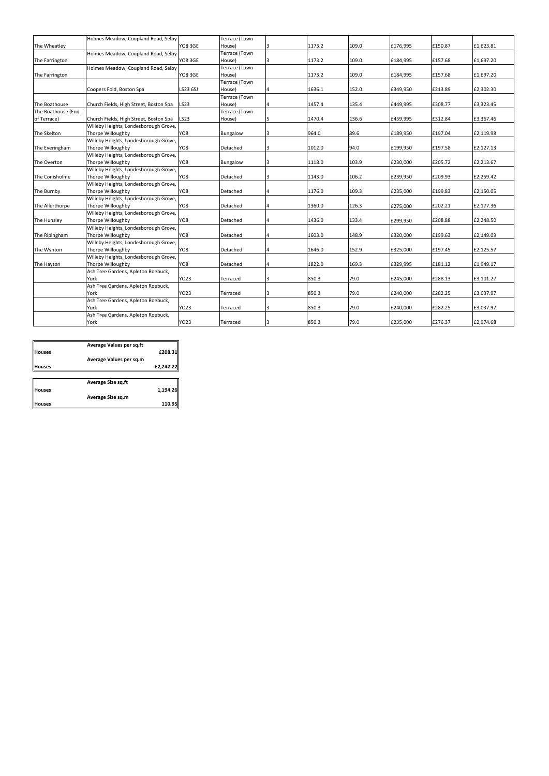|                    | Holmes Meadow, Coupland Road, Selby    |                 | Terrace (Town   |                         |        |       |          |         |           |
|--------------------|----------------------------------------|-----------------|-----------------|-------------------------|--------|-------|----------|---------|-----------|
| The Wheatley       |                                        | <b>YO8 3GE</b>  | House)          |                         | 1173.2 | 109.0 | £176,995 | £150.87 | £1.623.81 |
|                    | Holmes Meadow, Coupland Road, Selby    |                 | Terrace (Town   |                         |        |       |          |         |           |
| The Farrington     |                                        | <b>YO8 3GE</b>  | House)          |                         | 1173.2 | 109.0 | £184,995 | £157.68 | £1,697.20 |
|                    | Holmes Meadow, Coupland Road, Selby    |                 | Terrace (Town   |                         |        |       |          |         |           |
| The Farrington     |                                        | <b>YO8 3GE</b>  | House)          |                         | 1173.2 | 109.0 | £184,995 | £157.68 | £1,697.20 |
|                    |                                        |                 | Terrace (Town   |                         |        |       |          |         |           |
|                    | Coopers Fold, Boston Spa               | <b>LS23 6SJ</b> | House)          |                         | 1636.1 | 152.0 | £349,950 | £213.89 | £2,302.30 |
|                    |                                        |                 | Terrace (Town   |                         |        |       |          |         |           |
| The Boathouse      | Church Fields, High Street, Boston Spa | <b>LS23</b>     | House)          |                         | 1457.4 | 135.4 | £449,995 | £308.77 | £3,323.45 |
| The Boathouse (End |                                        |                 | Terrace (Town   |                         |        |       |          |         |           |
| of Terrace)        | Church Fields, High Street, Boston Spa | <b>LS23</b>     | House)          |                         | 1470.4 | 136.6 | £459,995 | £312.84 | £3,367.46 |
|                    | Willeby Heights, Londesborough Grove,  |                 |                 |                         |        |       |          |         |           |
| The Skelton        | Thorpe Willoughby                      | YO <sub>8</sub> | Bungalow        |                         | 964.0  | 89.6  | £189,950 | £197.04 | £2,119.98 |
|                    | Willeby Heights, Londesborough Grove,  |                 |                 |                         |        |       |          |         |           |
| The Everingham     | Thorpe Willoughby                      | YO <sub>8</sub> | Detached        | $\overline{\mathbf{3}}$ | 1012.0 | 94.0  | £199,950 | £197.58 | £2,127.13 |
|                    | Willeby Heights, Londesborough Grove,  |                 |                 |                         |        |       |          |         |           |
| The Overton        | Thorpe Willoughby                      | YO <sub>8</sub> | <b>Bungalow</b> | 3                       | 1118.0 | 103.9 | £230,000 | £205.72 | £2,213.67 |
|                    | Willeby Heights, Londesborough Grove,  |                 |                 |                         |        |       |          |         |           |
| The Conisholme     | Thorpe Willoughby                      | YO <sub>8</sub> | Detached        | 3                       | 1143.0 | 106.2 | £239,950 | £209.93 | £2,259.42 |
|                    | Willeby Heights, Londesborough Grove,  |                 |                 |                         |        |       |          |         |           |
| The Burnby         | Thorpe Willoughby                      | YO8             | Detached        | 4                       | 1176.0 | 109.3 | £235,000 | £199.83 | £2,150.05 |
|                    | Willeby Heights, Londesborough Grove,  |                 |                 |                         |        |       |          |         |           |
| The Allerthorpe    | Thorpe Willoughby                      | YO <sub>8</sub> | Detached        | 4                       | 1360.0 | 126.3 | £275,000 | £202.21 | £2,177.36 |
|                    | Willeby Heights, Londesborough Grove,  |                 |                 |                         |        |       |          |         |           |
| The Hunsley        | Thorpe Willoughby                      | YO8             | Detached        | 4                       | 1436.0 | 133.4 | £299,950 | £208.88 | £2,248.50 |
|                    | Willeby Heights, Londesborough Grove,  |                 |                 |                         |        |       |          |         |           |
| The Ripingham      | Thorpe Willoughby                      | YO <sub>8</sub> | Detached        | 4                       | 1603.0 | 148.9 | £320,000 | £199.63 | £2,149.09 |
|                    | Willeby Heights, Londesborough Grove,  |                 |                 |                         |        |       |          |         |           |
| The Wynton         | Thorpe Willoughby                      | YO8             | Detached        | 4                       | 1646.0 | 152.9 | £325,000 | £197.45 | £2,125.57 |
|                    | Willeby Heights, Londesborough Grove,  |                 |                 |                         |        |       |          |         |           |
| The Hayton         | Thorpe Willoughby                      | YO <sub>8</sub> | Detached        | 4                       | 1822.0 | 169.3 | £329,995 | £181.12 | £1,949.17 |
|                    | Ash Tree Gardens, Apleton Roebuck,     |                 |                 |                         |        |       |          |         |           |
|                    | York                                   | YO23            | Terraced        | 3                       | 850.3  | 79.0  | £245,000 | £288.13 | £3,101.27 |
|                    | Ash Tree Gardens, Apleton Roebuck,     |                 |                 |                         |        |       |          |         |           |
|                    | York                                   | YO23            | Terraced        | 3                       | 850.3  | 79.0  | £240,000 | £282.25 | £3,037.97 |
|                    | Ash Tree Gardens, Apleton Roebuck,     |                 |                 |                         |        |       |          |         |           |
|                    | York                                   | <b>YO23</b>     | Terraced        | 3                       | 850.3  | 79.0  | £240,000 | £282.25 | £3,037.97 |
|                    | Ash Tree Gardens, Apleton Roebuck,     |                 |                 |                         |        |       |          |         |           |
|                    | York                                   | YO23            | Terraced        |                         | 850.3  | 79.0  | £235,000 | £276.37 | £2,974.68 |

|               | Average Values per sq.ft |           |
|---------------|--------------------------|-----------|
| <b>Houses</b> |                          | £208.31   |
|               | Average Values per sq.m  |           |
| <b>Houses</b> |                          | £2,242.22 |
|               |                          |           |
|               | Average Size sq.ft       |           |
| <b>Houses</b> |                          | 1,194.26  |
|               | Average Size sq.m        |           |
| Houses        |                          | 110.95    |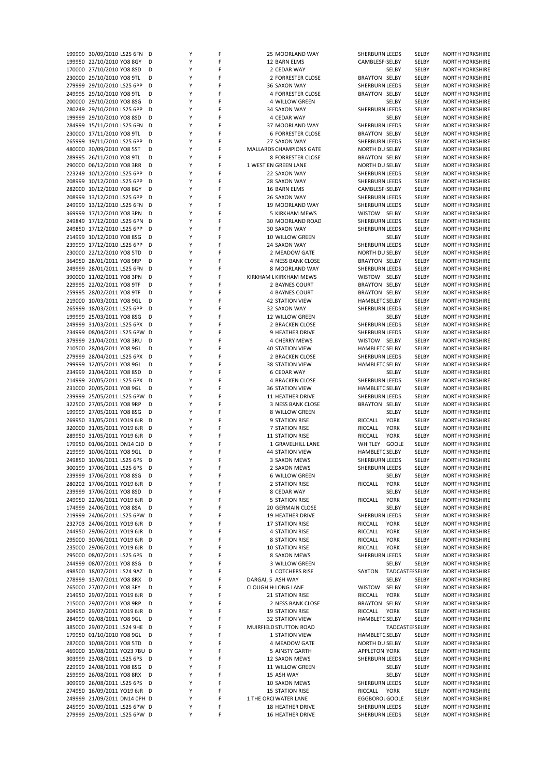| 199999 30/09/2010 LS25 6FN D |              | Υ | F |                   | 25 MOORLAND WAY           | <b>SHERBURN LEEDS</b> |                       | SELBY | <b>NORTH YORKSHIRE</b> |
|------------------------------|--------------|---|---|-------------------|---------------------------|-----------------------|-----------------------|-------|------------------------|
| 199950 22/10/2010 YO8 8GY    | D            | Υ | F |                   | 12 BARN ELMS              | CAMBLESFISELBY        |                       | SELBY | <b>NORTH YORKSHIRE</b> |
| 170000 27/10/2010 YO8 8SD    | D            | Υ | F |                   | 2 CEDAR WAY               |                       | SELBY                 | SELBY | <b>NORTH YORKSHIRE</b> |
| 230000 29/10/2010 YO8 9TL    | D            | Υ | F |                   | 2 FORRESTER CLOSE         | <b>BRAYTON SELBY</b>  |                       | SELBY | <b>NORTH YORKSHIRE</b> |
| 279999 29/10/2010 LS25 6PP   | D            | Υ | F |                   | 36 SAXON WAY              | <b>SHERBURN LEEDS</b> |                       | SELBY | <b>NORTH YORKSHIRE</b> |
| 249995 29/10/2010 YO8 9TL    | D            | Υ | F |                   | 4 FORRESTER CLOSE         | <b>BRAYTON SELBY</b>  |                       | SELBY | <b>NORTH YORKSHIRE</b> |
| 200000 29/10/2010 YO8 8SG    | D            | Υ | F |                   | 4 WILLOW GREEN            |                       | SELBY                 | SELBY | <b>NORTH YORKSHIRE</b> |
| 280249 29/10/2010 LS25 6PP   | D            | Υ | F |                   | 34 SAXON WAY              | <b>SHERBURN LEEDS</b> |                       | SELBY | <b>NORTH YORKSHIRE</b> |
| 199999 29/10/2010 YO8 8SD    | D            | Υ | F |                   | 4 CEDAR WAY               |                       | SELBY                 | SELBY | <b>NORTH YORKSHIRE</b> |
| 284999 15/11/2010 LS25 6FN   | D            | Υ | F |                   | 37 MOORLAND WAY           | SHERBURN LEEDS        |                       | SELBY | <b>NORTH YORKSHIRE</b> |
| 230000 17/11/2010 YO8 9TL    | D            | Υ | F |                   | <b>6 FORRESTER CLOSE</b>  | <b>BRAYTON SELBY</b>  |                       | SELBY | <b>NORTH YORKSHIRE</b> |
| 265999 19/11/2010 LS25 6PP   | D            | Υ | F |                   | 27 SAXON WAY              | <b>SHERBURN LEEDS</b> |                       | SELBY | <b>NORTH YORKSHIRE</b> |
| 480000 30/09/2010 YO8 5ST    |              |   | F |                   |                           |                       |                       |       |                        |
|                              | D            | Υ |   |                   | MALLARDS CHAMPIONS GATE   | NORTH DU SELBY        |                       | SELBY | <b>NORTH YORKSHIRE</b> |
| 289995 26/11/2010 YO8 9TL    | D            | Υ | F |                   | 8 FORRESTER CLOSE         | <b>BRAYTON SELBY</b>  |                       | SELBY | <b>NORTH YORKSHIRE</b> |
| 290000 06/12/2010 YO8 3RR    | D            | Υ | F |                   | 1 WEST EN GREEN LANE      | NORTH DU SELBY        |                       | SELBY | <b>NORTH YORKSHIRE</b> |
| 223249 10/12/2010 LS25 6PP   | $\Box$       | Υ | F |                   | 22 SAXON WAY              | <b>SHERBURN LEEDS</b> |                       | SELBY | <b>NORTH YORKSHIRE</b> |
| 208999 10/12/2010 LS25 6PP   | D            | Υ | F |                   | 28 SAXON WAY              | <b>SHERBURN LEEDS</b> |                       | SELBY | <b>NORTH YORKSHIRE</b> |
| 282000 10/12/2010 YO8 8GY    | D            | Υ | F |                   | 16 BARN ELMS              | CAMBLESFISELBY        |                       | SELBY | <b>NORTH YORKSHIRE</b> |
| 208999 13/12/2010 LS25 6PP   | D            | Υ | F |                   | 26 SAXON WAY              | <b>SHERBURN LEEDS</b> |                       | SELBY | <b>NORTH YORKSHIRE</b> |
| 249999 13/12/2010 LS25 6FN D |              | Υ | F |                   | 19 MOORLAND WAY           | <b>SHERBURN LEEDS</b> |                       | SELBY | <b>NORTH YORKSHIRE</b> |
| 369999 17/12/2010 YO8 3PN    | D            | Υ | F |                   | 5 KIRKHAM MEWS            | WISTOW SELBY          |                       | SELBY | <b>NORTH YORKSHIRE</b> |
| 249849 17/12/2010 LS25 6PN D |              | Υ | F |                   | 30 MOORLAND ROAD          | <b>SHERBURN LEEDS</b> |                       | SELBY | <b>NORTH YORKSHIRE</b> |
| 249850 17/12/2010 LS25 6PP D |              | Υ | F |                   | 30 SAXON WAY              | <b>SHERBURN LEEDS</b> |                       | SELBY | <b>NORTH YORKSHIRE</b> |
| 214999 10/12/2010 YO8 8SG    | D            | Υ | F |                   | 10 WILLOW GREEN           |                       | SELBY                 | SELBY | <b>NORTH YORKSHIRE</b> |
| 239999 17/12/2010 LS25 6PP   | D            | Υ | F |                   | 24 SAXON WAY              | <b>SHERBURN LEEDS</b> |                       | SELBY | <b>NORTH YORKSHIRE</b> |
| 230000 22/12/2010 YO8 5TD    | D            | Υ | F |                   | 2 MEADOW GATE             | NORTH DU SELBY        |                       | SELBY | <b>NORTH YORKSHIRE</b> |
| 364950 28/01/2011 YO8 9RP    | D            | Υ | F |                   | 4 NESS BANK CLOSE         | <b>BRAYTON SELBY</b>  |                       | SELBY | <b>NORTH YORKSHIRE</b> |
|                              |              |   |   |                   |                           |                       |                       |       |                        |
| 249999 28/01/2011 LS25 6FN   | D            | Υ | F |                   | 8 MOORLAND WAY            | <b>SHERBURN LEEDS</b> |                       | SELBY | <b>NORTH YORKSHIRE</b> |
| 390000 11/02/2011 YO8 3PN    | D            | Υ | F |                   | KIRKHAM L KIRKHAM MEWS    | WISTOW                | SELBY                 | SELBY | <b>NORTH YORKSHIRE</b> |
| 229995 22/02/2011 YO8 9TF    | D            | Υ | F |                   | 2 BAYNES COURT            | <b>BRAYTON SELBY</b>  |                       | SELBY | <b>NORTH YORKSHIRE</b> |
| 259995 28/02/2011 YO8 9TF    | D            | Υ | F |                   | 4 BAYNES COURT            | <b>BRAYTON SELBY</b>  |                       | SELBY | <b>NORTH YORKSHIRE</b> |
| 219000 10/03/2011 YO8 9GL    | D            | Υ | F |                   | <b>42 STATION VIEW</b>    | <b>HAMBLETC SELBY</b> |                       | SELBY | <b>NORTH YORKSHIRE</b> |
| 265999 18/03/2011 LS25 6PP   | D            | Υ | F |                   | 32 SAXON WAY              | <b>SHERBURN LEEDS</b> |                       | SELBY | <b>NORTH YORKSHIRE</b> |
| 199999 25/03/2011 YO8 8SG    | D            | Υ | F |                   | 12 WILLOW GREEN           |                       | SELBY                 | SELBY | <b>NORTH YORKSHIRE</b> |
| 249999 31/03/2011 LS25 6PX D |              | Υ | F |                   | 2 BRACKEN CLOSE           | <b>SHERBURN LEEDS</b> |                       | SELBY | <b>NORTH YORKSHIRE</b> |
| 234999 08/04/2011 LS25 6PW D |              | Υ | F |                   | 9 HEATHER DRIVE           | <b>SHERBURN LEEDS</b> |                       | SELBY | <b>NORTH YORKSHIRE</b> |
| 379999 21/04/2011 YO8 3RU    | D            | Υ | F |                   | 4 CHERRY MEWS             | WISTOW SELBY          |                       | SELBY | <b>NORTH YORKSHIRE</b> |
| 210500 28/04/2011 YO8 9GL    | D            | Υ | F |                   | <b>40 STATION VIEW</b>    | <b>HAMBLETC SELBY</b> |                       | SELBY | <b>NORTH YORKSHIRE</b> |
| 279999 28/04/2011 LS25 6PX D |              | Υ | F |                   | 2 BRACKEN CLOSE           | <b>SHERBURN LEEDS</b> |                       | SELBY | <b>NORTH YORKSHIRE</b> |
| 299999 12/05/2011 YO8 9GL    | $\mathsf{D}$ | Υ | F |                   | <b>38 STATION VIEW</b>    | <b>HAMBLETC SELBY</b> |                       | SELBY | <b>NORTH YORKSHIRE</b> |
| 234999 21/04/2011 YO8 8SD    | D            | Υ | F |                   | 6 CEDAR WAY               |                       | SELBY                 | SELBY | <b>NORTH YORKSHIRE</b> |
|                              |              | Υ | F |                   |                           |                       |                       |       |                        |
| 214999 20/05/2011 LS25 6PX D |              |   |   |                   | 4 BRACKEN CLOSE           | <b>SHERBURN LEEDS</b> |                       | SELBY | <b>NORTH YORKSHIRE</b> |
| 231000 20/05/2011 YO8 9GL    | D            | Υ | F |                   | <b>36 STATION VIEW</b>    | <b>HAMBLETC SELBY</b> |                       | SELBY | <b>NORTH YORKSHIRE</b> |
| 239999 25/05/2011 LS25 6PW D |              | Υ | F |                   | 11 HEATHER DRIVE          | <b>SHERBURN LEEDS</b> |                       | SELBY | <b>NORTH YORKSHIRE</b> |
| 322500 27/05/2011 YO8 9RP    | D            | Υ | F |                   | 3 NESS BANK CLOSE         | <b>BRAYTON SELBY</b>  |                       | SELBY | <b>NORTH YORKSHIRE</b> |
| 199999 27/05/2011 YO8 8SG    | D            | Υ | F |                   | 8 WILLOW GREEN            |                       | SELBY                 | SELBY | <b>NORTH YORKSHIRE</b> |
| 269950 31/05/2011 YO19 6JR D |              | Υ | F |                   | 9 STATION RISE            | RICCALL               | <b>YORK</b>           | SELBY | <b>NORTH YORKSHIRE</b> |
| 320000 31/05/2011 YO19 6JR D |              | Υ | F |                   | 7 STATION RISE            | RICCALL               | <b>YORK</b>           | SELBY | <b>NORTH YORKSHIRE</b> |
| 289950 31/05/2011 YO19 6JR D |              | Υ | F |                   | 11 STATION RISE           | RICCALL               | <b>YORK</b>           | SELBY | <b>NORTH YORKSHIRE</b> |
| 179950 01/06/2011 DN14 0JD D |              | Υ | F |                   | 1 GRAVELHILL LANE         | WHITLEY GOOLE         |                       | SELBY | <b>NORTH YORKSHIRE</b> |
| 219999 10/06/2011 YO8 9GL    | D            | Υ | F |                   | <b>44 STATION VIEW</b>    | <b>HAMBLETC SELBY</b> |                       | SELBY | <b>NORTH YORKSHIRE</b> |
| 249850 10/06/2011 LS25 6PS   | D            | Y | F |                   | 3 SAXON MEWS              | <b>SHERBURN LEEDS</b> |                       | SELBY | <b>NORTH YORKSHIRE</b> |
| 300199 17/06/2011 LS25 6PS D |              | Υ | F |                   | 2 SAXON MEWS              | <b>SHERBURN LEEDS</b> |                       | SELBY | <b>NORTH YORKSHIRE</b> |
| 239999 17/06/2011 YO8 8SG D  |              | Υ | F |                   | 6 WILLOW GREEN            |                       | SELBY                 | SELBY | <b>NORTH YORKSHIRE</b> |
| 280202 17/06/2011 YO19 6JR D |              | Υ | F |                   | 2 STATION RISE            | RICCALL               | <b>YORK</b>           | SELBY | <b>NORTH YORKSHIRE</b> |
| 239999 17/06/2011 YO8 8SD D  |              | Υ | F |                   | 8 CEDAR WAY               |                       | SELBY                 | SELBY | <b>NORTH YORKSHIRE</b> |
|                              |              |   | F |                   |                           |                       |                       |       |                        |
| 249950 22/06/2011 YO19 6JR D |              | Υ |   |                   | 5 STATION RISE            | RICCALL               | <b>YORK</b>           | SELBY | <b>NORTH YORKSHIRE</b> |
| 174999 24/06/2011 YO8 8SA D  |              | Υ | F |                   | 20 GERMAIN CLOSE          |                       | SELBY                 | SELBY | <b>NORTH YORKSHIRE</b> |
| 219999 24/06/2011 LS25 6PW D |              | Υ | F |                   | 19 HEATHER DRIVE          | <b>SHERBURN LEEDS</b> |                       | SELBY | <b>NORTH YORKSHIRE</b> |
| 232703 24/06/2011 YO19 6JR D |              | Υ | F |                   | 17 STATION RISE           | RICCALL               | <b>YORK</b>           | SELBY | <b>NORTH YORKSHIRE</b> |
| 244950 29/06/2011 YO19 6JR D |              | Υ | F |                   | <b>4 STATION RISE</b>     | RICCALL               | <b>YORK</b>           | SELBY | <b>NORTH YORKSHIRE</b> |
| 295000 30/06/2011 YO19 6JR D |              | Υ | F |                   | 8 STATION RISE            | RICCALL               | <b>YORK</b>           | SELBY | <b>NORTH YORKSHIRE</b> |
| 235000 29/06/2011 YO19 6JR D |              | Υ | F |                   | <b>10 STATION RISE</b>    | RICCALL               | <b>YORK</b>           | SELBY | <b>NORTH YORKSHIRE</b> |
| 295000 08/07/2011 LS25 6PS D |              | Υ | F |                   | 8 SAXON MEWS              | <b>SHERBURN LEEDS</b> |                       | SELBY | <b>NORTH YORKSHIRE</b> |
| 244999 08/07/2011 YO8 8SG D  |              | Υ | F |                   | 3 WILLOW GREEN            |                       | SELBY                 | SELBY | <b>NORTH YORKSHIRE</b> |
| 498500 18/07/2011 LS24 9AZ D |              | Υ | F |                   | 1 COTCHERS RISE           | SAXTON                | <b>TADCASTEFSELBY</b> |       | <b>NORTH YORKSHIRE</b> |
| 278999 13/07/2011 YO8 8RX    | D            | Υ | F | DARGAI, 5 ASH WAY |                           |                       | SELBY                 | SELBY | <b>NORTH YORKSHIRE</b> |
| 265000 27/07/2011 YO8 3FY    | D            | Υ | F |                   | <b>CLOUGH HILONG LANE</b> | WISTOW                | SELBY                 | SELBY | <b>NORTH YORKSHIRE</b> |
| 214950 29/07/2011 YO19 6JR D |              | Υ | F |                   | 21 STATION RISE           | RICCALL               | <b>YORK</b>           | SELBY | <b>NORTH YORKSHIRE</b> |
| 215000 29/07/2011 YO8 9RP D  |              | Υ | F |                   | 2 NESS BANK CLOSE         | <b>BRAYTON SELBY</b>  |                       | SELBY | <b>NORTH YORKSHIRE</b> |
| 304950 29/07/2011 YO19 6JR D |              | Υ | F |                   | <b>19 STATION RISE</b>    | RICCALL               | <b>YORK</b>           | SELBY | <b>NORTH YORKSHIRE</b> |
| 284999 02/08/2011 YO8 9GL D  |              | Υ | F |                   | <b>32 STATION VIEW</b>    | <b>HAMBLETC SELBY</b> |                       | SELBY | <b>NORTH YORKSHIRE</b> |
| 385000 29/07/2011 LS24 9HE D |              | Υ | F |                   | MUIRFIELD STUTTON ROAD    |                       | <b>TADCASTEFSELBY</b> |       | <b>NORTH YORKSHIRE</b> |
| 179950 01/10/2010 YO8 9GL D  |              | Υ | F |                   | 1 STATION VIEW            | <b>HAMBLETC SELBY</b> |                       | SELBY | <b>NORTH YORKSHIRE</b> |
| 287000 10/08/2011 YO8 5TD D  |              | Υ | F |                   | 4 MEADOW GATE             | NORTH DU SELBY        |                       | SELBY | <b>NORTH YORKSHIRE</b> |
|                              |              |   |   |                   |                           |                       |                       |       |                        |
| 469000 19/08/2011 YO23 7BU D |              | Υ | F |                   | 5 AINSTY GARTH            | APPLETON YORK         |                       | SELBY | <b>NORTH YORKSHIRE</b> |
| 303999 23/08/2011 LS25 6PS D |              | Υ | F |                   | 12 SAXON MEWS             | <b>SHERBURN LEEDS</b> |                       | SELBY | <b>NORTH YORKSHIRE</b> |
| 229999 24/08/2011 YO8 8SG    | D            | Υ | F |                   | 11 WILLOW GREEN           |                       | SELBY                 | SELBY | <b>NORTH YORKSHIRE</b> |
| 259999 26/08/2011 YO8 8RX D  |              | Υ | F |                   | 15 ASH WAY                |                       | SELBY                 | SELBY | <b>NORTH YORKSHIRE</b> |
| 309999 26/08/2011 LS25 6PS D |              | Υ | F |                   | 10 SAXON MEWS             | <b>SHERBURN LEEDS</b> |                       | SELBY | <b>NORTH YORKSHIRE</b> |
| 274950 16/09/2011 YO19 6JR D |              | Υ | F |                   | <b>15 STATION RISE</b>    | RICCALL               | YORK                  | SELBY | <b>NORTH YORKSHIRE</b> |
| 249999 21/09/2011 DN14 0PH D |              | Υ | F |                   | 1 THE ORCI WATER LANE     | <b>EGGBOROL GOOLE</b> |                       | SELBY | <b>NORTH YORKSHIRE</b> |
| 245999 30/09/2011 LS25 6PW D |              | Υ | F |                   | 18 HEATHER DRIVE          | <b>SHERBURN LEEDS</b> |                       | SELBY | <b>NORTH YORKSHIRE</b> |
| 279999 29/09/2011 LS25 6PW D |              | Υ | F |                   | 16 HEATHER DRIVE          | <b>SHERBURN LEEDS</b> |                       | SELBY | <b>NORTH YORKSHIRE</b> |
|                              |              |   |   |                   |                           |                       |                       |       |                        |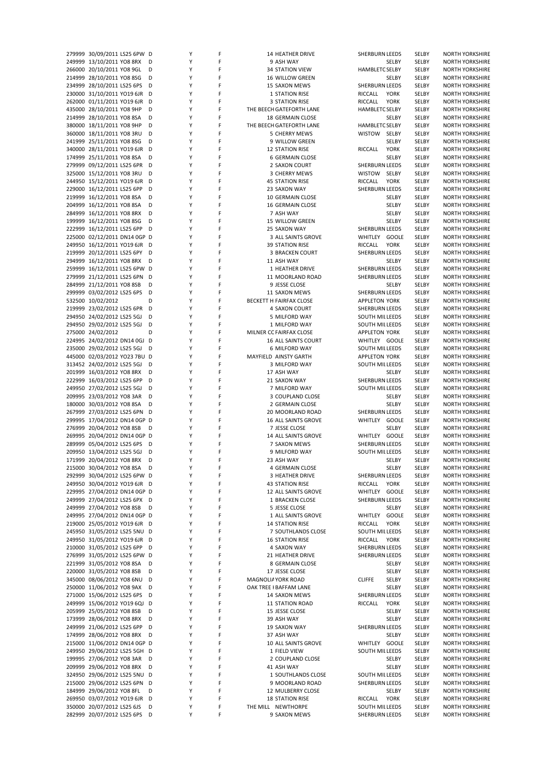| 279999 30/09/2011 LS25 6PW D | Υ      | F |                         | 14 HEATHER DRIVE<br><b>SHERBURN LEEDS</b>         |             | SELBY        | <b>NORTH YORKSHIRE</b> |
|------------------------------|--------|---|-------------------------|---------------------------------------------------|-------------|--------------|------------------------|
| 249999 13/10/2011 YO8 8RX D  | Υ      | F |                         | 9 ASH WAY                                         | SELBY       | <b>SELBY</b> | <b>NORTH YORKSHIRE</b> |
| 266000 20/10/2011 YO8 9GL    | Υ<br>D | F |                         | 34 STATION VIEW<br><b>HAMBLETC SELBY</b>          |             | <b>SELBY</b> | <b>NORTH YORKSHIRE</b> |
|                              |        |   |                         |                                                   |             |              |                        |
| 214999 28/10/2011 YO8 8SG    | Υ<br>D | F |                         | 16 WILLOW GREEN                                   | SELBY       | SELBY        | <b>NORTH YORKSHIRE</b> |
| 234999 28/10/2011 LS25 6PS D | Υ      | F |                         | <b>SHERBURN LEEDS</b><br>15 SAXON MEWS            |             | SELBY        | <b>NORTH YORKSHIRE</b> |
| 230000 31/10/2011 YO19 6JR D | Υ      | F |                         | 1 STATION RISE<br>RICCALL                         | <b>YORK</b> | <b>SELBY</b> | <b>NORTH YORKSHIRE</b> |
| 262000 01/11/2011 YO19 6JR D | Υ      | F |                         | 3 STATION RISE<br>RICCALL                         | <b>YORK</b> | SELBY        | <b>NORTH YORKSHIRE</b> |
| 435000 28/10/2011 YO8 9HP    | Υ<br>D | F |                         | <b>HAMBLETC SELBY</b><br>THE BEECH GATEFORTH LANE |             | SELBY        | <b>NORTH YORKSHIRE</b> |
|                              |        |   |                         |                                                   |             |              |                        |
| 214999 28/10/2011 YO8 8SA    | Υ<br>D | F |                         | 18 GERMAIN CLOSE                                  | SELBY       | SELBY        | <b>NORTH YORKSHIRE</b> |
| 380000 18/11/2011 YO8 9HP    | D<br>Υ | F |                         | THE BEECH GATEFORTH LANE<br><b>HAMBLETC SELBY</b> |             | SELBY        | <b>NORTH YORKSHIRE</b> |
| 360000 18/11/2011 YO8 3RU    | Υ<br>D | F |                         | WISTOW<br>5 CHERRY MEWS                           | SELBY       | SELBY        | <b>NORTH YORKSHIRE</b> |
| 241999 25/11/2011 YO8 8SG    | Υ<br>D | F |                         | 9 WILLOW GREEN                                    | SELBY       | SELBY        | <b>NORTH YORKSHIRE</b> |
|                              | Υ      | F |                         |                                                   |             |              |                        |
| 340000 28/11/2011 YO19 6JR   | D      |   |                         | <b>12 STATION RISE</b><br>RICCALL                 | <b>YORK</b> | SELBY        | <b>NORTH YORKSHIRE</b> |
| 174999 25/11/2011 YO8 8SA    | Υ<br>D | F |                         | 6 GERMAIN CLOSE                                   | SELBY       | SELBY        | <b>NORTH YORKSHIRE</b> |
| 279999 09/12/2011 LS25 6PR D | Υ      | F |                         | 2 SAXON COURT<br><b>SHERBURN LEEDS</b>            |             | SELBY        | <b>NORTH YORKSHIRE</b> |
| 325000 15/12/2011 YO8 3RU    | Υ<br>D | F |                         | 3 CHERRY MEWS<br><b>WISTOW</b>                    | SELBY       | SELBY        | <b>NORTH YORKSHIRE</b> |
| 244950 15/12/2011 YO19 6JR D | Υ      | F |                         | <b>45 STATION RISE</b><br>RICCALL                 | <b>YORK</b> | SELBY        | <b>NORTH YORKSHIRE</b> |
|                              |        |   |                         |                                                   |             |              |                        |
| 229000 16/12/2011 LS25 6PP   | Υ<br>D | F |                         | 23 SAXON WAY<br><b>SHERBURN LEEDS</b>             |             | SELBY        | <b>NORTH YORKSHIRE</b> |
| 219999 16/12/2011 YO8 8SA    | Υ<br>D | F |                         | 10 GERMAIN CLOSE                                  | SELBY       | SELBY        | <b>NORTH YORKSHIRE</b> |
| 204999 16/12/2011 YO8 8SA    | Υ<br>D | F |                         | 16 GERMAIN CLOSE                                  | SELBY       | <b>SELBY</b> | <b>NORTH YORKSHIRE</b> |
| 284999 16/12/2011 YO8 8RX    | Υ<br>D | F |                         | 7 ASH WAY                                         | SELBY       | SELBY        | <b>NORTH YORKSHIRE</b> |
|                              | Υ<br>D | F |                         |                                                   |             |              |                        |
| 199999 16/12/2011 YO8 8SG    |        |   |                         | 15 WILLOW GREEN                                   | SELBY       | SELBY        | <b>NORTH YORKSHIRE</b> |
| 222999 16/12/2011 LS25 6PP D | Υ      | F |                         | 25 SAXON WAY<br><b>SHERBURN LEEDS</b>             |             | SELBY        | <b>NORTH YORKSHIRE</b> |
| 225000 02/12/2011 DN14 0GP D | Υ      | F |                         | 3 ALL SAINTS GROVE<br>WHITLEY GOOLE               |             | SELBY        | <b>NORTH YORKSHIRE</b> |
| 249950 16/12/2011 YO19 6JR D | Υ      | F |                         | <b>39 STATION RISE</b><br>RICCALL                 | <b>YORK</b> | SELBY        | <b>NORTH YORKSHIRE</b> |
| 219999 20/12/2011 LS25 6PY D | Υ      | F |                         | SHERBURN LEEDS<br>3 BRACKEN COURT                 |             | SELBY        | <b>NORTH YORKSHIRE</b> |
|                              |        |   |                         |                                                   |             |              |                        |
| 294999 16/12/2011 YO8 8RX    | Υ<br>D | F |                         | 11 ASH WAY                                        | SELBY       | SELBY        | <b>NORTH YORKSHIRE</b> |
| 259999 16/12/2011 LS25 6PW D | Υ      | F |                         | 1 HEATHER DRIVE<br><b>SHERBURN LEEDS</b>          |             | <b>SELBY</b> | <b>NORTH YORKSHIRE</b> |
| 279999 21/12/2011 LS25 6PN D | Υ      | F |                         | 11 MOORLAND ROAD<br><b>SHERBURN LEEDS</b>         |             | SELBY        | <b>NORTH YORKSHIRE</b> |
| 284999 21/12/2011 YO8 8SB    | Υ<br>D | F |                         | 9 JESSE CLOSE                                     | SELBY       | <b>SELBY</b> | <b>NORTH YORKSHIRE</b> |
|                              | Υ<br>D | F |                         | 11 SAXON MEWS                                     |             | <b>SELBY</b> | <b>NORTH YORKSHIRE</b> |
| 299999 03/02/2012 LS25 6PS   |        |   |                         | <b>SHERBURN LEEDS</b>                             |             |              |                        |
| 532500 10/02/2012            | Υ<br>D | F | BECKETT H FAIRFAX CLOSE | APPLETON YORK                                     |             | <b>SELBY</b> | <b>NORTH YORKSHIRE</b> |
| 219999 23/02/2012 LS25 6PR D | Υ      | F |                         | 4 SAXON COURT<br><b>SHERBURN LEEDS</b>            |             | <b>SELBY</b> | <b>NORTH YORKSHIRE</b> |
| 294950 24/02/2012 LS25 5GJ   | Υ<br>D | F |                         | 5 MILFORD WAY<br>SOUTH MILLEEDS                   |             | SELBY        | <b>NORTH YORKSHIRE</b> |
| 294950 29/02/2012 LS25 5GJ   | Υ<br>D | F |                         | 1 MILFORD WAY<br>SOUTH MILLEEDS                   |             | <b>SELBY</b> | <b>NORTH YORKSHIRE</b> |
|                              |        |   |                         |                                                   |             |              |                        |
| 275000 24/02/2012            | D<br>Υ | F | MILNER CC FAIRFAX CLOSE | APPLETON YORK                                     |             | <b>SELBY</b> | <b>NORTH YORKSHIRE</b> |
| 224995 24/02/2012 DN14 0GJ D | Υ      | F |                         | 16 ALL SAINTS COURT<br>WHITLEY GOOLE              |             | SELBY        | <b>NORTH YORKSHIRE</b> |
| 235000 29/02/2012 LS25 5GJ   | Υ<br>D | F |                         | 6 MILFORD WAY<br>SOUTH MILLEEDS                   |             | SELBY        | <b>NORTH YORKSHIRE</b> |
| 445000 02/03/2012 YO23 7BU D | Υ      | F | MAYFIELD AINSTY GARTH   | <b>APPLETON YORK</b>                              |             | <b>SELBY</b> | <b>NORTH YORKSHIRE</b> |
|                              | Υ<br>D | F |                         | 3 MILFORD WAY<br>SOUTH MILLEEDS                   |             | <b>SELBY</b> | <b>NORTH YORKSHIRE</b> |
| 313452 24/02/2012 LS25 5GJ   |        |   |                         |                                                   |             |              |                        |
| 201999 16/03/2012 YO8 8RX    | Υ<br>D | F |                         | 17 ASH WAY                                        | SELBY       | <b>SELBY</b> | <b>NORTH YORKSHIRE</b> |
| 222999 16/03/2012 LS25 6PP   | Υ<br>D | F |                         | 21 SAXON WAY<br><b>SHERBURN LEEDS</b>             |             | <b>SELBY</b> | <b>NORTH YORKSHIRE</b> |
| 249950 27/02/2012 LS25 5GJ   | Υ<br>D | F |                         | SOUTH MILLEEDS<br>7 MILFORD WAY                   |             | <b>SELBY</b> | <b>NORTH YORKSHIRE</b> |
| 209995 23/03/2012 YO8 3AR    | Υ<br>D | F |                         | 3 COUPLAND CLOSE                                  | SELBY       | <b>SELBY</b> | <b>NORTH YORKSHIRE</b> |
|                              | Υ      | F |                         |                                                   |             |              |                        |
| 180000 30/03/2012 YO8 8SA    | D      |   |                         | 2 GERMAIN CLOSE                                   | SELBY       | <b>SELBY</b> | <b>NORTH YORKSHIRE</b> |
| 267999 27/03/2012 LS25 6PN D | Υ      | F |                         | SHERBURN LEEDS<br>20 MOORLAND ROAD                |             | <b>SELBY</b> | <b>NORTH YORKSHIRE</b> |
| 299995 17/04/2012 DN14 0GP D | Υ      | F |                         | WHITLEY GOOLE<br>16 ALL SAINTS GROVE              |             | SELBY        | <b>NORTH YORKSHIRE</b> |
| 276999 20/04/2012 YO8 8SB    | Υ<br>D | F |                         | 7 JESSE CLOSE                                     | SELBY       | <b>SELBY</b> | <b>NORTH YORKSHIRE</b> |
| 269995 20/04/2012 DN14 0GP D | Υ      | F |                         | 14 ALL SAINTS GROVE<br>WHITLEY GOOLE              |             | SELBY        | <b>NORTH YORKSHIRE</b> |
|                              |        |   |                         |                                                   |             |              |                        |
| 289999 05/04/2012 LS25 6PS D | Υ      | F |                         | 7 SAXON MEWS<br><b>SHERBURN LEEDS</b>             |             | SELBY        | <b>NORTH YORKSHIRE</b> |
| 209950 13/04/2012 LS25 5GJ   | D<br>Υ | F |                         | 9 MILFORD WAY<br>SOUTH MILLEEDS                   |             | SELBY        | <b>NORTH YORKSHIRE</b> |
| 171999 20/04/2012 YO8 8RX    | Υ<br>D | F |                         | 23 ASH WAY                                        | SELBY       | SELBY        | <b>NORTH YORKSHIRE</b> |
| 215000 30/04/2012 YO8 8SA D  | Υ      | F |                         | 4 GERMAIN CLOSE                                   | SELBY       | SELBY        | <b>NORTH YORKSHIRE</b> |
| 292999 30/04/2012 LS25 6PW D | Υ      | F |                         | 3 HEATHER DRIVE<br><b>SHERBURN LEEDS</b>          |             | SELBY        | <b>NORTH YORKSHIRE</b> |
|                              |        |   |                         |                                                   |             |              |                        |
| 249950 30/04/2012 YO19 6JR D | Υ      | F |                         | RICCALL YORK<br>43 STATION RISE                   |             | SELBY        | <b>NORTH YORKSHIRE</b> |
| 229995 27/04/2012 DN14 0GP D | Υ      | F |                         | 12 ALL SAINTS GROVE<br>WHITLEY GOOLE              |             | SELBY        | <b>NORTH YORKSHIRE</b> |
| 249999 27/04/2012 LS25 6PX D | Υ      | F |                         | 1 BRACKEN CLOSE<br><b>SHERBURN LEEDS</b>          |             | SELBY        | <b>NORTH YORKSHIRE</b> |
| 249999 27/04/2012 YO8 8SB D  | Υ      | F |                         | 5 JESSE CLOSE                                     | SELBY       | SELBY        | <b>NORTH YORKSHIRE</b> |
| 249995 27/04/2012 DN14 0GP D | Υ      | F |                         | WHITLEY GOOLE<br>1 ALL SAINTS GROVE               |             | SELBY        | <b>NORTH YORKSHIRE</b> |
|                              |        |   |                         |                                                   |             |              |                        |
| 219000 25/05/2012 YO19 6JR D | Υ      | F |                         | RICCALL<br><b>14 STATION RISE</b>                 | <b>YORK</b> | SELBY        | <b>NORTH YORKSHIRE</b> |
| 245950 31/05/2012 LS25 5NU D | Υ      | F |                         | 7 SOUTHLANDS CLOSE<br>SOUTH MILLEEDS              |             | SELBY        | <b>NORTH YORKSHIRE</b> |
| 249950 31/05/2012 YO19 6JR D | Υ      | F |                         | <b>16 STATION RISE</b><br>RICCALL YORK            |             | SELBY        | <b>NORTH YORKSHIRE</b> |
| 210000 31/05/2012 LS25 6PP D | Υ      | F |                         | 4 SAXON WAY<br>SHERBURN LEEDS                     |             | SELBY        | <b>NORTH YORKSHIRE</b> |
| 276999 31/05/2012 LS25 6PW D | Υ      | F |                         | 21 HEATHER DRIVE<br><b>SHERBURN LEEDS</b>         |             | SELBY        | <b>NORTH YORKSHIRE</b> |
|                              |        |   |                         |                                                   |             |              |                        |
| 221999 31/05/2012 YO8 8SA    | D<br>Υ | F |                         | 8 GERMAIN CLOSE                                   | SELBY       | SELBY        | <b>NORTH YORKSHIRE</b> |
| 220000 31/05/2012 YO8 8SB    | Υ<br>D | F |                         | 17 JESSE CLOSE                                    | SELBY       | SELBY        | <b>NORTH YORKSHIRE</b> |
| 345000 08/06/2012 YO8 6NU D  | Υ      | F | MAGNOLIA YORK ROAD      | <b>CLIFFE</b>                                     | SELBY       | SELBY        | <b>NORTH YORKSHIRE</b> |
| 250000 11/06/2012 YO8 9AX D  | Υ      | F | OAK TREE I BAFFAM LANE  |                                                   | SELBY       | SELBY        | <b>NORTH YORKSHIRE</b> |
|                              |        | F |                         |                                                   |             |              |                        |
| 271000 15/06/2012 LS25 6PS D | Υ      |   |                         | 14 SAXON MEWS<br><b>SHERBURN LEEDS</b>            |             | SELBY        | <b>NORTH YORKSHIRE</b> |
| 249999 15/06/2012 YO19 6QJ D | Υ      | F |                         | 11 STATION ROAD<br>RICCALL                        | <b>YORK</b> | SELBY        | <b>NORTH YORKSHIRE</b> |
| 205999 25/05/2012 YO8 8SB    | Υ<br>D | F |                         | 15 JESSE CLOSE                                    | SELBY       | SELBY        | <b>NORTH YORKSHIRE</b> |
| 173999 28/06/2012 YO8 8RX    | Υ<br>D | F |                         | 39 ASH WAY                                        | SELBY       | SELBY        | <b>NORTH YORKSHIRE</b> |
| 249999 21/06/2012 LS25 6PP D | Υ      | F |                         | 19 SAXON WAY<br><b>SHERBURN LEEDS</b>             |             | SELBY        | <b>NORTH YORKSHIRE</b> |
|                              |        |   |                         |                                                   |             |              |                        |
| 174999 28/06/2012 YO8 8RX D  | Υ      | F |                         | 37 ASH WAY                                        | SELBY       | SELBY        | <b>NORTH YORKSHIRE</b> |
| 215000 11/06/2012 DN14 0GP D | Υ      | F |                         | WHITLEY GOOLE<br>10 ALL SAINTS GROVE              |             | SELBY        | <b>NORTH YORKSHIRE</b> |
| 249950 29/06/2012 LS25 5GH D | Υ      | F |                         | 1 FIELD VIEW<br>SOUTH MILLEEDS                    |             | SELBY        | <b>NORTH YORKSHIRE</b> |
| 199995 27/06/2012 YO8 3AR D  | Υ      | F |                         | 2 COUPLAND CLOSE                                  | SELBY       | SELBY        | <b>NORTH YORKSHIRE</b> |
|                              |        |   |                         |                                                   |             |              |                        |
| 209999 29/06/2012 YO8 8RX D  | Υ      | F |                         | 41 ASH WAY                                        | SELBY       | SELBY        | <b>NORTH YORKSHIRE</b> |
| 324950 29/06/2012 LS25 5NU D | Υ      | F |                         | 1 SOUTHLANDS CLOSE<br>SOUTH MILLEEDS              |             | SELBY        | <b>NORTH YORKSHIRE</b> |
| 215000 29/06/2012 LS25 6PN D | Υ      | F |                         | 9 MOORLAND ROAD<br><b>SHERBURN LEEDS</b>          |             | SELBY        | <b>NORTH YORKSHIRE</b> |
| 184999 29/06/2012 YO8 8FL    | Υ<br>D | F |                         | 12 MULBERRY CLOSE                                 | SELBY       | SELBY        | <b>NORTH YORKSHIRE</b> |
| 269950 03/07/2012 YO19 6JR D |        |   |                         |                                                   |             |              |                        |
|                              | Υ      | F |                         | <b>18 STATION RISE</b><br>RICCALL                 | <b>YORK</b> | SELBY        | <b>NORTH YORKSHIRE</b> |
| 350000 20/07/2012 LS25 6JS   | Υ<br>D | F | THE MILL NEWTHORPE      | SOUTH MILLEEDS                                    |             | SELBY        | <b>NORTH YORKSHIRE</b> |
| 282999 20/07/2012 LS25 6PS D | Υ      | F |                         | 9 SAXON MEWS<br>SHERBURN LEEDS                    |             | SELBY        | <b>NORTH YORKSHIRE</b> |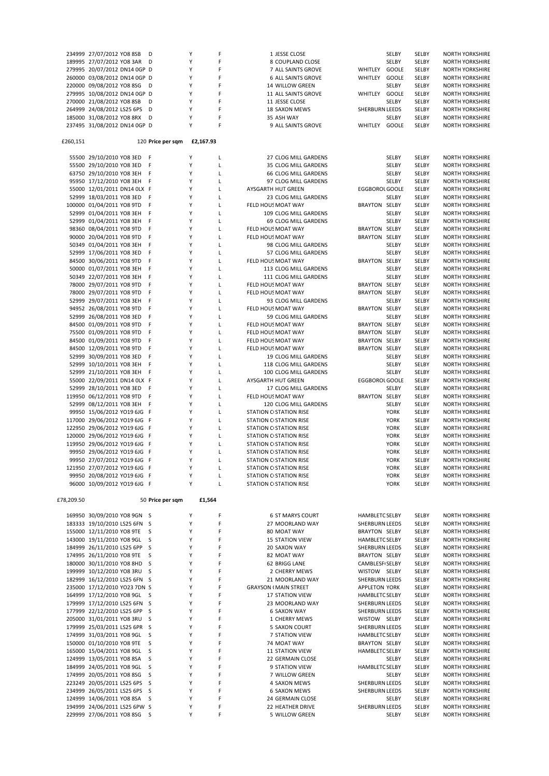|            | 189995 27/07/2012 YO8 3AR D  |                   | Υ         | F | 8 COUPLAND CLOSE              |                       | SELBY       | SELBY | <b>NORTH YORKSHIRE</b> |
|------------|------------------------------|-------------------|-----------|---|-------------------------------|-----------------------|-------------|-------|------------------------|
|            | 279995 20/07/2012 DN14 0GP D |                   | Υ         | F | 7 ALL SAINTS GROVE            | WHITLEY GOOLE         |             | SELBY | <b>NORTH YORKSHIRE</b> |
|            | 260000 03/08/2012 DN14 0GP D |                   | Υ         | F | 6 ALL SAINTS GROVE            | WHITLEY GOOLE         |             | SELBY | <b>NORTH YORKSHIRE</b> |
|            |                              |                   |           |   |                               |                       |             |       |                        |
|            | 220000 09/08/2012 YO8 8SG D  |                   | Υ         | F | 14 WILLOW GREEN               |                       | SELBY       | SELBY | <b>NORTH YORKSHIRE</b> |
|            | 279995 10/08/2012 DN14 0GP D |                   | Υ         | F | 11 ALL SAINTS GROVE           | WHITLEY GOOLE         |             | SELBY | <b>NORTH YORKSHIRE</b> |
|            | 270000 21/08/2012 YO8 8SB    | D                 | Υ         | F | 11 JESSE CLOSE                |                       | SELBY       | SELBY | <b>NORTH YORKSHIRE</b> |
|            | 264999 24/08/2012 LS25 6PS D |                   | Υ         | F | 18 SAXON MEWS                 | SHERBURN LEEDS        |             | SELBY | <b>NORTH YORKSHIRE</b> |
|            | 185000 31/08/2012 YO8 8RX D  |                   | Υ         | F | 35 ASH WAY                    |                       | SELBY       | SELBY | <b>NORTH YORKSHIRE</b> |
|            |                              |                   |           |   |                               |                       |             |       |                        |
|            | 237495 31/08/2012 DN14 0GP D |                   | Υ         | F | 9 ALL SAINTS GROVE            | WHITLEY GOOLE         |             | SELBY | <b>NORTH YORKSHIRE</b> |
| £260,151   |                              | 120 Price per sqm | £2,167.93 |   |                               |                       |             |       |                        |
|            | 55500 29/10/2010 YO8 3ED F   |                   | Υ         | L | 27 CLOG MILL GARDENS          |                       | SELBY       | SELBY | <b>NORTH YORKSHIRE</b> |
|            | 55500 29/10/2010 YO8 3ED     | – F               | Υ         | L | 35 CLOG MILL GARDENS          |                       | SELBY       | SELBY | <b>NORTH YORKSHIRE</b> |
|            |                              |                   |           |   |                               |                       |             |       |                        |
|            | 63750 29/10/2010 YO8 3EH F   |                   | Υ         | L | 66 CLOG MILL GARDENS          |                       | SELBY       | SELBY | <b>NORTH YORKSHIRE</b> |
|            | 95950 17/12/2010 YO8 3EH F   |                   | Υ         | L | 97 CLOG MILL GARDENS          |                       | SELBY       | SELBY | <b>NORTH YORKSHIRE</b> |
|            | 55000 12/01/2011 DN14 0LX F  |                   | Υ         | L | AYSGARTH HUT GREEN            | EGGBOROL GOOLE        |             | SELBY | <b>NORTH YORKSHIRE</b> |
|            | 52999 18/03/2011 YO8 3ED F   |                   | Υ         | L | 23 CLOG MILL GARDENS          |                       | SELBY       | SELBY | <b>NORTH YORKSHIRE</b> |
|            | 100000 01/04/2011 YO8 9TD F  |                   | Υ         | L | FELD HOUS MOAT WAY            | <b>BRAYTON SELBY</b>  |             | SELBY | <b>NORTH YORKSHIRE</b> |
|            | 52999 01/04/2011 YO8 3EH F   |                   | Υ         | L | 109 CLOG MILL GARDENS         |                       | SELBY       | SELBY | <b>NORTH YORKSHIRE</b> |
|            |                              |                   |           |   |                               |                       |             |       |                        |
|            | 52999 01/04/2011 YO8 3EH F   |                   | Υ         | L | 69 CLOG MILL GARDENS          |                       | SELBY       | SELBY | <b>NORTH YORKSHIRE</b> |
|            | 98360 08/04/2011 YO8 9TD     | - F               | Υ         | L | FELD HOUS MOAT WAY            | <b>BRAYTON SELBY</b>  |             | SELBY | <b>NORTH YORKSHIRE</b> |
|            | 90000 20/04/2011 YO8 9TD     | - F               | Υ         | Г | FELD HOUS MOAT WAY            | <b>BRAYTON SELBY</b>  |             | SELBY | <b>NORTH YORKSHIRE</b> |
|            | 50349 01/04/2011 YO8 3EH F   |                   | Υ         | L | 98 CLOG MILL GARDENS          |                       | SELBY       | SELBY | <b>NORTH YORKSHIRE</b> |
|            | 52999 17/06/2011 YO8 3ED F   |                   | Υ         | L | 57 CLOG MILL GARDENS          |                       | SELBY       | SELBY | <b>NORTH YORKSHIRE</b> |
|            |                              |                   |           |   |                               |                       |             |       |                        |
|            | 84500 30/06/2011 YO8 9TD F   |                   | Υ         | L | FELD HOUS MOAT WAY            | <b>BRAYTON SELBY</b>  |             | SELBY | <b>NORTH YORKSHIRE</b> |
|            | 50000 01/07/2011 YO8 3EH F   |                   | Υ         | Г | 113 CLOG MILL GARDENS         |                       | SELBY       | SELBY | <b>NORTH YORKSHIRE</b> |
|            | 50349 22/07/2011 YO8 3EH F   |                   | Υ         | Г | 111 CLOG MILL GARDENS         |                       | SELBY       | SELBY | <b>NORTH YORKSHIRE</b> |
|            | 78000 29/07/2011 YO8 9TD     | F                 | Υ         | L | FELD HOUS MOAT WAY            | <b>BRAYTON SELBY</b>  |             | SELBY | <b>NORTH YORKSHIRE</b> |
|            |                              |                   |           |   |                               |                       |             |       |                        |
|            | 78000 29/07/2011 YO8 9TD     | F                 | Υ         | Г | FELD HOUS MOAT WAY            | <b>BRAYTON SELBY</b>  |             | SELBY | <b>NORTH YORKSHIRE</b> |
|            | 52999 29/07/2011 YO8 3EH F   |                   | Υ         | L | 93 CLOG MILL GARDENS          |                       | SELBY       | SELBY | <b>NORTH YORKSHIRE</b> |
|            | 94952 26/08/2011 YO8 9TD     | -F                | Υ         | Г | FELD HOUS MOAT WAY            | <b>BRAYTON SELBY</b>  |             | SELBY | <b>NORTH YORKSHIRE</b> |
|            | 52999 26/08/2011 YO8 3ED     | - F               | Υ         | Г | 59 CLOG MILL GARDENS          |                       | SELBY       | SELBY | <b>NORTH YORKSHIRE</b> |
|            | 84500 01/09/2011 YO8 9TD F   |                   | Υ         | Г | FELD HOUS MOAT WAY            | <b>BRAYTON SELBY</b>  |             | SELBY | <b>NORTH YORKSHIRE</b> |
|            |                              |                   |           |   |                               |                       |             |       |                        |
|            | 75500 01/09/2011 YO8 9TD F   |                   | Υ         | L | FELD HOUS MOAT WAY            | <b>BRAYTON SELBY</b>  |             | SELBY | <b>NORTH YORKSHIRE</b> |
|            | 84500 01/09/2011 YO8 9TD F   |                   | Υ         | Г | FELD HOUS MOAT WAY            | <b>BRAYTON SELBY</b>  |             | SELBY | <b>NORTH YORKSHIRE</b> |
|            | 84500 12/09/2011 YO8 9TD     | F                 | Υ         | Г | FELD HOUS MOAT WAY            | <b>BRAYTON SELBY</b>  |             | SELBY | <b>NORTH YORKSHIRE</b> |
|            | 52999 30/09/2011 YO8 3ED     | $-F$              | Υ         | L | 19 CLOG MILL GARDENS          |                       | SELBY       | SELBY | <b>NORTH YORKSHIRE</b> |
|            | 52999 10/10/2011 YO8 3EH F   |                   | Υ         | L | 118 CLOG MILL GARDENS         |                       | SELBY       | SELBY | <b>NORTH YORKSHIRE</b> |
|            |                              |                   |           |   |                               |                       |             |       |                        |
|            | 52999 21/10/2011 YO8 3EH F   |                   | Υ         | L | 100 CLOG MILL GARDENS         |                       | SELBY       | SELBY | <b>NORTH YORKSHIRE</b> |
|            | 55000 22/09/2011 DN14 0LX F  |                   | Υ         | Г | AYSGARTH HUT GREEN            | <b>EGGBOROL GOOLE</b> |             | SELBY | <b>NORTH YORKSHIRE</b> |
|            | 52999 28/10/2011 YO8 3ED F   |                   | Υ         | L | 17 CLOG MILL GARDENS          |                       | SELBY       | SELBY | <b>NORTH YORKSHIRE</b> |
|            | 119950 06/12/2011 YO8 9TD F  |                   | Υ         | L | FELD HOUS MOAT WAY            | <b>BRAYTON SELBY</b>  |             | SELBY | <b>NORTH YORKSHIRE</b> |
|            | 52999 08/12/2011 YO8 3EH F   |                   | Υ         | L | 120 CLOG MILL GARDENS         |                       | SELBY       | SELBY | <b>NORTH YORKSHIRE</b> |
|            |                              |                   |           |   |                               |                       |             |       |                        |
|            | 99950 15/06/2012 YO19 6JG F  |                   | Υ         | Г | STATION CISTATION RISE        |                       | YORK        | SELBY | <b>NORTH YORKSHIRE</b> |
|            | 117000 29/06/2012 YO19 6JG F |                   | Υ         | L | STATION CISTATION RISE        |                       | <b>YORK</b> | SELBY | <b>NORTH YORKSHIRE</b> |
|            | 122950 29/06/2012 YO19 6JG F |                   | Υ         | L | STATION CISTATION RISE        |                       | <b>YORK</b> | SELBY | <b>NORTH YORKSHIRE</b> |
|            | 120000 29/06/2012 YO19 6JG F |                   | Υ         | L | STATION CISTATION RISE        |                       | <b>YORK</b> | SELBY | <b>NORTH YORKSHIRE</b> |
|            | 119950 29/06/2012 YO19 6JG F |                   | Υ         |   |                               |                       |             | SELBY |                        |
|            |                              |                   |           | L | STATION CISTATION RISE        |                       | <b>YORK</b> |       | <b>NORTH YORKSHIRE</b> |
|            | 99950 29/06/2012 YO19 6JG F  |                   | Υ         | L | STATION CISTATION RISE        |                       | <b>YORK</b> | SELBY | <b>NORTH YORKSHIRE</b> |
|            | 99950 27/07/2012 YO19 6JG F  |                   | Υ         | L | <b>STATION CISTATION RISE</b> |                       | <b>YORK</b> | SELBY | <b>NORTH YORKSHIRE</b> |
|            | 121950 27/07/2012 YO19 6JG F |                   | Y         | Г | STATION CISTATION RISE        |                       | <b>YORK</b> | SELBY | <b>NORTH YORKSHIRE</b> |
|            | 99950 20/08/2012 YO19 6JG F  |                   | Υ         | L | STATION CISTATION RISE        |                       | YORK        | SELBY | <b>NORTH YORKSHIRE</b> |
|            |                              |                   |           |   |                               |                       |             |       |                        |
|            | 96000 10/09/2012 YO19 6JG F  |                   | Υ         | Г | <b>STATION CISTATION RISE</b> |                       | <b>YORK</b> | SELBY | <b>NORTH YORKSHIRE</b> |
| £78,209.50 |                              | 50 Price per sqm  | £1,564    |   |                               |                       |             |       |                        |
|            | 169950 30/09/2010 YO8 9GN S  |                   | Υ         | F | <b>6 ST MARYS COURT</b>       | <b>HAMBLETC SELBY</b> |             | SELBY | <b>NORTH YORKSHIRE</b> |
|            | 183333 19/10/2010 LS25 6FN S |                   | Υ         | F | 27 MOORLAND WAY               | <b>SHERBURN LEEDS</b> |             | SELBY | <b>NORTH YORKSHIRE</b> |
|            |                              |                   |           |   |                               |                       |             |       |                        |
|            | 155000 12/11/2010 YO8 9TE S  |                   | Υ         | F | 80 MOAT WAY                   | <b>BRAYTON SELBY</b>  |             | SELBY | <b>NORTH YORKSHIRE</b> |
|            | 143000 19/11/2010 YO8 9GL S  |                   | Υ         | F | <b>15 STATION VIEW</b>        | HAMBLETC SELBY        |             | SELBY | <b>NORTH YORKSHIRE</b> |
|            | 184999 26/11/2010 LS25 6PP S |                   | Υ         | F | 20 SAXON WAY                  | <b>SHERBURN LEEDS</b> |             | SELBY | <b>NORTH YORKSHIRE</b> |
|            | 174995 26/11/2010 YO8 9TE S  |                   | Υ         | F | 82 MOAT WAY                   | <b>BRAYTON SELBY</b>  |             | SELBY | <b>NORTH YORKSHIRE</b> |
|            | 180000 30/11/2010 YO8 8HD S  |                   | Υ         | F | 62 BRIGG LANE                 | CAMBLESFISELBY        |             | SELBY | <b>NORTH YORKSHIRE</b> |
|            |                              |                   |           |   |                               |                       |             |       |                        |
|            | 199999 10/12/2010 YO8 3RU S  |                   | Υ         | F | 2 CHERRY MEWS                 | WISTOW SELBY          |             | SELBY | <b>NORTH YORKSHIRE</b> |
|            | 182999 16/12/2010 LS25 6FN S |                   | Υ         | F | 21 MOORLAND WAY               | SHERBURN LEEDS        |             | SELBY | <b>NORTH YORKSHIRE</b> |
|            | 235000 17/12/2010 YO23 7DN S |                   | Υ         | F | <b>GRAYSON (MAIN STREET</b>   | APPLETON YORK         |             | SELBY | <b>NORTH YORKSHIRE</b> |
|            | 164999 17/12/2010 YO8 9GL S  |                   | Υ         | F | <b>17 STATION VIEW</b>        | HAMBLETC SELBY        |             | SELBY | <b>NORTH YORKSHIRE</b> |
|            | 179999 17/12/2010 LS25 6FN S |                   | Υ         | F | 23 MOORLAND WAY               | SHERBURN LEEDS        |             | SELBY | <b>NORTH YORKSHIRE</b> |
|            |                              |                   | Υ         | F |                               |                       |             |       |                        |
|            | 177999 22/12/2010 LS25 6PP S |                   |           |   | <b>6 SAXON WAY</b>            | SHERBURN LEEDS        |             | SELBY | <b>NORTH YORKSHIRE</b> |
|            | 205000 31/01/2011 YO8 3RU S  |                   | Υ         | F | 1 CHERRY MEWS                 | WISTOW SELBY          |             | SELBY | <b>NORTH YORKSHIRE</b> |
|            | 179999 25/03/2011 LS25 6PR S |                   | Υ         | F | 5 SAXON COURT                 | SHERBURN LEEDS        |             | SELBY | <b>NORTH YORKSHIRE</b> |
|            | 174999 31/03/2011 YO8 9GL S  |                   | Υ         | F | 7 STATION VIEW                | HAMBLETC SELBY        |             | SELBY | <b>NORTH YORKSHIRE</b> |
|            | 150000 01/10/2010 YO8 9TE S  |                   | Υ         | F | 74 MOAT WAY                   | <b>BRAYTON SELBY</b>  |             | SELBY | <b>NORTH YORKSHIRE</b> |
|            |                              |                   |           |   |                               |                       |             |       |                        |
|            | 165000 15/04/2011 YO8 9GL S  |                   | Υ         | F | <b>11 STATION VIEW</b>        | HAMBLETC SELBY        |             | SELBY | <b>NORTH YORKSHIRE</b> |
|            | 124999 13/05/2011 YO8 8SA S  |                   | Υ         | F | 22 GERMAIN CLOSE              |                       | SELBY       | SELBY | <b>NORTH YORKSHIRE</b> |
|            | 184999 24/05/2011 YO8 9GL S  |                   | Υ         | F | 9 STATION VIEW                | HAMBLETC SELBY        |             | SELBY | <b>NORTH YORKSHIRE</b> |
|            | 174999 20/05/2011 YO8 8SG S  |                   | Υ         | F | 7 WILLOW GREEN                |                       | SELBY       | SELBY | <b>NORTH YORKSHIRE</b> |
|            | 223249 20/05/2011 LS25 6PS S |                   | Υ         | F | 4 SAXON MEWS                  | SHERBURN LEEDS        |             | SELBY | <b>NORTH YORKSHIRE</b> |
|            |                              |                   |           |   |                               |                       |             |       |                        |
|            | 234999 26/05/2011 LS25 6PS S |                   | Υ         | F | <b>6 SAXON MEWS</b>           | SHERBURN LEEDS        |             | SELBY | <b>NORTH YORKSHIRE</b> |
|            | 124999 14/06/2011 YO8 8SA S  |                   | Υ         | F | 24 GERMAIN CLOSE              |                       | SELBY       | SELBY | <b>NORTH YORKSHIRE</b> |
|            | 194999 24/06/2011 LS25 6PW S |                   | Υ         | F | 22 HEATHER DRIVE              | SHERBURN LEEDS        |             | SELBY | <b>NORTH YORKSHIRE</b> |
|            | 229999 27/06/2011 YO8 8SG S  |                   | Υ         | F | 5 WILLOW GREEN                |                       | SELBY       | SELBY | <b>NORTH YORKSHIRE</b> |
|            |                              |                   |           |   |                               |                       |             |       |                        |

234999 27/07/2012 YO8 8SB D Y F 1 JESSE CLOSE SELBY SELBY SELBY NORTH YORKSHIRE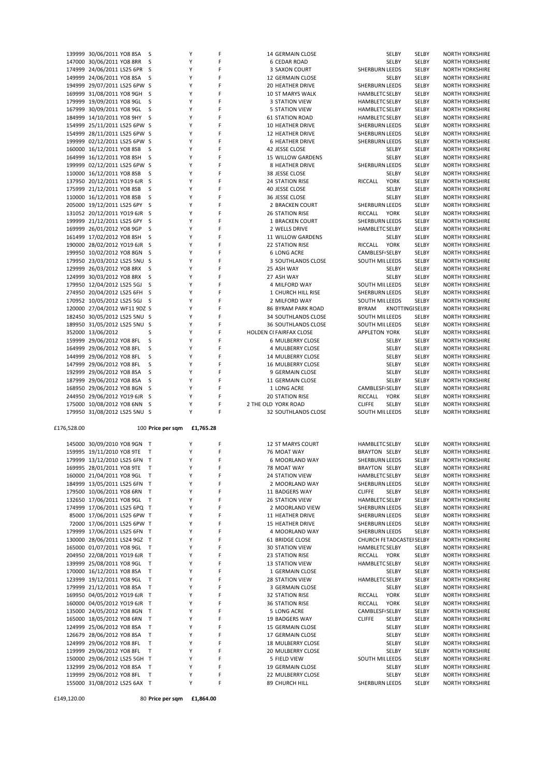|             | 139999 30/06/2011 YO8 8SA S  | Υ                 | F         | 14 GERMAIN CLOSE           | SELBY                                 | SELBY | <b>NORTH YORKSHIRE</b> |
|-------------|------------------------------|-------------------|-----------|----------------------------|---------------------------------------|-------|------------------------|
|             | 147000 30/06/2011 YO8 8RR S  | Υ                 | F         | 6 CEDAR ROAD               | SELBY                                 | SELBY | <b>NORTH YORKSHIRE</b> |
|             | 174999 24/06/2011 LS25 6PR S | Υ                 | F         | 3 SAXON COURT              | <b>SHERBURN LEEDS</b>                 | SELBY | <b>NORTH YORKSHIRE</b> |
|             | 149999 24/06/2011 YO8 8SA S  | Υ                 | F         | 12 GERMAIN CLOSE           | SELBY                                 | SELBY | <b>NORTH YORKSHIRE</b> |
|             |                              | Υ                 | F         |                            |                                       |       |                        |
|             | 194999 29/07/2011 LS25 6PW S |                   |           | 20 HEATHER DRIVE           | <b>SHERBURN LEEDS</b>                 | SELBY | <b>NORTH YORKSHIRE</b> |
|             | 169999 31/08/2011 YO8 9GH S  | Υ                 | F         | 10 ST MARYS WALK           | <b>HAMBLETC SELBY</b>                 | SELBY | <b>NORTH YORKSHIRE</b> |
|             | 179999 19/09/2011 YO8 9GL S  | Υ                 | F         | 3 STATION VIEW             | <b>HAMBLETC SELBY</b>                 | SELBY | <b>NORTH YORKSHIRE</b> |
|             | 167999 30/09/2011 YO8 9GL S  | Υ                 | F         | 5 STATION VIEW             | <b>HAMBLETC SELBY</b>                 | SELBY | <b>NORTH YORKSHIRE</b> |
|             | 184999 14/10/2011 YO8 9HY S  | Υ                 | F         | <b>61 STATION ROAD</b>     | <b>HAMBLETC SELBY</b>                 | SELBY | <b>NORTH YORKSHIRE</b> |
|             | 154999 25/11/2011 LS25 6PW S | Υ                 | F         | 10 HEATHER DRIVE           | SHERBURN LEEDS                        | SELBY | <b>NORTH YORKSHIRE</b> |
|             | 154999 28/11/2011 LS25 6PW S | Υ                 | F         | 12 HEATHER DRIVE           | <b>SHERBURN LEEDS</b>                 | SELBY | <b>NORTH YORKSHIRE</b> |
|             |                              |                   |           |                            |                                       |       |                        |
|             | 199999 02/12/2011 LS25 6PW S | Υ                 | F         | <b>6 HEATHER DRIVE</b>     | SHERBURN LEEDS                        | SELBY | <b>NORTH YORKSHIRE</b> |
|             | 160000 16/12/2011 YO8 8SB S  | Y                 | F         | 42 JESSE CLOSE             | SELBY                                 | SELBY | <b>NORTH YORKSHIRE</b> |
|             | 164999 16/12/2011 YO8 8SH S  | Υ                 | F         | 15 WILLOW GARDENS          | SELBY                                 | SELBY | <b>NORTH YORKSHIRE</b> |
|             | 199999 02/12/2011 LS25 6PW S | Υ                 | F         | 8 HEATHER DRIVE            | SHERBURN LEEDS                        | SELBY | <b>NORTH YORKSHIRE</b> |
|             | 110000 16/12/2011 YO8 8SB S  | Υ                 | F         | 38 JESSE CLOSE             | SELBY                                 | SELBY | <b>NORTH YORKSHIRE</b> |
|             | 137950 20/12/2011 YO19 6JR S | Υ                 | F         |                            |                                       |       |                        |
|             |                              |                   |           | 24 STATION RISE            | RICCALL<br><b>YORK</b>                | SELBY | <b>NORTH YORKSHIRE</b> |
|             | 175999 21/12/2011 YO8 8SB    | Υ<br>S-           | F         | 40 JESSE CLOSE             | SELBY                                 | SELBY | <b>NORTH YORKSHIRE</b> |
|             | 110000 16/12/2011 YO8 8SB S  | Υ                 | F         | 36 JESSE CLOSE             | SELBY                                 | SELBY | <b>NORTH YORKSHIRE</b> |
|             | 205000 19/12/2011 LS25 6PY S | Υ                 | F         | 2 BRACKEN COURT            | SHERBURN LEEDS                        | SELBY | <b>NORTH YORKSHIRE</b> |
|             | 131052 20/12/2011 YO19 6JR S | Υ                 | F         | 26 STATION RISE            | RICCALL YORK                          | SELBY | <b>NORTH YORKSHIRE</b> |
|             | 199999 21/12/2011 LS25 6PY S | Υ                 | F         | 1 BRACKEN COURT            | <b>SHERBURN LEEDS</b>                 | SELBY | <b>NORTH YORKSHIRE</b> |
|             | 169999 26/01/2012 YO8 9GP S  | Υ                 | F         | 2 WELLS DRIVE              | <b>HAMBLETC SELBY</b>                 | SELBY | <b>NORTH YORKSHIRE</b> |
|             |                              |                   |           |                            |                                       |       |                        |
|             | 161499 17/02/2012 YO8 8SH S  | Υ                 | F         | 11 WILLOW GARDENS          | SELBY                                 | SELBY | <b>NORTH YORKSHIRE</b> |
|             | 190000 28/02/2012 YO19 6JR S | Υ                 | F         | 22 STATION RISE            | RICCALL<br>YORK                       | SELBY | <b>NORTH YORKSHIRE</b> |
|             | 199950 10/02/2012 YO8 8GN S  | Υ                 | F         | <b>6 LONG ACRE</b>         | CAMBLESFISELBY                        | SELBY | <b>NORTH YORKSHIRE</b> |
|             | 179950 23/03/2012 LS25 5NU S | Υ                 | F         | 3 SOUTHLANDS CLOSE         | SOUTH MILLEEDS                        | SELBY | <b>NORTH YORKSHIRE</b> |
|             | 129999 26/03/2012 YO8 8RX S  | Υ                 | F         | 25 ASH WAY                 | SELBY                                 | SELBY | <b>NORTH YORKSHIRE</b> |
|             | 124999 30/03/2012 YO8 8RX S  | Υ                 | F         | 27 ASH WAY                 | SELBY                                 | SELBY | <b>NORTH YORKSHIRE</b> |
|             |                              |                   |           |                            |                                       |       |                        |
|             | 179950 12/04/2012 LS25 5GJ S | Υ                 | F         | 4 MILFORD WAY              | SOUTH MILLEEDS                        | SELBY | <b>NORTH YORKSHIRE</b> |
|             | 274950 20/04/2012 LS25 6FH S | Υ                 | F         | 1 CHURCH HILL RISE         | <b>SHERBURN LEEDS</b>                 | SELBY | <b>NORTH YORKSHIRE</b> |
|             | 170952 10/05/2012 LS25 5GJ S | Υ                 | F         | 2 MILFORD WAY              | SOUTH MILLEEDS                        | SELBY | <b>NORTH YORKSHIRE</b> |
|             | 120000 27/04/2012 WF11 9DZ S | Υ                 | F         | 86 BYRAM PARK ROAD         | <b>BYRAM</b><br><b>KNOTTINGISELBY</b> |       | <b>NORTH YORKSHIRE</b> |
|             | 182450 30/05/2012 LS25 5NU S | Υ                 | F         | 34 SOUTHLANDS CLOSE        | SOUTH MILLEEDS                        | SELBY | <b>NORTH YORKSHIRE</b> |
|             |                              | Υ                 | F         |                            |                                       |       |                        |
|             | 189950 31/05/2012 LS25 5NU S |                   |           | <b>36 SOUTHLANDS CLOSE</b> | SOUTH MILLEEDS                        | SELBY | <b>NORTH YORKSHIRE</b> |
|             | 352000 13/06/2012            | Υ<br>S            | F         | HOLDEN C(FAIRFAX CLOSE     | APPLETON YORK                         | SELBY | <b>NORTH YORKSHIRE</b> |
|             | 159999 29/06/2012 YO8 8FL S  | Υ                 | F         | 6 MULBERRY CLOSE           | SELBY                                 | SELBY | <b>NORTH YORKSHIRE</b> |
|             | 164999 29/06/2012 YO8 8FL    | Υ<br>$\mathsf{S}$ | F         | 4 MULBERRY CLOSE           | SELBY                                 | SELBY | <b>NORTH YORKSHIRE</b> |
|             | 144999 29/06/2012 YO8 8FL    | S<br>Υ            | F         | 14 MULBERRY CLOSE          | SELBY                                 | SELBY | <b>NORTH YORKSHIRE</b> |
|             | 147999 29/06/2012 YO8 8FL    | Υ<br>S            | F         | 16 MULBERRY CLOSE          | SELBY                                 | SELBY | <b>NORTH YORKSHIRE</b> |
|             | 192999 29/06/2012 YO8 8SA    | Υ<br>S.           | F         | 9 GERMAIN CLOSE            | SELBY                                 | SELBY | <b>NORTH YORKSHIRE</b> |
|             |                              |                   |           |                            |                                       |       |                        |
|             | 187999 29/06/2012 YO8 8SA    | $\mathsf{S}$<br>Υ | F         | 11 GERMAIN CLOSE           | SELBY                                 | SELBY | <b>NORTH YORKSHIRE</b> |
|             |                              |                   |           |                            |                                       |       |                        |
|             | 168950 29/06/2012 YO8 8GN S  | Υ                 | F         | 1 LONG ACRE                | CAMBLESFISELBY                        | SELBY | <b>NORTH YORKSHIRE</b> |
|             | 244950 29/06/2012 YO19 6JR S | Υ                 | F         | 20 STATION RISE            | RICCALL<br><b>YORK</b>                | SELBY | <b>NORTH YORKSHIRE</b> |
|             |                              | Υ                 |           |                            |                                       |       |                        |
|             | 175000 10/08/2012 YO8 6NN S  |                   | F         | 2 THE OLD YORK ROAD        | <b>CLIFFE</b><br>SELBY                | SELBY | <b>NORTH YORKSHIRE</b> |
|             | 179950 31/08/2012 LS25 5NU S | Y                 | F         | <b>32 SOUTHLANDS CLOSE</b> | SOUTH MILLEEDS                        | SELBY | <b>NORTH YORKSHIRE</b> |
|             |                              |                   |           |                            |                                       |       |                        |
| £176,528.00 |                              | 100 Price per sqm | £1,765.28 |                            |                                       |       |                        |
|             |                              |                   |           |                            |                                       |       |                        |
|             | 145000 30/09/2010 YO8 9GN T  | Υ                 | F         | 12 ST MARYS COURT          | <b>HAMBLETC SELBY</b>                 | SELBY | <b>NORTH YORKSHIRE</b> |
|             | 159995 19/11/2010 YO8 9TE T  | Υ                 | F         | 76 MOAT WAY                | <b>BRAYTON SELBY</b>                  | SELBY | <b>NORTH YORKSHIRE</b> |
|             | 179999 13/12/2010 LS25 6FN T | Υ                 | F         | 6 MOORLAND WAY             | SHERBURN LEEDS                        | SELBY | <b>NORTH YORKSHIRE</b> |
|             |                              |                   | F         |                            |                                       |       |                        |
|             | 169995 28/01/2011 YO8 9TE T  | Υ                 |           | 78 MOAT WAY                | BRAYTON SELBY                         | SELBY | <b>NORTH YORKSHIRE</b> |
|             | 160000 21/04/2011 YO8 9GL T  | Υ                 | F         | 24 STATION VIEW            | HAMBLETC SELBY                        | SELBY | <b>NORTH YORKSHIRE</b> |
|             | 184999 13/05/2011 LS25 6FN T | Υ                 | F         | 2 MOORLAND WAY             | SHERBURN LEEDS                        | SELBY | <b>NORTH YORKSHIRE</b> |
|             | 179500 10/06/2011 YO8 6RN T  | Υ                 | F         | 11 BADGERS WAY             | <b>CLIFFE</b><br>SELBY                | SELBY | <b>NORTH YORKSHIRE</b> |
|             | 132650 17/06/2011 YO8 9GL T  | Υ                 | F         | 26 STATION VIEW            | <b>HAMBLETC SELBY</b>                 | SELBY | <b>NORTH YORKSHIRE</b> |
|             | 174999 17/06/2011 LS25 6PQ T | Υ                 | F         | 2 MOORLAND VIEW            | SHERBURN LEEDS                        | SELBY | <b>NORTH YORKSHIRE</b> |
|             | 85000 17/06/2011 LS25 6PW T  | Υ                 | F         | 11 HEATHER DRIVE           | SHERBURN LEEDS                        | SELBY | <b>NORTH YORKSHIRE</b> |
|             | 72000 17/06/2011 LS25 6PW T  | Υ                 | F         | 15 HEATHER DRIVE           | <b>SHERBURN LEEDS</b>                 | SELBY | <b>NORTH YORKSHIRE</b> |
|             |                              |                   |           |                            |                                       |       |                        |
|             | 179999 17/06/2011 LS25 6FN T | Υ                 | F         | 4 MOORLAND WAY             | <b>SHERBURN LEEDS</b>                 | SELBY | <b>NORTH YORKSHIRE</b> |
|             | 130000 28/06/2011 LS24 9GZ T | Υ                 | F         | 61 BRIDGE CLOSE            | CHURCH FETADCASTEFSELBY               |       | <b>NORTH YORKSHIRE</b> |
|             | 165000 01/07/2011 YO8 9GL T  | Υ                 | F         | <b>30 STATION VIEW</b>     | HAMBLETC SELBY                        | SELBY | <b>NORTH YORKSHIRE</b> |
|             | 204950 22/08/2011 YO19 6JR T | Υ                 | F         | 23 STATION RISE            | RICCALL YORK                          | SELBY | <b>NORTH YORKSHIRE</b> |
|             | 139999 25/08/2011 YO8 9GL T  | Υ                 | F         | <b>13 STATION VIEW</b>     | <b>HAMBLETC SELBY</b>                 | SELBY | <b>NORTH YORKSHIRE</b> |
|             | 170000 16/12/2011 YO8 8SA T  | Υ                 | F         | 1 GERMAIN CLOSE            | SELBY                                 | SELBY | <b>NORTH YORKSHIRE</b> |
|             |                              | Υ                 |           |                            |                                       |       |                        |
|             | 123999 19/12/2011 YO8 9GL T  |                   | F         | 28 STATION VIEW            | <b>HAMBLETC SELBY</b>                 | SELBY | <b>NORTH YORKSHIRE</b> |
|             | 179999 21/12/2011 YO8 8SA T  | Υ                 | F         | 3 GERMAIN CLOSE            | SELBY                                 | SELBY | <b>NORTH YORKSHIRE</b> |
|             | 169950 04/05/2012 YO19 6JR T | Υ                 | F         | <b>32 STATION RISE</b>     | RICCALL<br><b>YORK</b>                | SELBY | <b>NORTH YORKSHIRE</b> |
|             | 160000 04/05/2012 YO19 6JR T | Υ                 | F         | <b>36 STATION RISE</b>     | <b>YORK</b><br>RICCALL                | SELBY | <b>NORTH YORKSHIRE</b> |
|             | 135000 24/05/2012 YO8 8GN T  | Υ                 | F         | 5 LONG ACRE                | CAMBLESFISELBY                        | SELBY | <b>NORTH YORKSHIRE</b> |
|             | 165000 18/05/2012 YO8 6RN T  | Υ                 | F         | 19 BADGERS WAY             | <b>CLIFFE</b><br>SELBY                | SELBY | <b>NORTH YORKSHIRE</b> |
|             |                              | Υ                 |           |                            |                                       |       |                        |
|             | 124999 25/06/2012 YO8 8SA T  |                   | F         | 15 GERMAIN CLOSE           | SELBY                                 | SELBY | <b>NORTH YORKSHIRE</b> |
|             | 126679 28/06/2012 YO8 8SA T  | Υ                 | F         | 17 GERMAIN CLOSE           | SELBY                                 | SELBY | <b>NORTH YORKSHIRE</b> |
|             | 124999 29/06/2012 YO8 8FL    | Υ<br>$\top$       | F         | 18 MULBERRY CLOSE          | SELBY                                 | SELBY | <b>NORTH YORKSHIRE</b> |
|             | 119999 29/06/2012 YO8 8FL    | Υ<br>$\top$       | F         | 20 MULBERRY CLOSE          | SELBY                                 | SELBY | <b>NORTH YORKSHIRE</b> |
|             | 150000 29/06/2012 LS25 5GH T | Υ                 | F         | 5 FIELD VIEW               | SOUTH MILLEEDS                        | SELBY | <b>NORTH YORKSHIRE</b> |
|             | 132999 29/06/2012 YO8 8SA T  | Υ                 | F         | 19 GERMAIN CLOSE           | SELBY                                 | SELBY | <b>NORTH YORKSHIRE</b> |
|             | 119999 29/06/2012 YO8 8FL T  | Υ                 | F         | 22 MULBERRY CLOSE          | SELBY                                 | SELBY | <b>NORTH YORKSHIRE</b> |
|             |                              |                   |           |                            |                                       |       |                        |
|             | 155000 31/08/2012 LS25 6AX T | Y                 | F         | 89 CHURCH HILL             | <b>SHERBURN LEEDS</b>                 | SELBY | <b>NORTH YORKSHIRE</b> |
| £149,120.00 |                              | 80 Price per sqm  | £1,864.00 |                            |                                       |       |                        |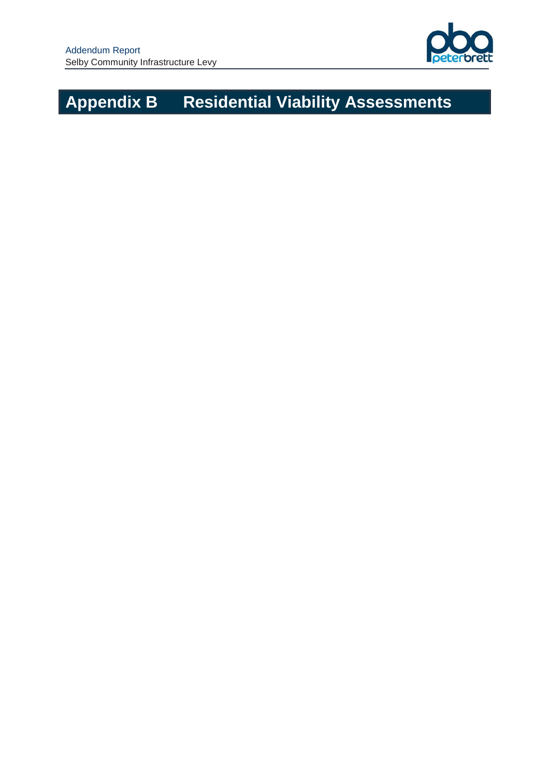

# **Appendix B Residential Viability Assessments**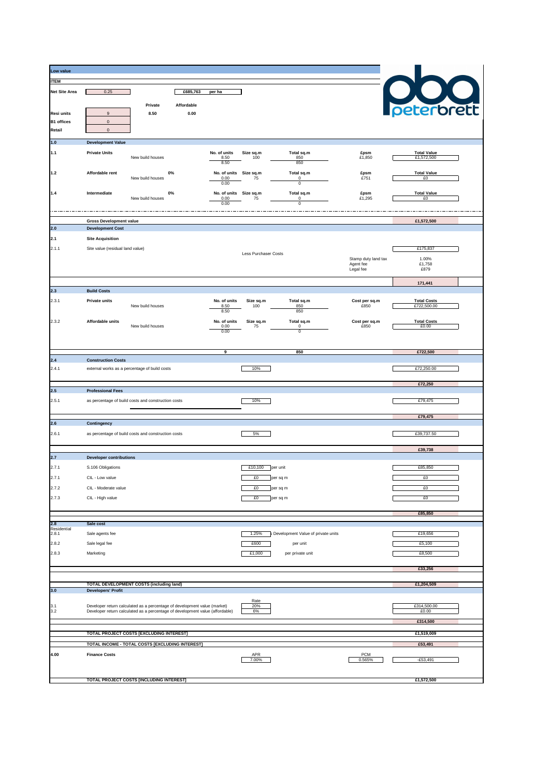| Low value<br><b>ITEM</b>        |                                                                               |                                                                           |            |                                |                             |                                      |                        |                                  |  |
|---------------------------------|-------------------------------------------------------------------------------|---------------------------------------------------------------------------|------------|--------------------------------|-----------------------------|--------------------------------------|------------------------|----------------------------------|--|
| <b>Net Site Area</b>            | 0.25                                                                          |                                                                           | £685,763   |                                |                             |                                      |                        | DOOC                             |  |
|                                 |                                                                               |                                                                           |            | per ha                         |                             |                                      |                        |                                  |  |
|                                 |                                                                               | Private                                                                   | Affordable |                                |                             |                                      |                        |                                  |  |
| Resi units<br><b>B1</b> offices | $\overline{9}$<br>$\mathbf 0$                                                 | 8.50                                                                      | 0.00       |                                |                             |                                      |                        |                                  |  |
| Retail                          | $\mathbf{0}$                                                                  |                                                                           |            |                                |                             |                                      |                        |                                  |  |
|                                 |                                                                               |                                                                           |            |                                |                             |                                      |                        |                                  |  |
| 1.0                             | <b>Development Value</b>                                                      |                                                                           |            |                                |                             |                                      |                        |                                  |  |
| 1.1                             | <b>Private Units</b>                                                          | New build houses                                                          |            | No. of units<br>8.50           | Size sq.m<br>100            | Total sq.m<br>850                    | £psm<br>£1,850         | <b>Total Value</b><br>£1,572,500 |  |
|                                 |                                                                               |                                                                           |            | 8.50                           |                             | 850                                  |                        |                                  |  |
| 1.2                             | Affordable rent                                                               | New build houses                                                          | 0%         | No. of units Size sq.m<br>0.00 | 75                          | Total sq.m<br>$\mathbf 0$            | £psm<br>£751           | <b>Total Value</b><br>£0         |  |
|                                 |                                                                               |                                                                           |            | 0.00                           |                             | $\mathbf 0$                          |                        |                                  |  |
| 1.4                             | Intermediate                                                                  | New build houses                                                          | 0%         | No. of units Size sq.m<br>0.00 | 75                          | Total sq.m<br>0                      | £psm<br>£1,295         | <b>Total Value</b><br>£0         |  |
|                                 |                                                                               |                                                                           |            | 0.00                           |                             | $\overline{0}$                       |                        |                                  |  |
|                                 | <b>Gross Development value</b>                                                |                                                                           |            |                                |                             |                                      |                        | £1,572,500                       |  |
| 2.0                             | <b>Development Cost</b>                                                       |                                                                           |            |                                |                             |                                      |                        |                                  |  |
| 2.1                             | <b>Site Acquisition</b>                                                       |                                                                           |            |                                |                             |                                      |                        |                                  |  |
| 2.1.1                           | Site value (residual land value)                                              |                                                                           |            |                                |                             |                                      |                        | £175,837                         |  |
|                                 |                                                                               |                                                                           |            |                                | <b>Less Purchaser Costs</b> |                                      | Stamp duty land tax    | 1.00%                            |  |
|                                 |                                                                               |                                                                           |            |                                |                             |                                      | Agent fee<br>Legal fee | £1,758<br>£879                   |  |
|                                 |                                                                               |                                                                           |            |                                |                             |                                      |                        |                                  |  |
| 2.3                             | <b>Build Costs</b>                                                            |                                                                           |            |                                |                             |                                      |                        | 171,441                          |  |
| 2.3.1                           | <b>Private units</b>                                                          |                                                                           |            | No. of units                   | Size sq.m                   | Total sq.m                           | Cost per sq.m          | <b>Total Costs</b>               |  |
|                                 |                                                                               | New build houses                                                          |            | 8.50<br>8.50                   | 100                         | 850<br>850                           | £850                   | £722,500.00                      |  |
| 2.3.2                           | Affordable units                                                              |                                                                           |            | No. of units                   | Size sq.m                   | Total sq.m                           | Cost per sq.m          | <b>Total Costs</b>               |  |
|                                 |                                                                               | New build houses                                                          |            | 0.00<br>0.00                   | ${\bf 75}$                  | $\mathbf 0$<br>$\overline{0}$        | £850                   | £0.00                            |  |
|                                 |                                                                               |                                                                           |            |                                |                             |                                      |                        |                                  |  |
|                                 |                                                                               |                                                                           |            |                                |                             |                                      |                        |                                  |  |
| 2.4                             | <b>Construction Costs</b>                                                     |                                                                           |            | 9                              |                             | 850                                  |                        | £722,500                         |  |
| 2.4.1                           |                                                                               | external works as a percentage of build costs                             |            |                                | 10%                         |                                      |                        | £72,250.00                       |  |
|                                 |                                                                               |                                                                           |            |                                |                             |                                      |                        |                                  |  |
| 2.5                             | <b>Professional Fees</b>                                                      |                                                                           |            |                                |                             |                                      |                        | £72,250                          |  |
| 2.5.1                           |                                                                               | as percentage of build costs and construction costs                       |            |                                | 10%                         |                                      |                        | £79,475                          |  |
|                                 |                                                                               |                                                                           |            |                                |                             |                                      |                        |                                  |  |
|                                 |                                                                               |                                                                           |            |                                |                             |                                      |                        | £79,475                          |  |
| 2.6                             | <b>Contingency</b>                                                            |                                                                           |            |                                |                             |                                      |                        |                                  |  |
| 2.6.1                           |                                                                               | as percentage of build costs and construction costs                       |            |                                | 5%                          |                                      |                        | £39,737.50                       |  |
|                                 |                                                                               |                                                                           |            |                                |                             |                                      |                        | £39,738                          |  |
| 2.7                             | <b>Developer contributions</b>                                                |                                                                           |            |                                |                             |                                      |                        |                                  |  |
| 2.7.1                           | S.106 Obligations                                                             |                                                                           |            |                                | £10,100 per unit            |                                      |                        | £85,850                          |  |
| 2.7.1                           | CIL - Low value                                                               |                                                                           |            |                                | £0                          | per sq m                             |                        | £0                               |  |
| 2.7.2                           | CIL - Moderate value                                                          |                                                                           |            |                                | £0                          | per sq m                             |                        | £0                               |  |
| 2.7.3                           | CIL - High value                                                              |                                                                           |            |                                | £0                          | per sq m                             |                        | £0                               |  |
|                                 |                                                                               |                                                                           |            |                                |                             |                                      |                        |                                  |  |
|                                 |                                                                               |                                                                           |            |                                |                             |                                      |                        | £85,850                          |  |
| 2.8<br>Residential              | Sale cost                                                                     |                                                                           |            |                                |                             |                                      |                        |                                  |  |
| 2.8.1                           | Sale agents fee                                                               |                                                                           |            |                                | 1.25%                       | B Development Value of private units |                        | £19,656                          |  |
| 2.8.2                           | Sale legal fee                                                                |                                                                           |            |                                | £600                        | per unit                             |                        | £5,100                           |  |
| 2.8.3                           | Marketing                                                                     |                                                                           |            |                                | £1,000                      | per private unit                     |                        | £8,500                           |  |
|                                 |                                                                               |                                                                           |            |                                |                             |                                      |                        | £33,256                          |  |
|                                 |                                                                               |                                                                           |            |                                |                             |                                      |                        |                                  |  |
| 3.0                             | <b>Developers' Profit</b>                                                     | <b>TOTAL DEVELOPMENT COSTS (including land)</b>                           |            |                                |                             |                                      |                        | £1,204,509                       |  |
|                                 |                                                                               |                                                                           |            |                                |                             |                                      |                        |                                  |  |
| 3.1                             |                                                                               | Developer return calculated as a percentage of development value (market) |            |                                | Rate<br>20%                 |                                      |                        | £314,500.00                      |  |
| 3.2                             | Developer return calculated as a percentage of development value (affordable) |                                                                           |            |                                | $6\%$                       |                                      |                        | £0.00                            |  |
|                                 |                                                                               |                                                                           |            |                                |                             |                                      |                        | £314,500                         |  |
|                                 |                                                                               | TOTAL PROJECT COSTS [EXCLUDING INTEREST]                                  |            |                                |                             |                                      |                        | £1,519,009                       |  |
|                                 |                                                                               | TOTAL INCOME - TOTAL COSTS [EXCLUDING INTEREST]                           |            |                                |                             |                                      |                        | £53,491                          |  |
| 4.00                            | <b>Finance Costs</b>                                                          |                                                                           |            |                                | APR                         |                                      | <b>PCM</b>             |                                  |  |
|                                 |                                                                               |                                                                           |            |                                | 7.00%                       |                                      | 0.565%                 | $-£53,491$                       |  |
|                                 |                                                                               |                                                                           |            |                                |                             |                                      |                        |                                  |  |
|                                 |                                                                               | TOTAL PROJECT COSTS [INCLUDING INTEREST]                                  |            |                                |                             |                                      |                        | £1,572,500                       |  |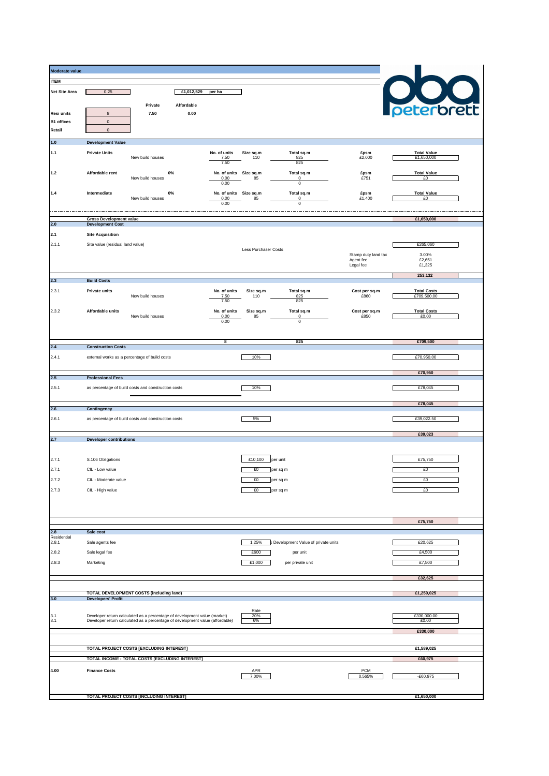| Moderate value              |                                                                                                                                                            |                  |            |                                |                             |                                      |                        |                             |  |
|-----------------------------|------------------------------------------------------------------------------------------------------------------------------------------------------------|------------------|------------|--------------------------------|-----------------------------|--------------------------------------|------------------------|-----------------------------|--|
| <b>ITEM</b>                 |                                                                                                                                                            |                  |            |                                |                             |                                      |                        |                             |  |
| <b>Net Site Area</b>        | 0.25                                                                                                                                                       |                  | £1,012,529 | per ha                         |                             |                                      |                        |                             |  |
|                             |                                                                                                                                                            | Private          | Affordable |                                |                             |                                      |                        | Deterbrett                  |  |
| Resi units                  | 8                                                                                                                                                          | 7.50             | 0.00       |                                |                             |                                      |                        |                             |  |
| <b>B1</b> offices<br>Retail | $\mathbf 0$<br>$\mathbf 0$                                                                                                                                 |                  |            |                                |                             |                                      |                        |                             |  |
| 1.0                         | <b>Development Value</b>                                                                                                                                   |                  |            |                                |                             |                                      |                        |                             |  |
| 1.1                         | <b>Private Units</b>                                                                                                                                       |                  |            | No. of units                   | Size sq.m                   | Total sq.m                           | £psm                   | <b>Total Value</b>          |  |
|                             |                                                                                                                                                            | New build houses |            | 7.50<br>7.50                   | 110                         | 825<br>825                           | £2,000                 | £1,650,000                  |  |
| $1.2$                       | Affordable rent                                                                                                                                            |                  | 0%         | No. of units Size sq.m         |                             | Total sq.m                           | £psm                   | <b>Total Value</b>          |  |
|                             |                                                                                                                                                            | New build houses |            | 0.00<br>0.00                   | 85                          | 0<br>$\overline{0}$                  | £751                   | £0                          |  |
| 1.4                         | Intermediate                                                                                                                                               | New build houses | 0%         | No. of units Size sq.m<br>0.00 | 85                          | Total sq.m<br>0                      | £psm<br>£1,400         | <b>Total Value</b><br>f()   |  |
|                             |                                                                                                                                                            |                  |            | 0.00                           |                             | 0                                    |                        |                             |  |
|                             | <b>Gross Development value</b>                                                                                                                             |                  |            |                                |                             |                                      |                        | £1,650,000                  |  |
| 2.0<br>2.1                  | <b>Development Cost</b><br><b>Site Acquisition</b>                                                                                                         |                  |            |                                |                             |                                      |                        |                             |  |
| 2.1.1                       | Site value (residual land value)                                                                                                                           |                  |            |                                |                             |                                      |                        | £265,060                    |  |
|                             |                                                                                                                                                            |                  |            |                                | <b>Less Purchaser Costs</b> |                                      | Stamp duty land tax    | 3.00%                       |  |
|                             |                                                                                                                                                            |                  |            |                                |                             |                                      | Agent fee<br>Legal fee | £2,651<br>£1,325            |  |
| 2.3                         | <b>Build Costs</b>                                                                                                                                         |                  |            |                                |                             |                                      |                        | 253,132                     |  |
| 2.3.1                       | <b>Private units</b>                                                                                                                                       |                  |            | No. of units                   | Size sq.m                   | Total sq.m                           | Cost per sq.m          | <b>Total Costs</b>          |  |
|                             |                                                                                                                                                            | New build houses |            | 7.50<br>7.50                   | 110                         | 825<br>825                           | £860                   | £709,500.00                 |  |
| 2.3.2                       | Affordable units                                                                                                                                           | New build houses |            | No. of units<br>0.00           | Size sq.m<br>85             | Total sq.m<br>0                      | Cost per sq.m<br>£850  | <b>Total Costs</b><br>£0.00 |  |
|                             |                                                                                                                                                            |                  |            | 0.00                           |                             | $\overline{0}$                       |                        |                             |  |
|                             |                                                                                                                                                            |                  |            |                                |                             |                                      |                        |                             |  |
| 2.4                         | <b>Construction Costs</b>                                                                                                                                  |                  |            | 8                              |                             | 825                                  |                        | £709,500                    |  |
| 2.4.1                       | external works as a percentage of build costs                                                                                                              |                  |            |                                | 10%                         |                                      |                        | £70,950.00                  |  |
|                             |                                                                                                                                                            |                  |            |                                |                             |                                      |                        | £70,950                     |  |
| 2.5<br>2.5.1                | <b>Professional Fees</b><br>as percentage of build costs and construction costs                                                                            |                  |            |                                | 10%                         |                                      |                        | £78,045                     |  |
|                             |                                                                                                                                                            |                  |            |                                |                             |                                      |                        |                             |  |
| 2.6                         | <b>Contingency</b>                                                                                                                                         |                  |            |                                |                             |                                      |                        | £78,045                     |  |
| 2.6.1                       | as percentage of build costs and construction costs                                                                                                        |                  |            |                                | 5%                          |                                      |                        | £39,022.50                  |  |
|                             |                                                                                                                                                            |                  |            |                                |                             |                                      |                        | £39,023                     |  |
| 2.7                         | <b>Developer contributions</b>                                                                                                                             |                  |            |                                |                             |                                      |                        |                             |  |
|                             |                                                                                                                                                            |                  |            |                                |                             |                                      |                        |                             |  |
| 2.7.1<br>2.7.1              | S.106 Obligations<br>CIL - Low value                                                                                                                       |                  |            |                                | £10,100<br>£0               | per unit<br>per sq m                 |                        | £75,750<br>£0               |  |
| 2.7.2                       | CIL - Moderate value                                                                                                                                       |                  |            |                                | £0                          | per sq m                             |                        | £0                          |  |
| 2.7.3                       | CIL - High value                                                                                                                                           |                  |            |                                | £0                          | per sq m                             |                        | £0                          |  |
|                             |                                                                                                                                                            |                  |            |                                |                             |                                      |                        |                             |  |
|                             |                                                                                                                                                            |                  |            |                                |                             |                                      |                        |                             |  |
|                             |                                                                                                                                                            |                  |            |                                |                             |                                      |                        | £75,750                     |  |
| 2.8<br>Residential          | Sale cost                                                                                                                                                  |                  |            |                                |                             |                                      |                        |                             |  |
| 2.8.1<br>2.8.2              | Sale agents fee<br>Sale legal fee                                                                                                                          |                  |            |                                | 1.25%<br>£600               | s Development Value of private units |                        | £20,625<br>£4,500           |  |
| 2.8.3                       | Marketing                                                                                                                                                  |                  |            |                                | £1,000                      | per unit<br>per private unit         |                        | £7,500                      |  |
|                             |                                                                                                                                                            |                  |            |                                |                             |                                      |                        |                             |  |
|                             |                                                                                                                                                            |                  |            |                                |                             |                                      |                        | £32,625                     |  |
| 3.0                         | TOTAL DEVELOPMENT COSTS (including land)<br><b>Developers' Profit</b>                                                                                      |                  |            |                                |                             |                                      |                        | £1,259,025                  |  |
|                             |                                                                                                                                                            |                  |            |                                | Rate                        |                                      |                        |                             |  |
| 3.1<br>3.1                  | Developer return calculated as a percentage of development value (market)<br>Developer return calculated as a percentage of development value (affordable) |                  |            |                                | 20%<br>6%                   |                                      |                        | £330,000.00<br>£0.00        |  |
|                             |                                                                                                                                                            |                  |            |                                |                             |                                      |                        | £330,000                    |  |
|                             |                                                                                                                                                            |                  |            |                                |                             |                                      |                        |                             |  |
|                             | TOTAL PROJECT COSTS [EXCLUDING INTEREST]                                                                                                                   |                  |            |                                |                             |                                      |                        | £1,589,025                  |  |
|                             | TOTAL INCOME - TOTAL COSTS [EXCLUDING INTEREST]                                                                                                            |                  |            |                                |                             |                                      |                        | £60,975                     |  |
| 4.00                        | <b>Finance Costs</b>                                                                                                                                       |                  |            |                                | APR<br>7.00%                |                                      | <b>PCM</b><br>0.565%   | $-£60,975$                  |  |
|                             |                                                                                                                                                            |                  |            |                                |                             |                                      |                        |                             |  |
|                             | <b>TOTAL PROJECT COSTS [INCLUDING INTEREST]</b>                                                                                                            |                  |            |                                |                             |                                      |                        | £1,650,000                  |  |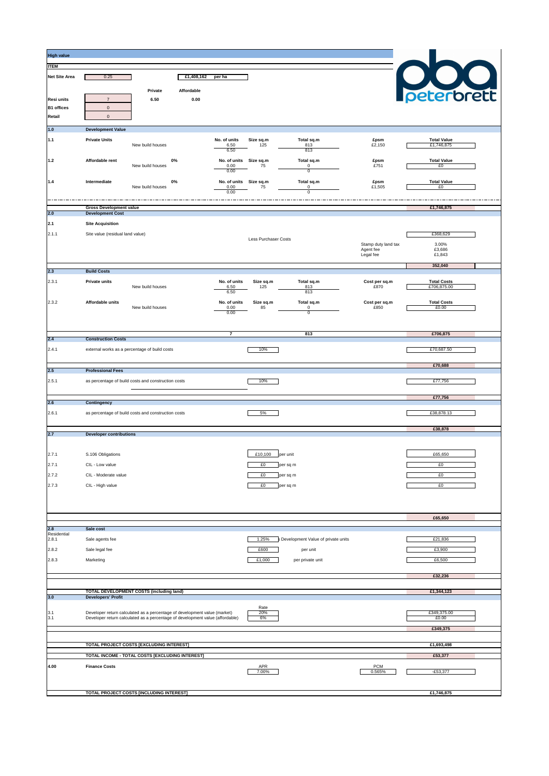| <b>High value</b>    |                                                                               |                  |            |                                |                             |                                      |                                  |                             |
|----------------------|-------------------------------------------------------------------------------|------------------|------------|--------------------------------|-----------------------------|--------------------------------------|----------------------------------|-----------------------------|
| <b>ITEM</b>          |                                                                               |                  |            |                                |                             |                                      |                                  |                             |
|                      |                                                                               |                  |            |                                |                             |                                      |                                  |                             |
| <b>Net Site Area</b> | 0.25                                                                          |                  | £1,408,162 | per ha                         |                             |                                      |                                  | peterbrett                  |
|                      |                                                                               | Private          | Affordable |                                |                             |                                      |                                  |                             |
| Resi units           | $\overline{7}$                                                                | 6.50             | 0.00       |                                |                             |                                      |                                  |                             |
| <b>B1</b> offices    | $\mathbf 0$                                                                   |                  |            |                                |                             |                                      |                                  |                             |
| Retail               | $\mathbf 0$                                                                   |                  |            |                                |                             |                                      |                                  |                             |
| 1.0                  | <b>Development Value</b>                                                      |                  |            |                                |                             |                                      |                                  |                             |
| 1.1                  | <b>Private Units</b>                                                          |                  |            | No. of units                   | Size sq.m                   | Total sq.m                           | £psm                             | <b>Total Value</b>          |
|                      |                                                                               | New build houses |            | 6.50<br>6.50                   | 125                         | 813<br>813                           | £2,150                           | £1,746,875                  |
|                      |                                                                               |                  |            |                                |                             |                                      |                                  |                             |
| $1.2$                | Affordable rent                                                               | New build houses | 0%         | No. of units<br>0.00           | Size sq.m<br>75             | Total sq.m<br>0                      | £psm<br>£751                     | <b>Total Value</b><br>£0    |
|                      |                                                                               |                  |            | 0.00                           |                             | $\overline{0}$                       |                                  |                             |
| 1.4                  | Intermediate                                                                  | New build houses | 0%         | No. of units Size sq.m<br>0.00 | 75                          | Total sq.m<br>0                      | £psm<br>£1,505                   | <b>Total Value</b><br>£0    |
|                      |                                                                               |                  |            | 0.00                           |                             | 0                                    |                                  |                             |
|                      |                                                                               |                  |            |                                |                             |                                      |                                  |                             |
| 2.0                  | <b>Gross Development value</b><br><b>Development Cost</b>                     |                  |            |                                |                             |                                      |                                  | £1,746,875                  |
| 2.1                  | <b>Site Acquisition</b>                                                       |                  |            |                                |                             |                                      |                                  |                             |
| 2.1.1                | Site value (residual land value)                                              |                  |            |                                |                             |                                      |                                  | £368,629                    |
|                      |                                                                               |                  |            |                                | <b>Less Purchaser Costs</b> |                                      |                                  | 3.00%                       |
|                      |                                                                               |                  |            |                                |                             |                                      | Stamp duty land tax<br>Agent fee | £3,686                      |
|                      |                                                                               |                  |            |                                |                             |                                      | Legal fee                        | £1,843                      |
| 2.3                  | <b>Build Costs</b>                                                            |                  |            |                                |                             |                                      |                                  | 352,040                     |
| 2.3.1                | Private units                                                                 |                  |            | No. of units                   | Size sq.m                   | Total sq.m                           | Cost per sq.m                    | <b>Total Costs</b>          |
|                      |                                                                               | New build houses |            | 6.50                           | 125                         | 813                                  | £870                             | £706,875.00                 |
|                      |                                                                               |                  |            | 6.50                           |                             | 813                                  |                                  |                             |
| 2.3.2                | Affordable units                                                              | New build houses |            | No. of units<br>0.00           | Size sq.m<br>85             | Total sq.m<br>0                      | Cost per sq.m<br>£850            | <b>Total Costs</b><br>£0.00 |
|                      |                                                                               |                  |            | 0.00                           |                             | $\overline{0}$                       |                                  |                             |
|                      |                                                                               |                  |            |                                |                             |                                      |                                  |                             |
|                      |                                                                               |                  |            | $\overline{7}$                 |                             | 813                                  |                                  | £706,875                    |
| 2.4                  | <b>Construction Costs</b>                                                     |                  |            |                                |                             |                                      |                                  |                             |
| 2.4.1                | external works as a percentage of build costs                                 |                  |            |                                | 10%                         |                                      |                                  | £70,687.50                  |
|                      |                                                                               |                  |            |                                |                             |                                      |                                  | £70,688                     |
| 2.5                  | <b>Professional Fees</b>                                                      |                  |            |                                |                             |                                      |                                  |                             |
| 2.5.1                | as percentage of build costs and construction costs                           |                  |            |                                | 10%                         |                                      |                                  | £77,756                     |
|                      |                                                                               |                  |            |                                |                             |                                      |                                  |                             |
| 2.6                  | Contingency                                                                   |                  |            |                                |                             |                                      |                                  | £77,756                     |
| 2.6.1                | as percentage of build costs and construction costs                           |                  |            |                                | 5%                          |                                      |                                  | £38,878.13                  |
|                      |                                                                               |                  |            |                                |                             |                                      |                                  |                             |
|                      |                                                                               |                  |            |                                |                             |                                      |                                  | £38,878                     |
| 2.7                  | <b>Developer contributions</b>                                                |                  |            |                                |                             |                                      |                                  |                             |
|                      |                                                                               |                  |            |                                |                             |                                      |                                  |                             |
| 2.7.1                | S.106 Obligations                                                             |                  |            |                                | £10,100                     | per unit                             |                                  | £65,650                     |
| 2.7.1                | CIL - Low value                                                               |                  |            |                                | £0                          | per sq m                             |                                  | £0                          |
| 2.7.2                | CIL - Moderate value                                                          |                  |            |                                | £0                          | per sq m                             |                                  | £0                          |
| 2.7.3                | CIL - High value                                                              |                  |            |                                | £0                          | per sq m                             |                                  | £0                          |
|                      |                                                                               |                  |            |                                |                             |                                      |                                  |                             |
|                      |                                                                               |                  |            |                                |                             |                                      |                                  |                             |
|                      |                                                                               |                  |            |                                |                             |                                      |                                  | £65,650                     |
| 2.8                  | Sale cost                                                                     |                  |            |                                |                             |                                      |                                  |                             |
| Residential          |                                                                               |                  |            |                                |                             |                                      |                                  |                             |
| 2.8.1                | Sale agents fee                                                               |                  |            |                                | 1.25%                       | s Development Value of private units |                                  | £21,836                     |
| 2.8.2                | Sale legal fee                                                                |                  |            |                                | £600                        | per unit                             |                                  | £3,900                      |
| 2.8.3                | Marketing                                                                     |                  |            |                                | £1,000                      | per private unit                     |                                  | £6,500                      |
|                      |                                                                               |                  |            |                                |                             |                                      |                                  | £32,236                     |
|                      |                                                                               |                  |            |                                |                             |                                      |                                  |                             |
|                      | <b>TOTAL DEVELOPMENT COSTS (including land)</b>                               |                  |            |                                |                             |                                      |                                  | £1,344,123                  |
| 3.0                  | <b>Developers' Profit</b>                                                     |                  |            |                                |                             |                                      |                                  |                             |
| 3.1                  | Developer return calculated as a percentage of development value (market)     |                  |            |                                | Rate<br>20%                 |                                      |                                  | £349,375.00                 |
| 3.1                  | Developer return calculated as a percentage of development value (affordable) |                  |            |                                | 6%                          |                                      |                                  | £0.00                       |
|                      |                                                                               |                  |            |                                |                             |                                      |                                  | £349,375                    |
|                      |                                                                               |                  |            |                                |                             |                                      |                                  |                             |
|                      | TOTAL PROJECT COSTS [EXCLUDING INTEREST]                                      |                  |            |                                |                             |                                      |                                  | £1,693,498                  |
|                      | TOTAL INCOME - TOTAL COSTS [EXCLUDING INTEREST]                               |                  |            |                                |                             |                                      |                                  | £53,377                     |
| 4.00                 | <b>Finance Costs</b>                                                          |                  |            |                                | <b>APR</b>                  |                                      | <b>PCM</b>                       |                             |
|                      |                                                                               |                  |            |                                | 7.00%                       |                                      | 0.565%                           | $-E53,377$                  |
|                      |                                                                               |                  |            |                                |                             |                                      |                                  |                             |
|                      | TOTAL PROJECT COSTS [INCLUDING INTEREST]                                      |                  |            |                                |                             |                                      |                                  | £1,746,875                  |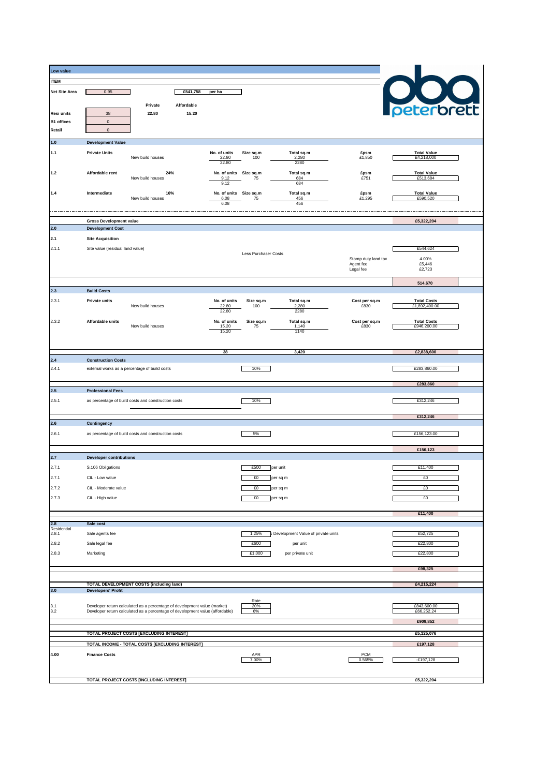| Low value                |                                  |                                                                               |                                |                             |                                    |                        |                                  |  |
|--------------------------|----------------------------------|-------------------------------------------------------------------------------|--------------------------------|-----------------------------|------------------------------------|------------------------|----------------------------------|--|
| <b>ITEM</b>              |                                  |                                                                               |                                |                             |                                    |                        | Deterbrett                       |  |
| <b>Net Site Area</b>     | 0.95                             | £541,758                                                                      | per ha                         |                             |                                    |                        |                                  |  |
|                          |                                  | Private<br>Affordable                                                         |                                |                             |                                    |                        |                                  |  |
| Resi units<br>B1 offices | 38<br>$\mathbf 0$                | 22.80<br>15.20                                                                |                                |                             |                                    |                        |                                  |  |
| Retail                   | $\mathsf 0$                      |                                                                               |                                |                             |                                    |                        |                                  |  |
|                          |                                  |                                                                               |                                |                             |                                    |                        |                                  |  |
| 1.0                      | <b>Development Value</b>         |                                                                               |                                |                             |                                    |                        |                                  |  |
| 1.1                      | <b>Private Units</b>             | New build houses                                                              | No. of units<br>22.80<br>22.80 | Size sq.m<br>100            | Total sq.m<br>2,280<br>2280        | £psm<br>£1,850         | <b>Total Value</b><br>£4,218,000 |  |
|                          | Affordable rent                  | 24%                                                                           | No. of units Size sq.m         |                             |                                    |                        |                                  |  |
| 1.2                      |                                  | New build houses                                                              | $\frac{9.12}{9.12}$            | 75                          | Total sq.m<br>684<br>684           | £psm<br>£751           | <b>Total Value</b><br>£513,684   |  |
|                          | Intermediate                     | 16%                                                                           |                                |                             | Total sq.m                         |                        | <b>Total Value</b>               |  |
| 1.4                      |                                  | New build houses                                                              | No. of units Size sq.m<br>6.08 | 75                          | 456                                | £psm<br>£1,295         | £590,520                         |  |
|                          |                                  |                                                                               | 6.08                           |                             | 456                                |                        |                                  |  |
|                          | <b>Gross Development value</b>   |                                                                               |                                |                             |                                    |                        | £5,322,204                       |  |
| 2.0                      | <b>Development Cost</b>          |                                                                               |                                |                             |                                    |                        |                                  |  |
| 2.1                      | <b>Site Acquisition</b>          |                                                                               |                                |                             |                                    |                        |                                  |  |
| 2.1.1                    | Site value (residual land value) |                                                                               |                                | <b>Less Purchaser Costs</b> |                                    |                        | £544,624                         |  |
|                          |                                  |                                                                               |                                |                             |                                    | Stamp duty land tax    | 4.00%                            |  |
|                          |                                  |                                                                               |                                |                             |                                    | Agent fee<br>Legal fee | £5,446<br>£2,723                 |  |
|                          |                                  |                                                                               |                                |                             |                                    |                        | 514,670                          |  |
| 2.3                      | <b>Build Costs</b>               |                                                                               |                                |                             |                                    |                        |                                  |  |
| 2.3.1                    | <b>Private units</b>             |                                                                               | No. of units                   | Size sq.m                   | Total sq.m                         | Cost per sq.m          | <b>Total Costs</b>               |  |
|                          |                                  | New build houses                                                              | 22.80<br>22.80                 | 100                         | 2,280<br>2280                      | £830                   | £1,892,400.00                    |  |
| 2.3.2                    | Affordable units                 |                                                                               | No. of units                   | Size sq.m                   | Total sq.m                         | Cost per sq.m          | <b>Total Costs</b>               |  |
|                          |                                  | New build houses                                                              | 15.20<br>15.20                 | 75                          | 1,140<br>1140                      | £830                   | £946,200.00                      |  |
|                          |                                  |                                                                               |                                |                             |                                    |                        |                                  |  |
|                          |                                  |                                                                               | 38                             |                             | 3,420                              |                        | £2,838,600                       |  |
| 2.4                      | <b>Construction Costs</b>        |                                                                               |                                |                             |                                    |                        |                                  |  |
| 2.4.1                    |                                  | external works as a percentage of build costs                                 |                                | 10%                         |                                    |                        | £283,860.00                      |  |
|                          |                                  |                                                                               |                                |                             |                                    |                        | £283,860                         |  |
| 2.5                      | <b>Professional Fees</b>         |                                                                               |                                |                             |                                    |                        |                                  |  |
| 2.5.1                    |                                  | as percentage of build costs and construction costs                           |                                | 10%                         |                                    |                        | £312,246                         |  |
|                          |                                  |                                                                               |                                |                             |                                    |                        |                                  |  |
| 2.6                      | <b>Contingency</b>               |                                                                               |                                |                             |                                    |                        | £312,246                         |  |
| 2.6.1                    |                                  | as percentage of build costs and construction costs                           |                                | $5\%$                       |                                    |                        | £156,123.00                      |  |
|                          |                                  |                                                                               |                                |                             |                                    |                        |                                  |  |
|                          |                                  |                                                                               |                                |                             |                                    |                        | £156,123                         |  |
| 2.7                      | <b>Developer contributions</b>   |                                                                               |                                |                             |                                    |                        |                                  |  |
| 2.7.1                    | S.106 Obligations                |                                                                               |                                | £500                        | per unit                           |                        | £11,400                          |  |
| 2.7.1                    | CIL - Low value                  |                                                                               |                                | £0                          | per sq m                           |                        | £0                               |  |
| 2.7.2                    | CIL - Moderate value             |                                                                               |                                | £0                          | per sq m                           |                        | £0                               |  |
| 2.7.3                    | CIL - High value                 |                                                                               |                                | £0                          | per sq m                           |                        | £0                               |  |
|                          |                                  |                                                                               |                                |                             |                                    |                        | £11,400                          |  |
| 2.8                      | Sale cost                        |                                                                               |                                |                             |                                    |                        |                                  |  |
| Residential<br>2.8.1     | Sale agents fee                  |                                                                               |                                | 1.25%                       | Development Value of private units |                        | £52,725                          |  |
| 2.8.2                    | Sale legal fee                   |                                                                               |                                | £600                        | per unit                           |                        | £22,800                          |  |
| 2.8.3                    | Marketing                        |                                                                               |                                | £1,000                      | per private unit                   |                        | £22,800                          |  |
|                          |                                  |                                                                               |                                |                             |                                    |                        |                                  |  |
|                          |                                  |                                                                               |                                |                             |                                    |                        | £98,325                          |  |
|                          |                                  | <b>TOTAL DEVELOPMENT COSTS (including land)</b>                               |                                |                             |                                    |                        | £4,215,224                       |  |
| 3.0                      | <b>Developers' Profit</b>        |                                                                               |                                |                             |                                    |                        |                                  |  |
| 3.1                      |                                  | Developer return calculated as a percentage of development value (market)     |                                | Rate<br>20%                 |                                    |                        | £843,600.00                      |  |
| 3.2                      |                                  | Developer return calculated as a percentage of development value (affordable) |                                | 6%                          |                                    |                        | £66,252.24                       |  |
|                          |                                  |                                                                               |                                |                             |                                    |                        | £909,852                         |  |
|                          |                                  | TOTAL PROJECT COSTS [EXCLUDING INTEREST]                                      |                                |                             |                                    |                        | £5,125,076                       |  |
|                          |                                  | TOTAL INCOME - TOTAL COSTS [EXCLUDING INTEREST]                               |                                |                             |                                    |                        | £197,128                         |  |
| 4.00                     | <b>Finance Costs</b>             |                                                                               |                                | APR                         |                                    | <b>PCM</b>             |                                  |  |
|                          |                                  |                                                                               |                                | 7.00%                       |                                    | 0.565%                 | $-£197,128$                      |  |
|                          |                                  |                                                                               |                                |                             |                                    |                        |                                  |  |
|                          |                                  | TOTAL PROJECT COSTS [INCLUDING INTEREST]                                      |                                |                             |                                    |                        | £5,322,204                       |  |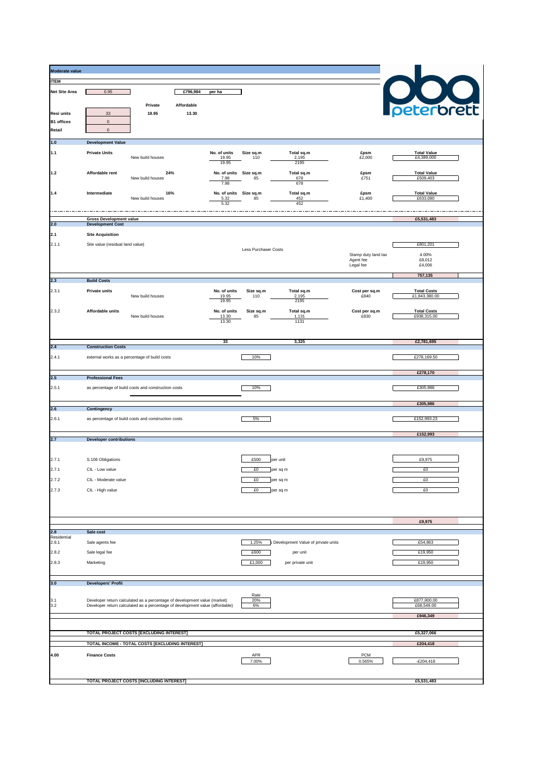| <b>Moderate value</b>       |                                                    |                                                                                                                                                            |            |                                |                      |                                      |                        |                                |  |
|-----------------------------|----------------------------------------------------|------------------------------------------------------------------------------------------------------------------------------------------------------------|------------|--------------------------------|----------------------|--------------------------------------|------------------------|--------------------------------|--|
| <b>ITEM</b>                 |                                                    |                                                                                                                                                            |            |                                |                      |                                      |                        |                                |  |
| <b>Net Site Area</b>        | 0.95                                               |                                                                                                                                                            | £796,984   | per ha                         |                      |                                      |                        | DOOD                           |  |
|                             |                                                    | Private                                                                                                                                                    | Affordable |                                |                      |                                      |                        |                                |  |
| Resi units                  | 33                                                 | 19.95                                                                                                                                                      | 13.30      |                                |                      |                                      |                        |                                |  |
| <b>B1 offices</b><br>Retail | $\pmb{0}$<br>$\mathbf 0$                           |                                                                                                                                                            |            |                                |                      |                                      |                        |                                |  |
| 1.0                         | <b>Development Value</b>                           |                                                                                                                                                            |            |                                |                      |                                      |                        |                                |  |
| 1.1                         | <b>Private Units</b>                               |                                                                                                                                                            |            | No. of units                   | Size sq.m            | Total sq.m                           | £psm                   | <b>Total Value</b>             |  |
|                             |                                                    | New build houses                                                                                                                                           |            | 19.95<br>19.95                 | 110                  | 2,195<br>2195                        | £2,000                 | £4,389,000                     |  |
| $1.2$                       | Affordable rent                                    | 24%<br>New build houses                                                                                                                                    |            | No. of units Size sq.m<br>7.98 | 85                   | Total sq.m<br>678                    | £psm<br>£751           | <b>Total Value</b><br>£509,403 |  |
|                             |                                                    |                                                                                                                                                            |            | 7.98                           |                      | 678                                  |                        |                                |  |
| 1.4                         | Intermediate                                       | 16%<br>New build houses                                                                                                                                    |            | No. of units Size sq.m<br>5.32 | 85                   | Total sq.m<br>452                    | £psm<br>£1,400         | <b>Total Value</b><br>£633,080 |  |
|                             |                                                    |                                                                                                                                                            |            | 5.32                           |                      | 452                                  |                        |                                |  |
|                             | <b>Gross Development value</b>                     |                                                                                                                                                            |            |                                |                      |                                      |                        | £5,531,483                     |  |
| 2.0<br>2.1                  | <b>Development Cost</b><br><b>Site Acquisition</b> |                                                                                                                                                            |            |                                |                      |                                      |                        |                                |  |
| 2.1.1                       | Site value (residual land value)                   |                                                                                                                                                            |            |                                |                      |                                      |                        | £801,201                       |  |
|                             |                                                    |                                                                                                                                                            |            |                                | Less Purchaser Costs |                                      | Stamp duty land tax    | 4.00%                          |  |
|                             |                                                    |                                                                                                                                                            |            |                                |                      |                                      | Agent fee<br>Legal fee | £8,012<br>£4,006               |  |
|                             |                                                    |                                                                                                                                                            |            |                                |                      |                                      |                        | 757,135                        |  |
| 2.3<br>2.3.1                | <b>Build Costs</b><br><b>Private units</b>         |                                                                                                                                                            |            | No. of units                   | Size sq.m            | Total sq.m                           | Cost per sq.m          | <b>Total Costs</b>             |  |
|                             |                                                    | New build houses                                                                                                                                           |            | 19.95<br>19.95                 | 110                  | 2,195<br>2195                        | £840                   | £1,843,380.00                  |  |
| 2.3.2                       | Affordable units                                   |                                                                                                                                                            |            | No. of units                   | Size sq.m            | Total sq.m                           | Cost per sq.m          | <b>Total Costs</b>             |  |
|                             |                                                    | New build houses                                                                                                                                           |            | 13.30<br>13.30                 | 85                   | 1,131<br>1131                        | £830                   | £938,315.00                    |  |
|                             |                                                    |                                                                                                                                                            |            |                                |                      |                                      |                        |                                |  |
| 2.4                         | <b>Construction Costs</b>                          |                                                                                                                                                            |            | 33                             |                      | 3,325                                |                        | £2,781,695                     |  |
| 2.4.1                       |                                                    | external works as a percentage of build costs                                                                                                              |            |                                | 10%                  |                                      |                        | £278,169.50                    |  |
|                             |                                                    |                                                                                                                                                            |            |                                |                      |                                      |                        |                                |  |
| 2.5                         | <b>Professional Fees</b>                           |                                                                                                                                                            |            |                                |                      |                                      |                        | £278,170                       |  |
| 2.5.1                       |                                                    | as percentage of build costs and construction costs                                                                                                        |            |                                | 10%                  |                                      |                        | £305,986                       |  |
|                             |                                                    |                                                                                                                                                            |            |                                |                      |                                      |                        | £305,986                       |  |
| 2.6                         | Contingency                                        |                                                                                                                                                            |            |                                |                      |                                      |                        |                                |  |
| 2.6.1                       |                                                    | as percentage of build costs and construction costs                                                                                                        |            |                                | 5%                   |                                      |                        | £152,993.23                    |  |
| 2.7                         | <b>Developer contributions</b>                     |                                                                                                                                                            |            |                                |                      |                                      |                        | £152,993                       |  |
|                             |                                                    |                                                                                                                                                            |            |                                |                      |                                      |                        |                                |  |
| 2.7.1                       | S.106 Obligations                                  |                                                                                                                                                            |            |                                | £500                 | per unit                             |                        | £9,975                         |  |
| 2.7.1                       | CIL - Low value                                    |                                                                                                                                                            |            |                                | £0                   | per sq m                             |                        | £0                             |  |
| 2.7.2                       | CIL - Moderate value                               |                                                                                                                                                            |            |                                | £0                   | per sq m                             |                        | £0                             |  |
| 2.7.3                       | CIL - High value                                   |                                                                                                                                                            |            |                                | £0                   | per sq m                             |                        | £0                             |  |
|                             |                                                    |                                                                                                                                                            |            |                                |                      |                                      |                        |                                |  |
|                             |                                                    |                                                                                                                                                            |            |                                |                      |                                      |                        |                                |  |
|                             |                                                    |                                                                                                                                                            |            |                                |                      |                                      |                        | £9,975                         |  |
| 2.8<br>Residential<br>2.8.1 | Sale cost                                          |                                                                                                                                                            |            |                                | 1.25%                | B Development Value of private units |                        | £54,863                        |  |
| 2.8.2                       | Sale agents fee<br>Sale legal fee                  |                                                                                                                                                            |            |                                | £600                 | per unit                             |                        | £19,950                        |  |
| 2.8.3                       | Marketing                                          |                                                                                                                                                            |            |                                | £1,000               | per private unit                     |                        | £19,950                        |  |
|                             |                                                    |                                                                                                                                                            |            |                                |                      |                                      |                        |                                |  |
| 3.0                         | <b>Developers' Profit</b>                          |                                                                                                                                                            |            |                                |                      |                                      |                        |                                |  |
|                             |                                                    |                                                                                                                                                            |            |                                | Rate                 |                                      |                        |                                |  |
| 3.1<br>3.2                  |                                                    | Developer return calculated as a percentage of development value (market)<br>Developer return calculated as a percentage of development value (affordable) |            |                                | 20%<br>6%            |                                      |                        | £877,800.00<br>£68,549.00      |  |
|                             |                                                    |                                                                                                                                                            |            |                                |                      |                                      |                        | £946,349                       |  |
|                             |                                                    |                                                                                                                                                            |            |                                |                      |                                      |                        |                                |  |
|                             |                                                    | TOTAL PROJECT COSTS [EXCLUDING INTEREST]<br>TOTAL INCOME - TOTAL COSTS [EXCLUDING INTEREST]                                                                |            |                                |                      |                                      |                        | £5,327,066<br>£204,418         |  |
| 4.00                        | <b>Finance Costs</b>                               |                                                                                                                                                            |            |                                | APR                  |                                      | <b>PCM</b>             |                                |  |
|                             |                                                    |                                                                                                                                                            |            |                                | 7.00%                |                                      | 0.565%                 | $-E204,418$                    |  |
|                             |                                                    |                                                                                                                                                            |            |                                |                      |                                      |                        |                                |  |
|                             |                                                    | TOTAL PROJECT COSTS [INCLUDING INTEREST]                                                                                                                   |            |                                |                      |                                      |                        | £5,531,483                     |  |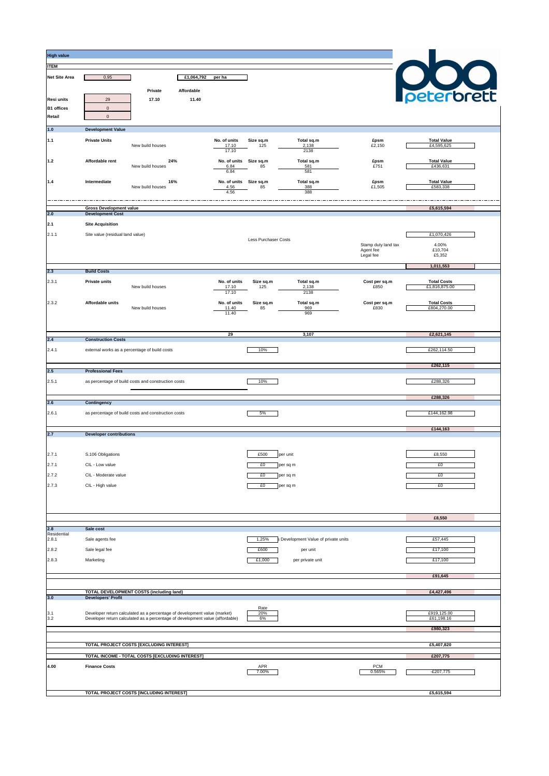| <b>High value</b>           |                                                                                                                                                            |                  |            |                                        |                      |                                             |                                               |                                     |
|-----------------------------|------------------------------------------------------------------------------------------------------------------------------------------------------------|------------------|------------|----------------------------------------|----------------------|---------------------------------------------|-----------------------------------------------|-------------------------------------|
| <b>ITEM</b>                 |                                                                                                                                                            |                  |            |                                        |                      |                                             |                                               |                                     |
| <b>Net Site Area</b>        | 0.95                                                                                                                                                       |                  | £1,064,792 | per ha                                 |                      |                                             |                                               | peterbrett                          |
|                             |                                                                                                                                                            | Private          | Affordable |                                        |                      |                                             |                                               |                                     |
| Resi units                  | 29                                                                                                                                                         | 17.10            | 11.40      |                                        |                      |                                             |                                               |                                     |
| <b>B1 offices</b><br>Retail | $\mathbf 0$<br>$\pmb{0}$                                                                                                                                   |                  |            |                                        |                      |                                             |                                               |                                     |
| $1.0$                       | <b>Development Value</b>                                                                                                                                   |                  |            |                                        |                      |                                             |                                               |                                     |
| 1.1                         | <b>Private Units</b>                                                                                                                                       |                  |            | No. of units                           | Size sq.m            | Total sq.m                                  | £psm                                          | <b>Total Value</b>                  |
|                             |                                                                                                                                                            | New build houses |            | 17.10<br>17.10                         | 125                  | 2,138<br>2138                               | £2,150                                        | £4,595,625                          |
| $1.2$                       | Affordable rent                                                                                                                                            | New build houses | 24%        | No. of units Size sq.m<br>6.84         | 85                   | Total sq.m<br>581                           | £psm<br>£751                                  | <b>Total Value</b><br>£436,631      |
|                             |                                                                                                                                                            |                  |            | 6.84                                   |                      | 581                                         |                                               |                                     |
| $1.4$                       | Intermediate                                                                                                                                               | New build houses | 16%        | No. of units Size sq.m<br>4.56<br>4.56 | 85                   | Total sq.m<br>388<br>388                    | £psm<br>£1,505                                | <b>Total Value</b><br>£583,338      |
|                             | <b>Gross Development value</b>                                                                                                                             |                  |            |                                        |                      |                                             |                                               | £5,615,594                          |
| 2.0                         | <b>Development Cost</b>                                                                                                                                    |                  |            |                                        |                      |                                             |                                               |                                     |
| 2.1                         | <b>Site Acquisition</b>                                                                                                                                    |                  |            |                                        |                      |                                             |                                               |                                     |
| 2.1.1                       | Site value (residual land value)                                                                                                                           |                  |            |                                        | Less Purchaser Costs |                                             |                                               | £1,070,426                          |
|                             |                                                                                                                                                            |                  |            |                                        |                      |                                             | Stamp duty land tax<br>Agent fee<br>Legal fee | 4.00%<br>£10,704<br>£5,352          |
|                             |                                                                                                                                                            |                  |            |                                        |                      |                                             |                                               | 1,011,553                           |
| 2.3                         | <b>Build Costs</b>                                                                                                                                         |                  |            |                                        |                      |                                             |                                               |                                     |
| 2.3.1                       | <b>Private units</b>                                                                                                                                       | New build houses |            | No. of units<br>17.10<br>17.10         | Size sq.m<br>125     | Total sq.m<br>2,138<br>2138                 | Cost per sq.m<br>£850                         | <b>Total Costs</b><br>£1,816,875.00 |
| 2.3.2                       | Affordable units                                                                                                                                           |                  |            | No. of units                           | Size sq.m            | Total sq.m                                  | Cost per sq.m                                 | <b>Total Costs</b>                  |
|                             |                                                                                                                                                            | New build houses |            | 11.40<br>11.40                         | 85                   | 969<br>969                                  | £830                                          | £804,270.00                         |
|                             |                                                                                                                                                            |                  |            |                                        |                      |                                             |                                               |                                     |
| 2.4                         | <b>Construction Costs</b>                                                                                                                                  |                  |            | 29                                     |                      | 3,107                                       |                                               | £2,621,145                          |
| 2.4.1                       | external works as a percentage of build costs                                                                                                              |                  |            |                                        | 10%                  |                                             |                                               | £262,114.50                         |
|                             |                                                                                                                                                            |                  |            |                                        |                      |                                             |                                               |                                     |
| 2.5                         | <b>Professional Fees</b>                                                                                                                                   |                  |            |                                        |                      |                                             |                                               | £262,115                            |
| 2.5.1                       | as percentage of build costs and construction costs                                                                                                        |                  |            |                                        | 10%                  |                                             |                                               | £288,326                            |
| 2.6                         | Contingency                                                                                                                                                |                  |            |                                        |                      |                                             |                                               | £288,326                            |
| 2.6.1                       | as percentage of build costs and construction costs                                                                                                        |                  |            |                                        | 5%                   |                                             |                                               | £144,162.98                         |
|                             |                                                                                                                                                            |                  |            |                                        |                      |                                             |                                               | £144,163                            |
| 2.7                         | <b>Developer contributions</b>                                                                                                                             |                  |            |                                        |                      |                                             |                                               |                                     |
| 2.7.1                       | S.106 Obligations                                                                                                                                          |                  |            |                                        | £500                 | per unit                                    |                                               | £8,550                              |
| 2.7.1                       | CIL - Low value                                                                                                                                            |                  |            |                                        | £0                   | per sq m                                    |                                               | £0                                  |
| 2.7.2                       | CIL - Moderate value                                                                                                                                       |                  |            |                                        | £0                   | per sq m                                    |                                               | £0                                  |
| 2.7.3                       | CIL - High value                                                                                                                                           |                  |            |                                        | £0                   | per sq m                                    |                                               | £0                                  |
|                             |                                                                                                                                                            |                  |            |                                        |                      |                                             |                                               |                                     |
|                             |                                                                                                                                                            |                  |            |                                        |                      |                                             |                                               |                                     |
|                             |                                                                                                                                                            |                  |            |                                        |                      |                                             |                                               | £8,550                              |
| 2.8<br>Residential          | Sale cost                                                                                                                                                  |                  |            |                                        |                      |                                             |                                               |                                     |
| 2.8.1                       | Sale agents fee                                                                                                                                            |                  |            |                                        | 1.25%                | <b>B</b> Development Value of private units |                                               | £57,445                             |
| 2.8.2                       | Sale legal fee                                                                                                                                             |                  |            |                                        | £600                 | per unit                                    |                                               | £17,100                             |
| 2.8.3                       | Marketing                                                                                                                                                  |                  |            |                                        | £1,000               | per private unit                            |                                               | £17,100                             |
|                             |                                                                                                                                                            |                  |            |                                        |                      |                                             |                                               | £91,645                             |
|                             | <b>TOTAL DEVELOPMENT COSTS (including land)</b>                                                                                                            |                  |            |                                        |                      |                                             |                                               | £4,427,496                          |
| 3.0                         | <b>Developers' Profit</b>                                                                                                                                  |                  |            |                                        |                      |                                             |                                               |                                     |
| $\frac{3.1}{3.2}$           | Developer return calculated as a percentage of development value (market)<br>Developer return calculated as a percentage of development value (affordable) |                  |            |                                        | Rate<br>20%<br>6%    |                                             |                                               | £919,125.00<br>£61,198.16           |
|                             |                                                                                                                                                            |                  |            |                                        |                      |                                             |                                               | £980,323                            |
|                             | TOTAL PROJECT COSTS [EXCLUDING INTEREST]                                                                                                                   |                  |            |                                        |                      |                                             |                                               | £5,407,820                          |
|                             | TOTAL INCOME - TOTAL COSTS [EXCLUDING INTEREST]                                                                                                            |                  |            |                                        |                      |                                             |                                               | £207,775                            |
| 4.00                        | <b>Finance Costs</b>                                                                                                                                       |                  |            |                                        | APR<br>7.00%         |                                             | <b>PCM</b><br>0.565%                          | $-£207,775$                         |
|                             | TOTAL PROJECT COSTS [INCLUDING INTEREST]                                                                                                                   |                  |            |                                        |                      |                                             |                                               | £5,615,594                          |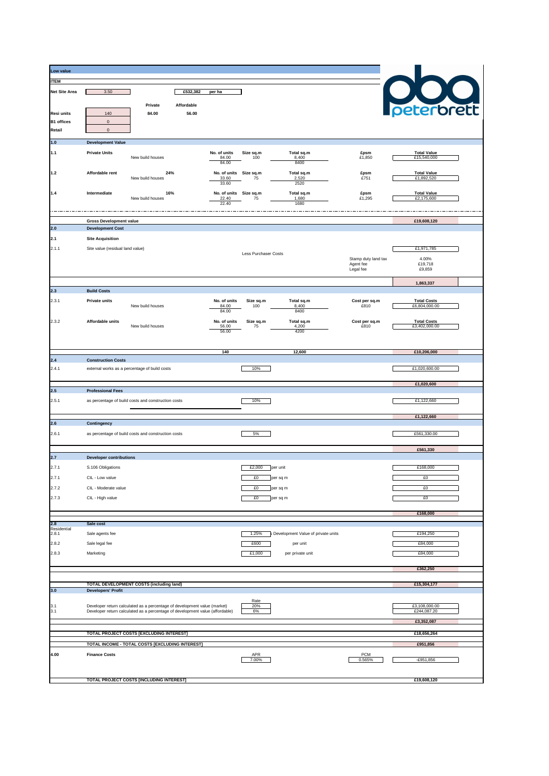| Low value                       |                                  |                                                                               |            |                        |                             |                                      |                                  |                                     |  |
|---------------------------------|----------------------------------|-------------------------------------------------------------------------------|------------|------------------------|-----------------------------|--------------------------------------|----------------------------------|-------------------------------------|--|
| <b>ITEM</b>                     |                                  |                                                                               |            |                        |                             |                                      |                                  |                                     |  |
| <b>Net Site Area</b>            | 3.50                             |                                                                               | £532,382   | per ha                 |                             |                                      |                                  | Deterbrett                          |  |
|                                 |                                  |                                                                               |            |                        |                             |                                      |                                  |                                     |  |
|                                 |                                  | Private                                                                       | Affordable |                        |                             |                                      |                                  |                                     |  |
| Resi units<br><b>B1</b> offices | 140<br>$\mathbf 0$               | 84.00                                                                         | 56.00      |                        |                             |                                      |                                  |                                     |  |
| Retail                          | $\mathbf{0}$                     |                                                                               |            |                        |                             |                                      |                                  |                                     |  |
| 1.0                             | <b>Development Value</b>         |                                                                               |            |                        |                             |                                      |                                  |                                     |  |
| 1.1                             | <b>Private Units</b>             |                                                                               |            | No. of units           | Size sq.m                   | Total sq.m                           | £psm                             | <b>Total Value</b>                  |  |
|                                 |                                  | New build houses                                                              |            | 84.00<br>84.00         | 100                         | 8,400<br>8400                        | £1,850                           | £15,540,000                         |  |
| 1.2                             | Affordable rent                  | 24%                                                                           |            | No. of units Size sq.m |                             | Total sq.m                           | £psm                             | <b>Total Value</b>                  |  |
|                                 |                                  | New build houses                                                              |            | 33.60<br>33.60         | 75                          | 2,520<br>2520                        | £751                             | £1,892,520                          |  |
| 1.4                             | Intermediate                     | 16%                                                                           |            | No. of units Size sq.m |                             | Total sq.m                           | £psm                             | <b>Total Value</b>                  |  |
|                                 |                                  | New build houses                                                              |            | 22.40<br>22.40         | 75                          | 1,680<br>1680                        | £1,295                           | £2,175,600                          |  |
|                                 |                                  |                                                                               |            |                        |                             |                                      |                                  |                                     |  |
|                                 | <b>Gross Development value</b>   |                                                                               |            |                        |                             |                                      |                                  | £19,608,120                         |  |
| 2.0                             | <b>Development Cost</b>          |                                                                               |            |                        |                             |                                      |                                  |                                     |  |
| 2.1                             | <b>Site Acquisition</b>          |                                                                               |            |                        |                             |                                      |                                  |                                     |  |
| 2.1.1                           | Site value (residual land value) |                                                                               |            |                        | <b>Less Purchaser Costs</b> |                                      |                                  | £1,971,785                          |  |
|                                 |                                  |                                                                               |            |                        |                             |                                      | Stamp duty land tax<br>Agent fee | 4.00%<br>£19,718                    |  |
|                                 |                                  |                                                                               |            |                        |                             |                                      | Legal fee                        | £9,859                              |  |
|                                 |                                  |                                                                               |            |                        |                             |                                      |                                  | 1,863,337                           |  |
| 2.3                             | <b>Build Costs</b>               |                                                                               |            |                        |                             |                                      |                                  |                                     |  |
| 2.3.1                           | <b>Private units</b>             | New build houses                                                              |            | No. of units<br>84.00  | Size sq.m<br>100            | Total sq.m<br>8,400                  | Cost per sq.m<br>£810            | <b>Total Costs</b><br>£6,804,000.00 |  |
|                                 |                                  |                                                                               |            | 84.00                  |                             | 8400                                 |                                  |                                     |  |
| 2.3.2                           | Affordable units                 | New build houses                                                              |            | No. of units<br>56.00  | Size sq.m<br>75             | Total sq.m<br>4,200                  | Cost per sq.m<br>£810            | <b>Total Costs</b><br>£3,402,000.00 |  |
|                                 |                                  |                                                                               |            | 56.00                  |                             | 4200                                 |                                  |                                     |  |
|                                 |                                  |                                                                               |            |                        |                             |                                      |                                  |                                     |  |
| 2.4                             | <b>Construction Costs</b>        |                                                                               |            | 140                    |                             | 12,600                               |                                  | £10,206,000                         |  |
| 2.4.1                           |                                  | external works as a percentage of build costs                                 |            |                        | 10%                         |                                      |                                  | £1,020,600.00                       |  |
|                                 |                                  |                                                                               |            |                        |                             |                                      |                                  |                                     |  |
| 2.5                             | <b>Professional Fees</b>         |                                                                               |            |                        |                             |                                      |                                  | £1,020,600                          |  |
| 2.5.1                           |                                  | as percentage of build costs and construction costs                           |            |                        | 10%                         |                                      |                                  | £1,122,660                          |  |
|                                 |                                  |                                                                               |            |                        |                             |                                      |                                  |                                     |  |
| 2.6                             | <b>Contingency</b>               |                                                                               |            |                        |                             |                                      |                                  | £1,122,660                          |  |
| 2.6.1                           |                                  | as percentage of build costs and construction costs                           |            |                        | 5%                          |                                      |                                  | £561,330.00                         |  |
|                                 |                                  |                                                                               |            |                        |                             |                                      |                                  |                                     |  |
|                                 |                                  |                                                                               |            |                        |                             |                                      |                                  | £561,330                            |  |
| 2.7                             | <b>Developer contributions</b>   |                                                                               |            |                        |                             |                                      |                                  |                                     |  |
| 2.7.1                           | S.106 Obligations                |                                                                               |            |                        | £2,000 per unit             |                                      |                                  | £168,000                            |  |
| 2.7.1                           | CIL - Low value                  |                                                                               |            |                        | £0                          | per sq m                             |                                  | £0                                  |  |
| 2.7.2                           | CIL - Moderate value             |                                                                               |            |                        | £0                          | per sq m                             |                                  | £0                                  |  |
| 2.7.3                           | CIL - High value                 |                                                                               |            |                        | £0                          | per sq m                             |                                  | £0                                  |  |
|                                 |                                  |                                                                               |            |                        |                             |                                      |                                  | £168,000                            |  |
| 2.8                             | Sale cost                        |                                                                               |            |                        |                             |                                      |                                  |                                     |  |
| Residential<br>2.8.1            | Sale agents fee                  |                                                                               |            |                        | 1.25%                       | B Development Value of private units |                                  | £194,250                            |  |
| 2.8.2                           | Sale legal fee                   |                                                                               |            |                        | £600                        | per unit                             |                                  | £84,000                             |  |
| 2.8.3                           | Marketing                        |                                                                               |            |                        | £1,000                      | per private unit                     |                                  | £84,000                             |  |
|                                 |                                  |                                                                               |            |                        |                             |                                      |                                  | £362,250                            |  |
|                                 |                                  |                                                                               |            |                        |                             |                                      |                                  |                                     |  |
| 3.0                             | <b>Developers' Profit</b>        | <b>TOTAL DEVELOPMENT COSTS (including land)</b>                               |            |                        |                             |                                      |                                  | £15,304,177                         |  |
|                                 |                                  |                                                                               |            |                        | Rate                        |                                      |                                  |                                     |  |
| 3.1                             |                                  | Developer return calculated as a percentage of development value (market)     |            |                        | 20%                         |                                      |                                  | £3,108,000.00                       |  |
| 3.1                             |                                  | Developer return calculated as a percentage of development value (affordable) |            |                        | 6%                          |                                      |                                  | £244,087.20                         |  |
|                                 |                                  |                                                                               |            |                        |                             |                                      |                                  | £3,352,087                          |  |
|                                 |                                  | TOTAL PROJECT COSTS [EXCLUDING INTEREST]                                      |            |                        |                             |                                      |                                  | £18,656,264                         |  |
|                                 |                                  | TOTAL INCOME - TOTAL COSTS [EXCLUDING INTEREST]                               |            |                        |                             |                                      |                                  | £951,856                            |  |
| 4.00                            | <b>Finance Costs</b>             |                                                                               |            |                        | APR<br>7.00%                |                                      | <b>PCM</b><br>0.565%             | $-£951,856$                         |  |
|                                 |                                  |                                                                               |            |                        |                             |                                      |                                  |                                     |  |
|                                 |                                  | TOTAL PROJECT COSTS [INCLUDING INTEREST]                                      |            |                        |                             |                                      |                                  | £19,608,120                         |  |
|                                 |                                  |                                                                               |            |                        |                             |                                      |                                  |                                     |  |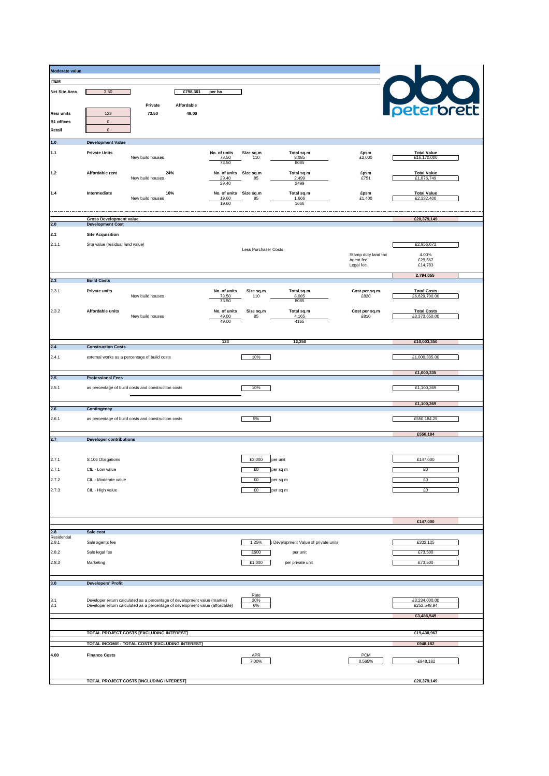| <b>Moderate value</b> |                                            |                                                                                                                                                            |            |                                          |                      |                                           |                                               |                                     |  |
|-----------------------|--------------------------------------------|------------------------------------------------------------------------------------------------------------------------------------------------------------|------------|------------------------------------------|----------------------|-------------------------------------------|-----------------------------------------------|-------------------------------------|--|
| <b>ITEM</b>           |                                            |                                                                                                                                                            |            |                                          |                      |                                           |                                               |                                     |  |
| <b>Net Site Area</b>  | 3.50                                       |                                                                                                                                                            | £798,301   | per ha                                   |                      |                                           |                                               | Deterbrett                          |  |
|                       |                                            | Private                                                                                                                                                    | Affordable |                                          |                      |                                           |                                               |                                     |  |
| Resi units            | 123                                        | 73.50                                                                                                                                                      | 49.00      |                                          |                      |                                           |                                               |                                     |  |
| <b>B1 offices</b>     | $\pmb{0}$                                  |                                                                                                                                                            |            |                                          |                      |                                           |                                               |                                     |  |
| Retail                | $\mathbf 0$                                |                                                                                                                                                            |            |                                          |                      |                                           |                                               |                                     |  |
| 1.0                   | <b>Development Value</b>                   |                                                                                                                                                            |            |                                          |                      |                                           |                                               |                                     |  |
| 1.1                   | <b>Private Units</b>                       | New build houses                                                                                                                                           |            | No. of units<br>73.50<br>73.50           | Size sq.m<br>110     | Total sq.m<br>8,085<br>8085               | £psm<br>£2,000                                | <b>Total Value</b><br>£16,170,000   |  |
| 1.2                   | Affordable rent                            | 24%<br>New build houses                                                                                                                                    |            | No. of units Size sq.m<br>29.40<br>29.40 | 85                   | Total sq.m<br>2,499<br>2499               | £psm<br>£751                                  | <b>Total Value</b><br>£1,876,749    |  |
| 1.4                   | Intermediate                               | 16%<br>New build houses                                                                                                                                    |            | No. of units Size sq.m<br>19.60<br>19.60 | 85                   | Total sq.m<br>1,666<br>1666               | £psm<br>£1,400                                | <b>Total Value</b><br>£2,332,400    |  |
|                       | <b>Gross Development value</b>             |                                                                                                                                                            |            |                                          |                      |                                           |                                               | £20,379,149                         |  |
| 2.0                   | <b>Development Cost</b>                    |                                                                                                                                                            |            |                                          |                      |                                           |                                               |                                     |  |
| 2.1                   | <b>Site Acquisition</b>                    |                                                                                                                                                            |            |                                          |                      |                                           |                                               |                                     |  |
| 2.1.1                 | Site value (residual land value)           |                                                                                                                                                            |            |                                          | Less Purchaser Costs |                                           |                                               | £2,956,672                          |  |
|                       |                                            |                                                                                                                                                            |            |                                          |                      |                                           | Stamp duty land tax<br>Agent fee<br>Legal fee | 4.00%<br>£29,567<br>£14,783         |  |
|                       |                                            |                                                                                                                                                            |            |                                          |                      |                                           |                                               | 2,794,055                           |  |
| 2.3<br>2.3.1          | <b>Build Costs</b><br><b>Private units</b> |                                                                                                                                                            |            | No. of units                             | Size sq.m            | Total sq.m                                | Cost per sq.m                                 | <b>Total Costs</b>                  |  |
|                       |                                            | New build houses                                                                                                                                           |            | 73.50<br>73.50                           | 110                  | 8,085<br>8085                             | £820                                          | £6,629,700.00                       |  |
| 2.3.2                 | Affordable units                           | New build houses                                                                                                                                           |            | No. of units<br>49.00                    | Size sq.m<br>85      | Total sq.m<br>4,165                       | Cost per sq.m<br>£810                         | <b>Total Costs</b><br>£3,373,650.00 |  |
|                       |                                            |                                                                                                                                                            |            | 49.00                                    |                      | 4165                                      |                                               |                                     |  |
|                       |                                            |                                                                                                                                                            |            |                                          |                      |                                           |                                               |                                     |  |
| 2.4                   | <b>Construction Costs</b>                  |                                                                                                                                                            |            | 123                                      |                      | 12,250                                    |                                               | £10,003,350                         |  |
| 2.4.1                 |                                            | external works as a percentage of build costs                                                                                                              |            |                                          | 10%                  |                                           |                                               | £1,000,335.00                       |  |
| 2.5                   | <b>Professional Fees</b>                   |                                                                                                                                                            |            |                                          |                      |                                           |                                               | £1,000,335                          |  |
| 2.5.1                 |                                            | as percentage of build costs and construction costs                                                                                                        |            |                                          | 10%                  |                                           |                                               | £1,100,369                          |  |
|                       |                                            |                                                                                                                                                            |            |                                          |                      |                                           |                                               | £1,100,369                          |  |
| 2.6                   | Contingency                                |                                                                                                                                                            |            |                                          |                      |                                           |                                               |                                     |  |
| 2.6.1                 |                                            | as percentage of build costs and construction costs                                                                                                        |            |                                          | 5%                   |                                           |                                               | £550,184.25                         |  |
|                       |                                            |                                                                                                                                                            |            |                                          |                      |                                           |                                               | £550,184                            |  |
| 2.7                   | <b>Developer contributions</b>             |                                                                                                                                                            |            |                                          |                      |                                           |                                               |                                     |  |
| 2.7.1                 | S.106 Obligations                          |                                                                                                                                                            |            |                                          | £2,000               | per unit                                  |                                               | £147,000                            |  |
| 2.7.1                 | CIL - Low value                            |                                                                                                                                                            |            |                                          | £0                   | per sq m                                  |                                               | £0                                  |  |
| 2.7.2                 | CIL - Moderate value                       |                                                                                                                                                            |            |                                          | £0                   | per sq m                                  |                                               | £0                                  |  |
| 2.7.3                 |                                            |                                                                                                                                                            |            |                                          | £0                   |                                           |                                               | £0                                  |  |
|                       | CIL - High value                           |                                                                                                                                                            |            |                                          |                      | per sq m                                  |                                               |                                     |  |
|                       |                                            |                                                                                                                                                            |            |                                          |                      |                                           |                                               |                                     |  |
|                       |                                            |                                                                                                                                                            |            |                                          |                      |                                           |                                               |                                     |  |
|                       |                                            |                                                                                                                                                            |            |                                          |                      |                                           |                                               | £147,000                            |  |
| 2.8<br>Residential    | Sale cost                                  |                                                                                                                                                            |            |                                          |                      |                                           |                                               |                                     |  |
| 2.8.1                 | Sale agents fee                            |                                                                                                                                                            |            |                                          | 1.25%                | <b>Development Value of private units</b> |                                               | £202,125                            |  |
| 2.8.2                 | Sale legal fee                             |                                                                                                                                                            |            |                                          | £600                 | per unit                                  |                                               | £73,500                             |  |
| 2.8.3                 | Marketing                                  |                                                                                                                                                            |            |                                          | £1,000               | per private unit                          |                                               | £73,500                             |  |
|                       |                                            |                                                                                                                                                            |            |                                          |                      |                                           |                                               |                                     |  |
| 3.0                   | <b>Developers' Profit</b>                  |                                                                                                                                                            |            |                                          |                      |                                           |                                               |                                     |  |
| 3.1<br>3.1            |                                            | Developer return calculated as a percentage of development value (market)<br>Developer return calculated as a percentage of development value (affordable) |            |                                          | Rate<br>20%<br>6%    |                                           |                                               | £3,234,000.00<br>£252,548.94        |  |
|                       |                                            |                                                                                                                                                            |            |                                          |                      |                                           |                                               | £3,486,549                          |  |
|                       |                                            |                                                                                                                                                            |            |                                          |                      |                                           |                                               |                                     |  |
|                       |                                            | TOTAL PROJECT COSTS [EXCLUDING INTEREST]                                                                                                                   |            |                                          |                      |                                           |                                               | £19,430,967                         |  |
|                       |                                            | TOTAL INCOME - TOTAL COSTS [EXCLUDING INTEREST]                                                                                                            |            |                                          |                      |                                           |                                               | £948,182                            |  |
| 4.00                  | <b>Finance Costs</b>                       |                                                                                                                                                            |            |                                          | APR<br>7.00%         |                                           | <b>PCM</b><br>0.565%                          | $-£948,182$                         |  |
|                       |                                            | TOTAL PROJECT COSTS [INCLUDING INTEREST]                                                                                                                   |            |                                          |                      |                                           |                                               | £20,379,149                         |  |
|                       |                                            |                                                                                                                                                            |            |                                          |                      |                                           |                                               |                                     |  |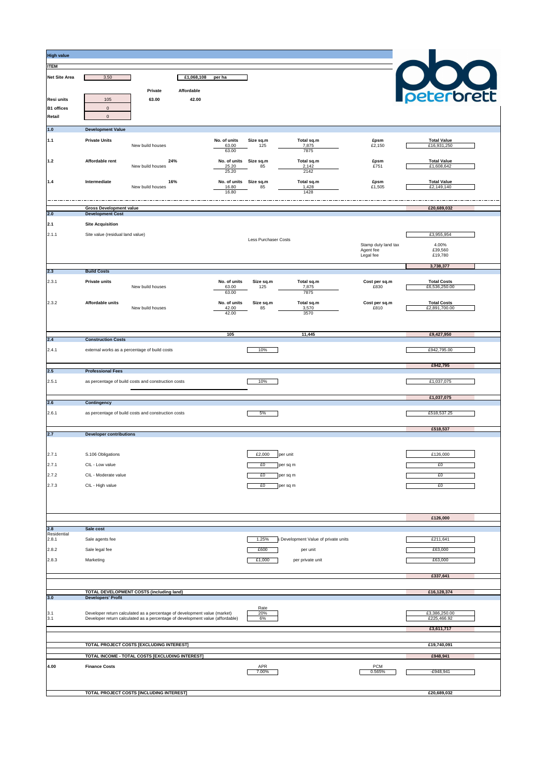| <b>High value</b>           |                                               |                                                                               |                        |                      |                                      |                                  |                                     |
|-----------------------------|-----------------------------------------------|-------------------------------------------------------------------------------|------------------------|----------------------|--------------------------------------|----------------------------------|-------------------------------------|
| <b>ITEM</b>                 |                                               |                                                                               |                        |                      |                                      |                                  |                                     |
| <b>Net Site Area</b>        | 3.50                                          | £1,068,108                                                                    | per ha                 |                      |                                      |                                  | peterbrett                          |
|                             |                                               | Private<br>Affordable                                                         |                        |                      |                                      |                                  |                                     |
| <b>Resi units</b>           | 105                                           | 63.00<br>42.00                                                                |                        |                      |                                      |                                  |                                     |
| <b>B1 offices</b>           | $\mathbf 0$                                   |                                                                               |                        |                      |                                      |                                  |                                     |
| Retail                      | $\pmb{0}$                                     |                                                                               |                        |                      |                                      |                                  |                                     |
| 1.0                         | <b>Development Value</b>                      |                                                                               |                        |                      |                                      |                                  |                                     |
| 1.1                         | <b>Private Units</b>                          |                                                                               | No. of units           | Size sq.m            | Total sq.m                           | £psm                             | <b>Total Value</b>                  |
|                             |                                               | New build houses                                                              | 63.00<br>63.00         | 125                  | 7,875<br>7875                        | £2,150                           | £16,931,250                         |
| $1.2$                       | Affordable rent                               | 24%                                                                           | No. of units Size sq.m |                      | Total sq.m                           | £psm                             | <b>Total Value</b>                  |
|                             |                                               | New build houses                                                              | 25.20<br>25.20         | 85                   | 2,142<br>2142                        | £751                             | £1,608,642                          |
|                             | Intermediate                                  | 16%                                                                           | No. of units Size sq.m |                      | Total sq.m                           |                                  | <b>Total Value</b>                  |
| 1.4                         |                                               | New build houses                                                              | 16.80<br>16.80         | 85                   | 1,428<br>1428                        | £psm<br>£1,505                   | £2,149,140                          |
|                             |                                               |                                                                               |                        |                      |                                      |                                  |                                     |
|                             | <b>Gross Development value</b>                |                                                                               |                        |                      |                                      |                                  | £20,689,032                         |
| 2.0                         | <b>Development Cost</b>                       |                                                                               |                        |                      |                                      |                                  |                                     |
| 2.1                         | <b>Site Acquisition</b>                       |                                                                               |                        |                      |                                      |                                  |                                     |
| 2.1.1                       | Site value (residual land value)              |                                                                               |                        | Less Purchaser Costs |                                      |                                  | £3,955,954                          |
|                             |                                               |                                                                               |                        |                      |                                      | Stamp duty land tax<br>Agent fee | 4.00%<br>£39,560                    |
|                             |                                               |                                                                               |                        |                      |                                      | Legal fee                        | £19,780                             |
| 2.3                         | <b>Build Costs</b>                            |                                                                               |                        |                      |                                      |                                  | 3,738,377                           |
| 2.3.1                       | <b>Private units</b>                          |                                                                               | No. of units           | Size sq.m            | Total sq.m                           | Cost per sq.m                    | <b>Total Costs</b>                  |
|                             |                                               | New build houses                                                              | 63.00<br>63.00         | 125                  | 7,875<br>7875                        | £830                             | £6,536,250.00                       |
|                             |                                               |                                                                               |                        |                      |                                      |                                  |                                     |
| 2.3.2                       | Affordable units                              | New build houses                                                              | No. of units<br>42.00  | Size sq.m<br>85      | Total sq.m<br>3,570                  | Cost per sq.m<br>£810            | <b>Total Costs</b><br>£2,891,700.00 |
|                             |                                               |                                                                               | 42.00                  |                      | 3570                                 |                                  |                                     |
|                             |                                               |                                                                               |                        |                      |                                      |                                  |                                     |
| 2.4                         | <b>Construction Costs</b>                     |                                                                               | 105                    |                      | 11,445                               |                                  | £9,427,950                          |
| 2.4.1                       | external works as a percentage of build costs |                                                                               |                        | 10%                  |                                      |                                  | £942,795.00                         |
|                             |                                               |                                                                               |                        |                      |                                      |                                  |                                     |
| 2.5                         | <b>Professional Fees</b>                      |                                                                               |                        |                      |                                      |                                  | £942,795                            |
| 2.5.1                       |                                               | as percentage of build costs and construction costs                           |                        | 10%                  |                                      |                                  | £1,037,075                          |
|                             |                                               |                                                                               |                        |                      |                                      |                                  |                                     |
| 2.6                         | Contingency                                   |                                                                               |                        |                      |                                      |                                  | £1,037,075                          |
|                             |                                               |                                                                               |                        |                      |                                      |                                  |                                     |
| 2.6.1                       |                                               | as percentage of build costs and construction costs                           |                        | 5%                   |                                      |                                  | £518,537.25                         |
|                             |                                               |                                                                               |                        |                      |                                      |                                  | £518,537                            |
| 2.7                         | <b>Developer contributions</b>                |                                                                               |                        |                      |                                      |                                  |                                     |
|                             |                                               |                                                                               |                        |                      |                                      |                                  |                                     |
| 2.7.1                       | S.106 Obligations                             |                                                                               |                        | £2,000               | per unit                             |                                  | £126,000                            |
| 2.7.1                       | CIL - Low value                               |                                                                               |                        | £0                   | per sq m                             |                                  | £0                                  |
| 2.7.2                       | CIL - Moderate value                          |                                                                               |                        | £0                   | per sq m                             |                                  | £0                                  |
| 2.7.3                       | CIL - High value                              |                                                                               |                        | £0                   | per sq m                             |                                  | £0                                  |
|                             |                                               |                                                                               |                        |                      |                                      |                                  |                                     |
|                             |                                               |                                                                               |                        |                      |                                      |                                  |                                     |
|                             |                                               |                                                                               |                        |                      |                                      |                                  | £126,000                            |
| 2.8<br>Residential<br>2.8.1 | Sale cost                                     |                                                                               |                        |                      |                                      |                                  |                                     |
|                             | Sale agents fee                               |                                                                               |                        | 1.25%                | B Development Value of private units |                                  | £211,641                            |
| 2.8.2                       | Sale legal fee                                |                                                                               |                        | £600                 | per unit                             |                                  | £63,000                             |
| 2.8.3                       | Marketing                                     |                                                                               |                        | £1,000               | per private unit                     |                                  | £63,000                             |
|                             |                                               |                                                                               |                        |                      |                                      |                                  |                                     |
|                             |                                               |                                                                               |                        |                      |                                      |                                  | £337,641                            |
|                             |                                               | <b>TOTAL DEVELOPMENT COSTS (including land)</b>                               |                        |                      |                                      |                                  | £16,128,374                         |
| 3.0                         | <b>Developers' Profit</b>                     |                                                                               |                        |                      |                                      |                                  |                                     |
|                             |                                               | Developer return calculated as a percentage of development value (market)     |                        | Rate<br>20%          |                                      |                                  | £3,386,250.00                       |
| $\frac{3.1}{3.1}$           |                                               | Developer return calculated as a percentage of development value (affordable) |                        | 6%                   |                                      |                                  | £225,466.92                         |
|                             |                                               |                                                                               |                        |                      |                                      |                                  | £3,611,717                          |
|                             |                                               | TOTAL PROJECT COSTS [EXCLUDING INTEREST]                                      |                        |                      |                                      |                                  | £19,740,091                         |
|                             |                                               |                                                                               |                        |                      |                                      |                                  |                                     |
|                             |                                               | TOTAL INCOME - TOTAL COSTS [EXCLUDING INTEREST]                               |                        |                      |                                      |                                  | £948,941                            |
| 4.00                        | <b>Finance Costs</b>                          |                                                                               |                        | APR<br>7.00%         |                                      | <b>PCM</b><br>0.565%             | $-E948,941$                         |
|                             |                                               |                                                                               |                        |                      |                                      |                                  |                                     |
|                             |                                               | TOTAL PROJECT COSTS [INCLUDING INTEREST]                                      |                        |                      |                                      |                                  | £20,689,032                         |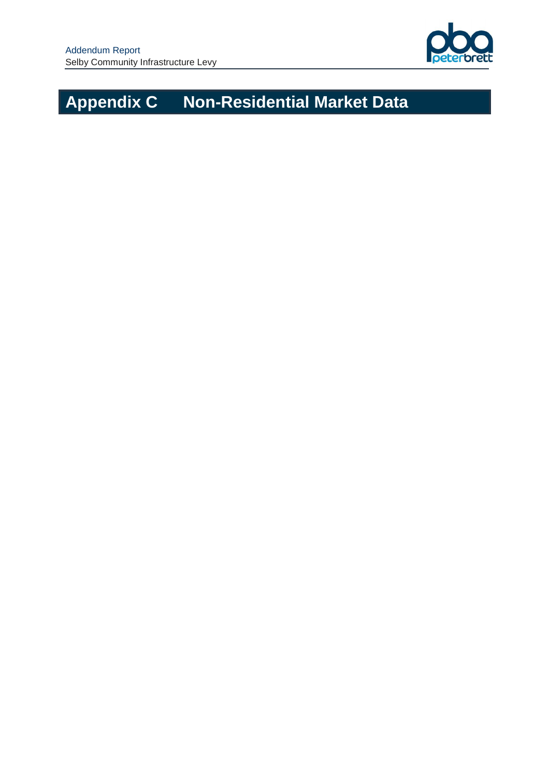

# **Appendix C Non-Residential Market Data**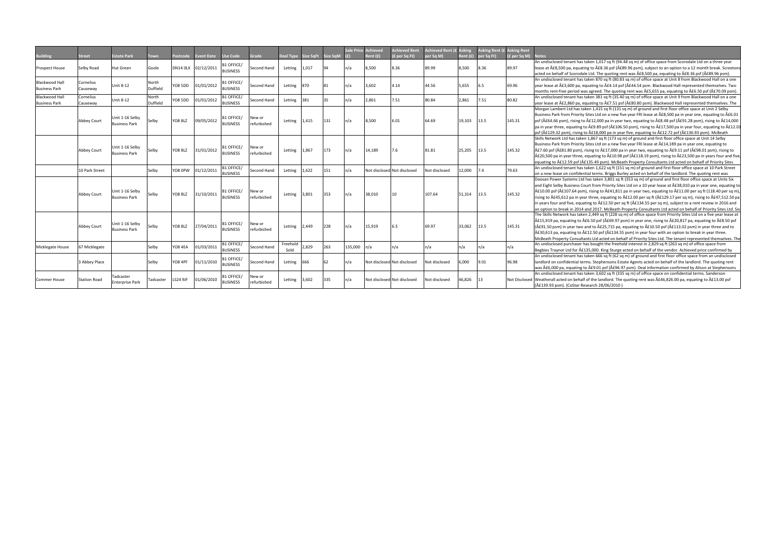|                                               |                       |                                         |                   |                 |                     |                                      |                       |                  |           |                  | ale Price | Achieved | <b>Achieved Rent</b>        | Achieved Rent (£     | <b>Asking</b> |           | Asking Rent (£ Asking Rent |                                                                                                                                                                                                                                                                                                                                                                                                                                                                                                                                                                                                                                                                                                                                       |
|-----------------------------------------------|-----------------------|-----------------------------------------|-------------------|-----------------|---------------------|--------------------------------------|-----------------------|------------------|-----------|------------------|-----------|----------|-----------------------------|----------------------|---------------|-----------|----------------------------|---------------------------------------------------------------------------------------------------------------------------------------------------------------------------------------------------------------------------------------------------------------------------------------------------------------------------------------------------------------------------------------------------------------------------------------------------------------------------------------------------------------------------------------------------------------------------------------------------------------------------------------------------------------------------------------------------------------------------------------|
| <b>uilding</b>                                | reet                  | Estate Park                             |                   | ostcode         | <b>Event Date</b>   | <b>Jse Code</b>                      | Grade                 | <b>Deal Type</b> | Size SqFt | <b>Size Salv</b> |           | ent (£)  | £ per Sa Ft)                | er Sa M)             | \ent (£)      | er Sa Ft) | E per Sa M)                |                                                                                                                                                                                                                                                                                                                                                                                                                                                                                                                                                                                                                                                                                                                                       |
| Prospect House                                | Selby Road            | Hut Green                               | Goole             |                 | DN14 0LX 02/12/2011 | <b>B1 OFFICE/</b><br><b>BUSINESS</b> | Second Hand           | Letting          | 1,017     | 94               | ۱/a       | 8,500    | 8.36                        | 89.99                | 8,500         | 8.36      | 89.97                      | An undisclosed tenant has taken 1,017 sq ft (94.48 sq m) of office space from Scorodale Ltd on a three year<br>lease at £8,500 pa, equating to £8.36 psf (£89.96 psm), subject to an option to a 12 month break. Screetor<br>acted on behalf of Scorodale Ltd. The quoting rent was £8,500 pa, equating to £8.36 psf (£89.96 psm).                                                                                                                                                                                                                                                                                                                                                                                                    |
| <b>Blackwood Hall</b><br><b>Business Park</b> | Cornelius<br>Causeway | Jnit 8-12                               | North<br>Duffield | YO8 5DD         | 01/01/2012          | <b>B1 OFFICE/</b><br><b>BUSINESS</b> | Second Hand           | Letting          | 870       | 81               |           | 3,602    | 4.14                        | 44.56                | 5,655         | 6.5       | 69.96                      | An undisclosed tenant has taken 870 sq ft (80.83 sq m) of office space at Unit 8 from Blackwood Hall on a one<br>year lease at £3,600 pa, equating to £4.14 psf (£44.54 psm. Blackwood Hall represented themselves. Two<br>months rent-free period was agreed. The quoting rent was £5,655 pa, equating to £6.50 psf (£70.09 psm)                                                                                                                                                                                                                                                                                                                                                                                                     |
| <b>Blackwood Hall</b><br><b>Business Park</b> | Cornelius<br>Causeway | Unit 8-12                               | North<br>Duffield | YO8 5DD         | 01/01/2012          | <b>B1 OFFICE/</b><br><b>BUSINESS</b> | Second Hand           | Letting          | 381       | 35               | ۱/a       | 2,861    | 7.51                        | 80.84                | 2,861         | 7.51      | 80.82                      | An undisclosed tenant has taken 381 sq ft (35.40 sq m) of office space at Unit 9 from Blackwood Hall on a one<br>year lease at £2,860 pa, equating to £7.51 psf (£80.80 psm). Blackwood Hall represented themselves. The                                                                                                                                                                                                                                                                                                                                                                                                                                                                                                              |
|                                               | <b>Abbey Court</b>    | Unit 1-16 Selby<br>Business Park        | Selby             | YO8 8LZ         | 09/05/2012          | <b>B1 OFFICE/</b><br><b>BUSINESS</b> | New or<br>refurbished | Letting          | 1,415     | 131              | n/a       | 8,500    | 6.01                        | 64.69                | 19,103        | 13.5      | 145.31                     | Morgan Lambert Ltd has taken 1,415 sq ft (131 sq m) of ground and first floor office space at Unit 2 Selby<br>Business Park from Priority Sites Ltd on a new five year FRI lease at £8,500 pa in year one, equating to £6.01<br>psf (£64.66 psm), rising to £12,000 pa in year two, equating to £8.48 psf (£91.28 psm), rising to £14,000<br>pa in year three, equating to £9.89 psf (£106.50 psm), rising to £17,500 pa in year four, equating to £12.0<br>psf (£129.32 psm), rising to £18,000 pa in year five, equating to £12.72 psf (£136.93 psm). McBeath                                                                                                                                                                       |
|                                               | <b>Abbey Court</b>    | Unit 1-16 Selby<br>Business Park        | Selby             | <b>YO8 8LZ</b>  | 31/01/2012          | <b>B1 OFFICE/</b><br><b>BUSINESS</b> | New or<br>refurbished | Letting          | 1,867     | 173              | n/a       | 14,189   |                             | 81.81                | 25,205        | 13.5      | 145.32                     | Skills Network Ltd has taken 1,867 sq ft (173 sq m) of ground and first floor office space at Unit 14 Selby<br>Business Park from Priority Sites Ltd on a new five year FRI lease at £14,189 pa in year one, equating to<br>ţ7.60 psf (£81.80 psm), rising to £17,000 pa in year two, equating to £9.11 psf (£98.01 psm), rising to<br>$\hat{A}E20,500$ pa in year three, equating to $\hat{A}E10.98$ psf ( $\hat{A}E118.19$ psm), rising to $\hat{A}E23,500$ pa in years four and five<br>equating to £12.59 psf (£135.49 psm). McBeath Property Consultants Ltd acted on behalf of Priority Sites                                                                                                                                   |
|                                               | 10 Park Street        |                                         | Selby             | YO8 0PW         | 01/12/2011          | <b>B1 OFFICE/</b><br><b>BUSINESS</b> | Second Hand           | Letting          | 1,622     | 151              |           |          | Not disclosed Not disclosed | <b>Not disclosed</b> | 12,000        |           | 79.63                      | An undisclosed tenant has taken 1,622 sq ft (151 sq m) of ground and first floor office space at 10 Park Street<br>on a new lease on confidential terms. Briggs Burley acted on behalf of the landlord. The quoting rent was                                                                                                                                                                                                                                                                                                                                                                                                                                                                                                          |
|                                               | <b>Abbey Court</b>    | Unit 1-16 Selby<br><b>Business Park</b> | Selby             | <b>YO8 8LZ</b>  | 31/10/2011          | <b>B1 OFFICE/</b><br><b>BUSINESS</b> | New or<br>refurbished | Letting          | 3,801     | 353              | n/a       | 38,010   |                             | 107.64               | 51,314        | 13.5      | 145.32                     | Doosan Power Systems Ltd has taken 3,801 sq ft (353 sq m) of ground and first floor office space at Units Six<br>and Eight Selby Business Court from Priority Sites Ltd on a 10 year lease at £38,010 pa in year one, equating t<br>$\hat{A}E10.00$ psf ( $\hat{A}E107.64$ psm), rising to $\hat{A}E41.811$ pa in year two, equating to $\hat{A}E11.00$ per sq ft (118.40 per sq m<br>rising to £45,612 pa in year three, equating to £12.00 per sq ft (£129.17 per sq m), rising to £47,512.50 p<br>in years four and five, equating to £12.50 per sq ft (£134.55 per sq m), subject to a rent review in 2016 and<br>an option to break in 2014 and 2017. McBeath Property Consultants Ltd acted on behalf of Priority Sites Ltd. Si |
|                                               | <b>Abbey Court</b>    | Unit 1-16 Selby<br>Business Park        | Selby             | YO8 8LZ         | 27/04/2011          | <b>B1 OFFICE/</b><br><b>BUSINESS</b> | New or<br>refurbished | Letting          | 2,449     | 228              | n/a       | 15,919   |                             | 69.97                | 33,062        | 13.5      | 145.31                     | The Skills Network has taken 2,449 sq ft (228 sq m) of office space from Priority Sites Ltd on a five year lease at<br>A£15,919 pa, equating to A£6.50 psf (A£69.97 psm) in year one, rising to A£20,817 pa, equating to A£8.50 psf<br>$(\hat{A}E91.50 \text{ psm})$ in year two and to $\hat{A}E25.715$ pa, equating to $\hat{A}E10.50$ psf $(\hat{A}E113.02 \text{ psm})$ in year three and to<br>A£30,613 pa, equating to A£12.50 psf (A£134.55 psm) in year four with an option to break in year three.<br>McBeath Property Consultants Ltd acted on behalf of Priority Sites Ltd. The tenant represented themselves. Th                                                                                                          |
| Micklegate House                              | 67 Micklegate         |                                         | Selby             | YO8 4EA         | 01/03/2011          | <b>B1 OFFICE/</b><br><b>BUSINESS</b> | Second Hand           | Freehold<br>Sold | 2,829     | 263              | 135,000   | n/a      | n/a                         | n/a                  | n/a           | n/a       | n/a                        | An undisclosed purchaser has bought the freehold interest in 2,829 sq ft (263 sq m) of office space from<br>Begbies Traynor Ltd for £135,000. King Sturge acted on behalf of the vendor. Achieved price confirmed by                                                                                                                                                                                                                                                                                                                                                                                                                                                                                                                  |
|                                               | 3 Abbey Place         |                                         | Selby             | YO8 4PF         | 01/11/2010          | <b>B1 OFFICE/</b><br><b>BUSINESS</b> | Second Hand           | Letting          | 666       | 62               |           |          | Not disclosed Not disclosed | Not disclosed        | 6,000         | 9.01      | 96.98                      | An undisclosed tenant has taken 666 sq ft (62 sq m) of ground and first floor office space from an undisclosed<br>landlord on confidential terms. Stephensons Estate Agents acted on behalf of the landlord. The quoting rent<br>was £6.000 pa, equating to £9.01 psf (£96.97 psm). Deal information confirmed by Alison at Stephensons                                                                                                                                                                                                                                                                                                                                                                                               |
| <b>Commer House</b>                           | <b>Station Road</b>   | Tadcaster<br><b>Enterprise Park</b>     | Tadcaster         | <b>LS24 9JF</b> | 01/06/2010          | <b>B1 OFFICE/</b><br><b>BUSINESS</b> | New or<br>refurbished | Letting          | 3,602     | 335              | n/a       |          | Not disclosed Not disclosed | Not disclosed        | 46,826        |           |                            | An undisclosed tenant has taken 3,602 sq ft (335 sq m) of office space on confidential terms. Sanderson<br>Not Disclosed Weatherall acted on behalf of the landlord. The quoting rent was £46,826.00 pa, equating to £13.00 psf<br>(£139.93 psm). (CoStar Research 28/06/2010)                                                                                                                                                                                                                                                                                                                                                                                                                                                        |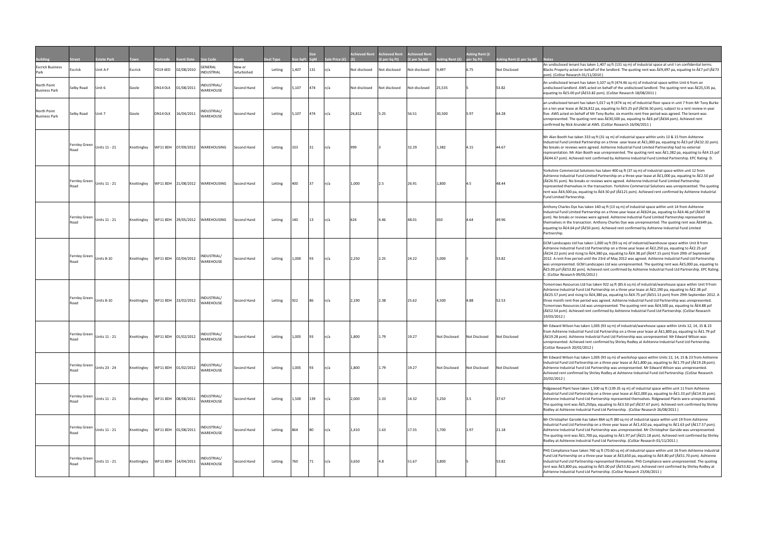Tomorrows Resources Ltd has taken 922 sq ft (85.6 sq m) of industrial/warehouse space within Unit 9 from d Ltd Partnership on a three year lease at £2,190 pa, equating to £2.38 psf ( $\hat{A}E25.57$  psm) and rising to  $\hat{A}E4.380$  pa, equating to  $\hat{A}E4.75$  psf ( $\hat{A}E51.13$  psm) from 29th September 2012. A eriod was agreed. Ashtenne Industrial Fund Ltd Partnership was unrepresented. Tomorrows Resources Ltd was unrepresented. The quoting rent was £4,500 pa, equating to £4.88 psf rent confirmed by Ashtenne Industrial Fund Ltd Partnership. (CoStar Research

ken 1,005 (93 sq m) of industrial/warehouse space within Units 12, 14, 15 & 23 from Ashtenne Industrial Fund Ltd Partnership on a three year lease at £1,800 pa, equating to £1.79 psf lndustrial Fund Ltd Partnership was unrepresented. Mr Edward Wilson was unrepresented. Achieved rent confirmed by Shirley Rodley at Ashtenne Industrial Fund Ltd Partnership.  $(2012)$ 

aken 1,005 (93 sq m) of workshop space within Units 12, 14, 15 & 23 from Ashtenne ership on a three year lease at  $\hat{A}f1.800$  pa, equating to  $\hat{A}f1.79$  psf ( $\hat{A}f19.28$  psm). I Ltd Partnership was unrepresented. Mr Edward Wilson was unrepresented. Achieved rent confirmed by Shirley Rodley at Ashtenne Industrial Fund Ltd Partnership. (CoStar Research

ken 1,500 sq ft (139.35 sq m) of industrial space within unit 11 from Ashtenne Industrial Fund Ltd Partnership on a three-year lease at £2,000 pa, equating to £1.33 psf (£14.35 psm). Ashtenne Industrial Fund Ltd Partnership represented themselves. Ridgewood Plants were unrepresented. The quoting rent was £5,250pa, equating to £3.50 psf (£37.67 psm). Achieved rent confirmed by Shirley Rodley at Ashtenne Industrial Fund Ltd Partnership . (CoStar Research 26/08/2011 )

has taken 864 sq ft (80 sq m) of industrial space within unit 19 from Ashtenne Industrial Fund Ltd Partnership on a three year lease at  $\hat{A}\hat{\epsilon}1$ ,410 pa, equating to  $\hat{A}\hat{\epsilon}1.63$  psf ( $\hat{A}\hat{\epsilon}17.57$  psm). **I Ltd Partnership was unrepresented. Mr Christopher Garside was unrepresented.** The quoting rent was  $\hat{A}E1,700$  pa, equating to  $\hat{A}E1.97$  psf ( $\hat{A}E21.18$  psm). Achieved rent confirmed by Shirley extrial Fund Ltd Partnership. (CoStar Research 01/11/2011 )

 $\mathbf{F}$  760 sq ft (70.60 sq m) of industrial space within unit 16 from Ashtenne industrial a three-year lease at £3,650 pa, equating to £4.80 psf (£51.70 psm). Ashtenne Industrial Fund Ltd Partnership represented themselves. PHS Compliance were unrepresented. The quoting rent was £3,800 pa, equating to £5.00 psf (£53.82 psm). Achieved rent confirmed by Shirley Rodley at Ltd Partnership. (CoStar Research 23/06/2011 )

| Building                            | <b>Street</b>         | <b>Estate Park</b>                                                     | Town        | Postcode        | <b>Event Date</b> | <b>Use Code</b>              | Grade                 | Deal Type | <b>Size SqFt</b> | Size<br>SqM | Sale Price (£) | <b>Achieved Rent</b> | <b>Achieved Rent</b><br>(£ per Sq Ft) | <b>Achieved Rent</b><br>(£ per Sq M) | Asking Rent (£) | Asking Rent (£<br>per Sq Ft) | Asking Rent (£ per Sq M) | <b>Notes</b>                                                                                                                                                                                 |
|-------------------------------------|-----------------------|------------------------------------------------------------------------|-------------|-----------------|-------------------|------------------------------|-----------------------|-----------|------------------|-------------|----------------|----------------------|---------------------------------------|--------------------------------------|-----------------|------------------------------|--------------------------|----------------------------------------------------------------------------------------------------------------------------------------------------------------------------------------------|
| <b>Escrick Business</b><br>Park     | Escrick               | Unit A-F                                                               | Escrick     | YO19 6ED        | 02/08/2010        | GENERAL<br><b>INDUSTRIAL</b> | New or<br>refurbished | Letting   | 1,407            | 131         | n/a            | Not disclosed        | Not disclosed                         | Not disclosed                        | 9,497           | 6.75                         | Not Disclosed            | An undisclosed tenant ha:<br>Blacks Property acted on<br>psm). (CoStar Research 0:                                                                                                           |
| North Point<br><b>Business Park</b> | Selby Road            | Unit 6                                                                 | Goole       | <b>DN14 0LX</b> | 01/08/2011        | INDUSTRIAL/<br>WAREHOUSE     | Second Hand           | Letting   | 5,107            | 474         | n/a            | Not disclosed        | Not disclosed                         | Not disclosed                        | 25,535          |                              | 53.82                    | An undisclosed tenant has<br>undisclosed landlord. AW<br>equating to £5.00 psf (Â                                                                                                            |
| North Point<br><b>Business Park</b> | Selby Road            | Unit 7                                                                 | Goole       | <b>DN14 0LX</b> | 16/04/2011        | INDUSTRIAL/<br>WAREHOUSE     | Second Hand           | Letting   | 5,107            | 474         | n/a            | 26,812               | 5.25                                  | 56.51                                | 30,500          | 5.97                         | 64.28                    | an undisclosed tenant has<br>on a ten year lease at £2<br>five. AWS acted on behalf<br>unrepresented. The quoti<br>confirmed by Nick Arunde                                                  |
|                                     | Fernley Green<br>Road | Units 11 - 21                                                          | Knottingley | <b>WF11 8DH</b> | 07/09/2012        | WAREHOUSING                  | Second Hand           | Letting   | 333              | 31          | n/a            | 999                  |                                       | 32.29                                | 1,382           | 4.15                         | 44.67                    | Mr Alan Booth has taken<br>Industrial Fund Limited Pa<br>No breaks or reviews wer<br>representation. Mr Alan E<br>(£44.67 psm). Achieved                                                     |
|                                     | Fernley Green<br>Road | Units 11 - 21                                                          | Knottingley | <b>WF11 8DH</b> | 21/08/2012        | WAREHOUSING                  | Second Hand           | Letting   | 400              | 37          | n/a            | 1,000                | 2.5                                   | 26.91                                | 1,800           | 4.5                          | 48.44                    | Yorkshire Commercial Sol<br>Ashtenne Industrial Fund<br>(£26.91 psm). No breaks<br>represented themselves i<br>rent was £4,500 pa, equ<br>Fund Limited Partnership.                          |
|                                     | Fernley Green<br>Road | Units 11 - 21                                                          | Knottingley | <b>WF11 8DH</b> | 29/05/2012        | WAREHOUSING                  | Second Hand           | Letting   | 140              | 13          | n/a            | 624                  | 4.46                                  | 48.01                                | 650             | 4.64                         | 49.96                    | Anthony Charles Dye has<br>Industrial Fund Limited Pa<br>psm). No breaks or reviev<br>themselves in the transac<br>equating to £4.64 psf (Â<br>Partnership.                                  |
|                                     | Fernley Green<br>Road | <b>Units 8-10</b>                                                      | Knottingley | <b>WF11 8DH</b> | 02/04/2012        | INDUSTRIAL/<br>WAREHOUSE     | Second Hand           | Letting   | 1,000            | 93          | n/a            | 2,250                | 2.25                                  | 24.22                                | 5,000           |                              | 53.82                    | GCM Landscapes Ltd has<br>Ashtenne Industrial Fund<br>(£24.22 psm) and rising<br>2012. A rent-free period u<br>was unrepresented. GCM<br>£5.00 psf (£53.82 psm)<br>C. (CoStar Research 09/05 |
|                                     | Fernley Green<br>Road | <b>Units 8-10</b>                                                      | Knottingley | <b>WF11 8DH</b> | 23/02/2012        | INDUSTRIAL/<br>WAREHOUSE     | Second Hand           | Letting   | 922              | 86          | n/a            | 2,190                | 2.38                                  | 25.62                                | 4,500           | 4.88                         | 52.53                    | <b>Tomorrows Resources Ltd</b><br>Ashtenne Industrial Fund<br>(£25.57 psm) and rising<br>three month rent-free pe<br><b>Tomorrows Resources Ltd</b><br>(£52.54 psm). Achieved<br>19/03/2012) |
|                                     | Road                  | Fernley Green Units 11 - 21 Knottingley WF11 8DH 01/02/2012 MDUSTRIAL/ |             |                 |                   | WAREHOUSE                    | econd Hand            | Letting   | 1,005            | 93          | n/a            | 1.800                | 1.79                                  | 19.27                                | Not Disclosed   | <b>Not Disclosed</b>         | Not Disclosed            | Mr Edward Wilson has tal<br>from Ashtenne Industrial<br>(£19.28 psm). Ashtenne<br>unrepresented. Achieved<br>(CoStar Research 20/02/2                                                        |
|                                     | Fernley Green<br>Road | Units 23 - 24                                                          | Knottingley | <b>WF11 8DH</b> | 01/02/2012        | INDUSTRIAL/<br>WAREHOUSE     | Second Hand           | Letting   | 1,005            | 93          | n/a            | 1,800                | 1.79                                  | 19.27                                | Not Disclosed   | Not Disclosed                | Not Disclosed            | Mr Edward Wilson has tal<br>Industrial Fund Ltd Partne<br>Ashtenne Industrial Fund<br>Achieved rent confirmed<br>20/02/2012)                                                                 |
|                                     | Fernley Green<br>Road | Units 11 - 21                                                          | Knottingley | <b>WF11 8DH</b> | 08/08/2011        | INDUSTRIAL/<br>WAREHOUSE     | Second Hand           | Letting   | 1,500            | 139         | n/a            | 2,000                | 1.33                                  | 14.32                                | 5,250           | 3.5                          | 37.67                    | Ridgewood Plant have tak<br>Industrial Fund Ltd Partne<br>Ashtenne Industrial Fund<br>The quoting rent was £5<br>Rodley at Ashtenne Indus                                                    |
|                                     | Fernley Green<br>Road | Units 11 - 21                                                          | Knottingley | <b>WF11 8DH</b> | 01/08/2011        | INDUSTRIAL/<br>WAREHOUSE     | Second Hand           | Letting   | 864              | 80          | n/a            | 1,410                | 1.63                                  | 17.55                                | 1,700           | 1.97                         | 21.18                    | Mr Christopher Garside h<br>Industrial Fund Ltd Partne<br>Ashtenne Industrial Fund<br>The quoting rent was £1<br>Rodley at Ashtenne Indus                                                    |
|                                     | Fernley Green<br>Road | Units 11 - 21                                                          | Knottingley | <b>WF11 8DH</b> | 14/04/2011        | INDUSTRIAL/<br>WAREHOUSE     | Second Hand           | Letting   | 760              | 71          | n/a            | 3,650                | 4.8                                   | 51.67                                | 3,800           |                              | 53.82                    | PHS Compliance have take<br>Fund Ltd Partnership on a<br>Industrial Fund Ltd Partne<br>rent was £3,800 pa, equ<br>Ashtenne Industrial Fund                                                   |

as taken 1,407 sq ft (131 sq m) of industrial space at unit I on confidential terms.<br>I behalf of the landlord. The quoting rent was £9,497 pa, equating to £7 psf (£73  $01/11/2010$ )

is taken 5,107 sq ft (474.46 sq m) of industrial space within Unit 6 from an<br>/S acted on behalf of the undisclosed landlord. The quoting rent was £25,535 pa,<br>λ£53.82 psm). (CoStar Research 18/08/2011 )

is taken 5,017 sq ft (474 sq m) of Industrial floor space in unit 7 from Mr Tony Burke  $26.812$  pa, equating to  $\hat{A}$ £5.25 psf ( $\hat{A}$ £56.50 psm), subject to a rent review in year If of Mr Tony Burke. six months rent-free period was agreed. The tenant was ing rent was £30,500 pa, equating to £6 psf (£64 psm). Achieved rent el at AWS. (CoStar Research 16/06/2011 )

333 sq ft (31 sq m) of industrial space within units 13 & 15 from Ashtenn Industrial Fund Limited Partnership on a three -year lease at £1,000 pa, equating to £3 psf (£32.32 psm). re agreed. Ashtenne Industrial Fund Limited Partnership had no external representation. Mr Alan Booth was unrepresented. The quoting rent was £1,382 pa, equating to £4.15 psf rent confirmed by Ashtenne Industrial Fund Limited Partnership. EPC Rating- D.

lutions has taken 400 sq ft (37 sq m) of industrial space within unit 12 from Ashtenne Industrial Fund Limited Partnership on a three-year lease at  $\hat{A}E1,000$  pa, equating to  $\hat{A}E2.50$  psf s or reviews were agreed. Ashtenne Industrial Fund Limited Partnership represented themselves in the transaction. Yorkshire Commercial Solutions was unrepresented. The quoting rent was £4,500 pa, equating to £4.50 psf (£121 psm). Achieved rent confirmed by Ashtenne Industrial

taken 140 sq ft (13 sq m) of industrial space within unit 14 from Ashtenne Industrial Fund Limited Partnership on a three-year lease at £624 pa, equating to £4.46 psf (£47.98 ws were agreed. Ashtenne Industrial Fund Limited Partnership represented themselves in the transaction. Anthony Charles Dye was unrepresented. The quoting rent was £649 pa,  $\hat{A}$ £50 psm). Achieved rent confirmed by Ashtenne Industrial Fund Limited

taken 1,000 sq ft (93 sq m) of industrial/warehouse space within Unit 8 from Ashtenne Industrial Fund Ltd Partnership on a three year lease at £2,250 pa, equating to £2.25 psf ( $\hat{A}E24.22$  psm) and rising to  $\hat{A}E4,380$  pa, equating to  $\hat{A}E4.38$  psf ( $\hat{A}E47.15$  psm) from 29th of September 2012. A rent-free period until the 23rd of May 2012 was agreed. Ashtenne Industrial Fund Ltd Partnership 1 Landscapes Ltd was unrepresented. The quoting rent was £5,000 pa, equating to £5.00 psf (£53.82 psm). Achieved rent confirmed by Ashtenne Industrial Fund Ltd Partnership. EPC Rating: .<br>5/2012 )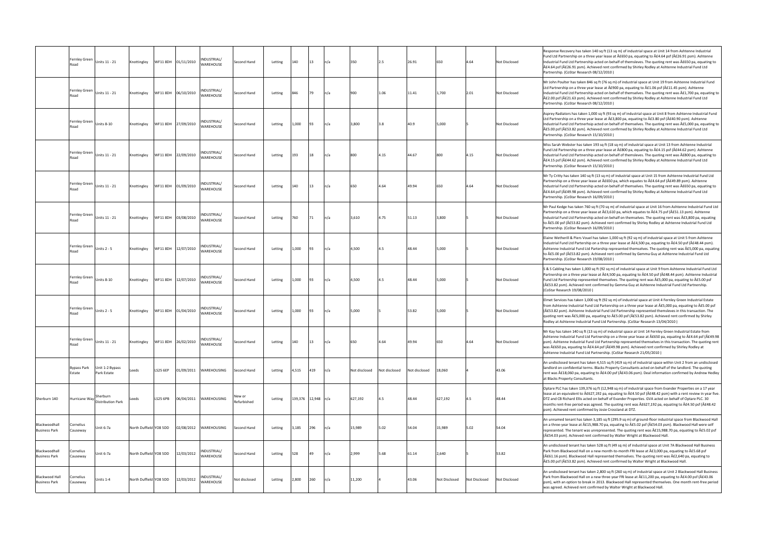Mr John Poulter has taken 846 sq ft (76 sq m) of industrial space at Unit 19 from Ashtenne Industrial Fund e year lease at £900 pa, equating to £1.06 psf (£11.45 psm). Ashtenne Industrial Fund Ltd Partnership acted on behalf of themselves. The quoting rent was £1,700 pa, equating to £2.00 psf (£21.63 psm). Achieved rent confirmed by Shirley Rodley at Ashtenne Industrial Fund Ltd earch 08/12/2010 )

en 1,000 sq ft (93 sq m) of industrial space at Unit 8 from Ashtenne Industrial Fund e year lease at £3,800 pa, equating to £3.80 psf (£40.90 psm). Ashtenne Industrial Fund Ltd Partnerhsip acted on behalf of themselves. The quoting rent was £5,000 pa, equating to £5.00 psf (£53.82 psm). Achieved rent confirmed by Shirley Rodley at Ashtenne Industrial Fund Ltd Parch 15/10/2010 )

taken 193 sq ft (18 sq m) of industrial space at Unit 13 from Ashtenne Industrial Fund Ltd Partnership on a three year lease at £800 pa, equating to £4.15 psf (£44.62 psm). Ashtenne Industrial Fund Ltd Partnership acted on behalf of themsleves. The quoting rent was £800 pa, equating to £4.15 psf (£44.62 psm). Achieved rent confirmed by Shirley Rodley at Ashtenne Industrial Fund Ltd Parch 15/10/2010 )

10 sq ft (13 sq m) of industrial space at Unit 15 from Ashtenne Industrial Fund Ltd ear lease at £650 pa, which equates to £4.64 psf (£49.89 psm). Ashtenne Industrial Fund Ltd Partnership acted on behalf of themselves. The quoting rent was £650 pa, equating to £4.64 psf (£49.98 psm). Achieved rent confirmed by Shirley Rodley at Ashtenne Industrial Fund Ltd Parch 16/09/2010 )

760 sq ft (70 sq m) of industrial space at Unit 16 from Ashtenne Industrial Fund Ltd ear lease at £3,610 pa, which equates to £4.75 psf (£51.13 psm). Ashtenne Industrial Fund Ltd Partnership acted on behalf on themselves. The quoting rent was £3,800 pa, equating to £5.00 psf (£53.82 psm). Achieved rent confirmed by Shirley Rodley at Ashtenne Industrial Fund Ltd Parch 16/09/2010 )

Vouel has taken 1,000 sq ft (92 sq m) of industrial space at Unit 5 from Ashtenne Industrial Fund Ltd Partership on a three year lease at £4,500 pa, equating to £4.50 psf (£48.44 psm). Ashtenne Industrial Fund Ltd Partership represented themselves. The quoting rent was £5,000 pa, equating to £5.00 psf (£53.82 psm). Achieved rent confirmed by Gemma Guy at Ashtenne Industrial Fund Ltd Parch 19/08/2010 )

O00 sq ft (92 sq m) of industrial space at Unit 9 from Ashtenne Industrial Fund Ltd Partnership on a three year lease at £4,500 pa, equating to £4.50 psf (£48.44 psm). Ashtenne Industrial Fund Ltd Partnership represented themselves. The quoting rent was  $\hat{A}E$ 5,000 pa, equating to  $\hat{A}E$ 5.00 psf rent confirmed by Gemma Guy at Ashtenne Industrial Fund Ltd Partnership.  $(2010)$ 

1,000 sq ft (92 sq m) of industrial space at Unit 4 Fernley Green Industrial Estate from Ashtenne Industrial Fund Ltd Partenrship on a three year lease at £5,000 pa, equating to £5.00 psf e Industrial Fund Ltd Partnership represented themsleves in this transaction. The quoting rent was £5,000 pa, equating to £5.00 psf (£53.82 psm). Achieved rent confirmed by Shirley strial Fund Ltd Partnership. (CoStar Research 13/04/2010)

ft (13 sq m) of industrial space at Unit 14 Fernley Green Industrial Estate from Ashtenne Industrial Fund Ltd Partnership on a three year lease at £650 pa, equating to £4.64 psf (£49.98 I Fund Ltd Partnership represented themselves in this transaction. The quoting rent was £650 pa, equating to £4.64 psf (£49.98 psm). Achieved rent confirmed by Shirley Rodley at Ashtenne Industrial Fund Ltd Partnership. (CoStar Research 21/05/2010 )

as taken 4,515 sq ft (419 sq m) of industrial space within Unit 2 from an undisclosed landlord on confidential terms. Blacks Property Consultants acted on behalf of the landlord. The quoting rent was £18,060 pa, equating to £4.00 psf (£43.06 psm). Deal information confirmed by Andrew Hedley ltants.

9.376 sq ft (12,948 sq m) of industrial space from Evander Properties on a 17 year lease at an equivalent to £627,192 pa, equating to £4.50 psf (£48.42 psm) with a rent review in year five. acted on behalf of Evander Properties. GVA acted on behalf of Optare PLC. 30 months rent-free period was agreed. The quoting rent was  $\hat{A}E627,192$  pa, equating to  $\hat{A}E4.50$  psf ( $\hat{A}E48.42$ production. Achieved rent confirmed by Josie Crossland at DTZ.

An unnamed tenant has taken 3,185 sq ft (295.9 sq m) of ground-floor industrial space from Blackwood Hall  $\hat{A}$ £15.988.70 pa, equating to  $\hat{A}$ £5.02 psf ( $\hat{A}$ £54.03 psm). Blackwood Hall were self represented. The tenant was unrepresented. The quoting rent was  $\hat{A}$ £15,988.70 pa, equating to  $\hat{A}$ £5.02 psf rent confirmed by Walter Wright at Blackwood Hall.

An undisclosed tenant has taken 528 sq ft (49 sq m) of industrial space at Unit 7A Blackwood Hall Business Park from Blackwood Hall on a new month-to-month FRI lease at £3,000 pa, equating to £5.68 psf (£61.16 psm). Blackwood Hall represented themselves. The quoting rent was £2,640 pa, equating to ex.<br>E53.500 psi (£53.92 psi (£53.82 ps). Achieved rent confirmed by Walter Wright at Blackwood Hall.

as taken 2,800 sq ft (260 sq m) of industrial space at Unit 2 Blackwood Hall Business Park from Blackwood Hall on a new three year FRI lease at £11,200 pa, equating to £4.00 psf (£43.06 preak in 2013. Blackwood Hall represented themselves. One month rent-free period nt confirmed by Walter Wright at Blackwood Hall.

|                                        | <b>Fernley Green</b><br>Road | Units 11 - 21                        | Knottingley            | <b>WF11 8DH</b> | 01/11/2010 | INDUSTRIAL/<br>WAREHOUSE        | Second Hand           | Letting | 140                | 13  | n/a | 350           | 2.5           | 26.91         | 650           | 4.64          | Not Disclosed | Response Recovery has ta<br>Fund Ltd Partnership on a<br>Industrial Fund Ltd Partne<br>£4.64 psf (£26.91 psm)<br>Partnership. (CoStar Rese    |
|----------------------------------------|------------------------------|--------------------------------------|------------------------|-----------------|------------|---------------------------------|-----------------------|---------|--------------------|-----|-----|---------------|---------------|---------------|---------------|---------------|---------------|-----------------------------------------------------------------------------------------------------------------------------------------------|
|                                        | <b>Fernley Green</b><br>Road | Units 11 - 21                        | Knottingley            | <b>WF11 8DH</b> | 06/10/2010 | INDUSTRIAL/<br>WAREHOUSE        | Second Hand           | Letting | 846                | 79  | n/a | 900           | 1.06          | 11.41         | 1,700         | 2.01          | Not Disclosed | Mr John Poulter has taker<br>Ltd Partnership on a three<br>Industrial Fund Ltd Partne<br>£2.00 psf (£21.63 psm)<br>Partnership. (CoStar Rese  |
|                                        | <b>Fernley Green</b><br>Road | <b>Units 8-10</b>                    | Knottingley            | <b>WF11 8DH</b> | 27/09/2010 | INDUSTRIAL/<br>WAREHOUSE        | Second Hand           | Letting | 1,000              | 93  | n/a | 3,800         | 3.8           | 40.9          | 5,000         |               | Not Disclosed | Asprey Radiators has take<br>Ltd Partnership on a three<br>Industrial Fund Ltd Partne<br>£5.00 psf (£53.82 psm)<br>Partnership. (CoStar Rese  |
|                                        | <b>Fernley Green</b><br>Road | Units 11 - 21                        | Knottingley            | WF11 8DH        | 22/09/2010 | INDUSTRIAL/<br>WAREHOUSE        | Second Hand           | Letting | 193                | 18  | n/a | 800           | 4.15          | 44.67         | 800           | 4.15          | Not Disclosed | Miss Sarah Webster has t<br>Fund Ltd Partnership on a<br>Industrial Fund Ltd Partne<br>£4.15 psf (£44.62 psm)<br>Partnership. (CoStar Rese    |
|                                        | <b>Fernley Green</b><br>Road | Units 11 - 21                        | Knottingley            | <b>WF11 8DH</b> | 01/09/2010 | INDUSTRIAL/<br>WAREHOUSE        | Second Hand           | Letting | 140                | 13  | n/a | 650           | 4.64          | 49.94         | 650           | 4.64          | Not Disclosed | Mr Ty Critty has taken 14<br>Partnership on a three ye<br>Industrial Fund Ltd Partne<br>£4.64 psf (£49.98 psm)<br>Partnership. (CoStar Rese   |
|                                        | <b>Fernley Green</b><br>Road | Units 11 - 21                        | Knottingley            | WF11 8DH        | 03/08/2010 | INDUSTRIAL/<br>WAREHOUSE        | Second Hand           | Letting | 760                | 71  | n/a | 3,610         | 4.75          | 51.13         | 3,800         |               | Not Disclosed | Mr Paul Kedge has taken<br>Partnership on a three ye<br>Industrial Fund Ltd Partne<br>to £5.00 psf (£53.82 ps<br>Partnership. (CoStar Rese    |
|                                        | <b>Fernley Green</b><br>Road | <b>Units 2 - 5</b>                   | Knottingley            | <b>WF11 8DH</b> | 12/07/2010 | INDUSTRIAL/<br>WAREHOUSE        | Second Hand           | Letting | 1,000              | 93  | n/a | 4,500         | 4.5           | 48.44         | 5,000         |               | Not Disclosed | Elaine Wetherill & Piers V<br>Industrial Fund Ltd Parter<br>Ashtenne Industrial Fund<br>to £5.00 psf (£53.82 ps<br>Partnership. (CoStar Rese  |
|                                        | <b>Fernley Green</b><br>Road | <b>Units 8-10</b>                    | Knottingley            | <b>WF11 8DH</b> | 12/07/2010 | INDUSTRIAL/<br>WAREHOUSE        | Second Hand           | Letting | 1,000              | 93  | n/a | 4,500         | 4.5           | 48.44         | 5,000         |               | Not Disclosed | S & S Cabling has taken 1,<br>Partnership on a three ye<br>Fund Ltd Partnership repr<br>(£53.82 psm). Achieved<br>(CoStar Research 19/08/2    |
|                                        | <b>Fernley Green</b><br>Road | <b>Units 2 - 5</b>                   | Knottingley            | <b>WF11 8DH</b> | 01/04/2010 | INDUSTRIAL/<br>WAREHOUSE        | Second Hand           | Letting | 1,000              | 93  | n/a | 5,000         |               | 53.82         | 5,000         |               | Not Disclosed | Elmet Services has taken:<br>from Ashtenne Industrial<br>(£53.82 psm). Ashtenne<br>quoting rent was £5,000<br>Rodley at Ashtenne Indus        |
|                                        | Fernley Green<br>Road        | Units 11 - 21                        | Knottingley            | <b>WF11 8DH</b> | 26/02/2010 | INDUSTRIAL/<br>WAREHOUSE        | Second Hand           | Letting | 140                | 13  | n/a | 650           | 4.64          | 49.94         | 650           | 4.64          | Not Disclosed | Mr Kay has taken 140 sq f<br>Ashtenne Industrial Fund<br>psm). Ashtenne Industrial<br>was £650 pa, equating to<br>Ashtenne Industrial Fund    |
|                                        | <b>Bypass Park</b><br>Estate | Unit 1-2 Bypass<br>Park Estate       | Leeds                  | <b>LS25 6EP</b> | 01/09/2011 | <b>WAREHOUSING</b>              | Second Hand           | Letting | 4,515              | 419 | n/a | Not disclosed | Not disclosed | Not disclosed | 18,060        |               | 43.06         | An undisclosed tenant has<br>landlord on confidential t<br>rent was £18,060 pa, eq<br>at Blacks Property Consul                               |
| Sherburn 140                           | Hurricane Way                | Sherburn<br><b>Distribution Park</b> | Leeds                  | <b>LS25 6PB</b> |            | 06/04/2011 WAREHOUSING          | New or<br>Refurbished | Letting | 139,376 12,948 n/a |     |     | 627,192       | 4.5           | 48.44         | 627,192       | 4.5           | 48.44         | Optare PLC has taken 139<br>lease at an equivalent to<br>DTZ and CB Richard Ellis a<br>months rent-free period \<br>psm). Achieved rent confi |
| Blackwoodhall<br><b>Business Park</b>  | Cornelius<br>Causeway        | Unit 6-7a                            | North Duffield YO8 5DD |                 | 02/08/2012 | WAREHOUSING                     | Second Hand           | Letting | 3,185              | 296 | n/a | 15,989        | 5.02          | 54.04         | 15,989        | 5.02          | 54.04         | An unnamed tenant has t<br>on a three-year lease at Â<br>represented. The tenant v<br>(£54.03 psm). Achieved                                  |
| Blackwoodhall<br><b>Business Park</b>  | Cornelius<br>Causeway        | Unit 6-7a                            | North Duffield YO8 5DD |                 | 12/03/2012 | INDUSTRIAL/<br><b>WAREHOUSE</b> | Second Hand           | Letting | 528                | 49  | n/a | 2,999         | 5.68          | 61.14         | 2,640         |               | 53.82         | An undisclosed tenant ha:<br>Park from Blackwood Hall<br>(£61.16 psm). Blackwoo<br>£5.00 psf (£53.82 psm)                                     |
| Blackwood Hall<br><b>Business Park</b> | Cornelius<br>Causeway        | Units 1-4                            | North Duffield YO8 5DD |                 | 12/03/2012 | INDUSTRIAL/<br>WAREHOUSE        | Not disclosed         | Letting | 2,800              | 260 | n/a | 11,200        |               | 43.06         | Not Disclosed | Not Disclosed | Not Disclosed | An undisclosed tenant has<br>Park from Blackwood Hall<br>psm), with an option to b<br>was agreed. Achieved ren                                |

aken 140 sq ft (13 sq m) of industrial space at Unit 14 from Ashtenne Industrial Fund Ltd Partnership on a three year lease at £650 pa, equating to £4.64 psf (£26.91 psm). Ashtenne Industrial Fund Ltd Partnership acted on behalf of themsleves. The quoting rent was £650 pa, equating to £4.64 psf (£26.91 psm). Achieved rent confirmed by Shirley Rodley at Ashtenne Industrial Fund Ltd Parch 08/12/2010 )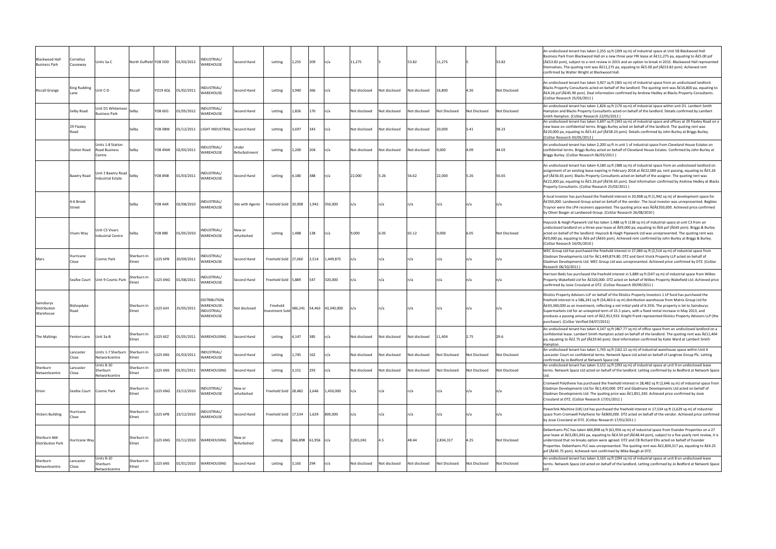| Blackwood Hall<br><b>Business Park</b>   | Cornelius<br>Causeway | Units 5a-C                                     | North Duffield YO8 5DD |          | 01/03/2012         | INDUSTRIAL/<br>WAREHOUSE                                      | Second Hand            | Letting                    | 2,255          | 209                | n/a        | 11,275        |                             | 53.82         | 11,275               |                      | 53.82         | An undisclosed tenant has taken 2,255 sq ft (209 sq m) of industrial space at Unit 5B Blackwood Hall<br>Business Park from Blackwood Hall on a new three year FRI lease at £11,275 pa, equating to £5.00 psf<br>(£53.82 psm), subject to a rent review in 2015 and an option to break in 2015. Blackwood Hall represented<br>themselves. The quoting rent was £11,275 pa, equating to £5.00 psf (£53.82 psm). Achieved rent<br>confirmed by Walter Wright at Blackwood Hall.                                                                                                                  |
|------------------------------------------|-----------------------|------------------------------------------------|------------------------|----------|--------------------|---------------------------------------------------------------|------------------------|----------------------------|----------------|--------------------|------------|---------------|-----------------------------|---------------|----------------------|----------------------|---------------|-----------------------------------------------------------------------------------------------------------------------------------------------------------------------------------------------------------------------------------------------------------------------------------------------------------------------------------------------------------------------------------------------------------------------------------------------------------------------------------------------------------------------------------------------------------------------------------------------|
| <b>Riccall Grange</b>                    | King Rudding<br>Lane  | Unit C-D                                       | Riccall                | YO19 6QL | 01/02/2011         | NDUSTRIAL/<br><b><i>NAREHOUSE</i></b>                         | Second Hand            | Letting                    | 3,940          | 366                | n/a        | Not disclosed | Not disclosed               | Not disclosed | 16,800               | 4.26                 | Not Disclosed | An undisclosed tenant has taken 3,927 sq ft (365 sq m) of industrial space from an undisclosed landlord.<br>Blacks Property Consultants acted on behalf of the landlord. The quoting rent was £16,800 pa, equating t<br>£4.26 psf (£45.90 psm). Deal information confirmed by Andrew Hedley at Blacks Property Consultants.<br>(CoStar Research 25/03/2011)                                                                                                                                                                                                                                   |
|                                          | Selby Road            | Unit D1 Whitemoor<br>Business Park             | Selby                  | YO8 6EG  | 01/05/2012         | NDUSTRIAL/<br><b><i>NAREHOUSE</i></b>                         | Second Hand            | Letting                    | l,826          | 170                | n/a        | Not disclosed | Not disclosed               | Not disclosed | Not Disclosed        | Not Disclosed        | Not Disclosed | An undisclosed tenant has taken 1,826 sq ft (170 sq m) of industrial space within unit D1. Lambert Smith<br>Hampton and Blacks Property Consultants acted on behalf of the landlord. Details confirmed by Lambert<br>Smith Hampton. (CoStar Research 22/05/2012)                                                                                                                                                                                                                                                                                                                              |
|                                          | 29 Flaxley<br>Road    |                                                | Selby                  | VO8 0BW  | 01/12/2011         | LIGHT INDUSTRIAL                                              | Second Hand            | Letting                    | 3,697          | 343                | n/a        | Not disclosed | Not disclosed               | Not disclosed | 20,000               | 5.41                 | 58.23         | An undisclosed tenant has taken 3,697 sq ft (343 sq m) of industrial space and offices at 29 Flaxley Road on a<br>new lease on confidential terms. Briggs Burley acted on behalf of the landlord. The quoting rent was<br>£20,000 pa, equating to £5.41 psf (£58.23 psm). Details confirmed by John Burley at Briggs Burley.<br>(CoStar Research 03/05/2012)                                                                                                                                                                                                                                  |
|                                          | <b>Station Road</b>   | Units 1-8 Station<br>Road Business<br>Centre   | Selby                  | YO8 4NW  | 02/05/2011         | NDUSTRIAL/<br>WAREHOUSE                                       | Under<br>Refurbishment | Letting                    | 2,200          | 204                | n/a        | Not disclosed | Not disclosed               | Not disclosed | 9,000                | 4.09                 | 44.03         | An undisclosed tenant has taken 2,200 sq ft in unit 1 of industrial space from Cleveland House Estates on<br>confidential terms. Briggs Burley acted on behalf of Cleveland House Estates. Confirmed by John Burley at<br>Briggs Burley. (CoStar Research 06/05/2011)                                                                                                                                                                                                                                                                                                                         |
|                                          | Bawtry Road           | Unit 2 Bawtry Road<br>Industrial Estate        | Selby                  | YO8 8NB  | 01/03/2011         | INDUSTRIAL/<br>WAREHOUSE                                      | Second Hand            | Letting                    | 1,180          | 388                | n/a        | 22,000        | 5.26                        | 56.62         | 22,000               | 5.26                 | 56.65         | An undisclosed tenant has taken 4,180 sq ft (388 sq m) of industrial space from an undisclosed landlord on<br>assignment of an existing lease expiring in February 2018 at £22,000 pa, rent passing, equating to £5.26<br>psf (£56.65 psm). Blacks Property Consultants acted on behalf of the assignor. The quoting rent was<br>£22,000 pa, equating to £5.26 psf (£56.65 psm). Deal information confirmed by Andrew Hedley at Blacks<br>Property Consultants. (CoStar Research 25/03/2011)                                                                                                  |
|                                          | 4-6 Brook<br>Street   |                                                | Selby                  | YO8 4AR  | 02/08/2010         | INDUSTRIAL/<br>WAREHOUSE                                      | Site with Agents       | Freehold Sold              | 20,908         | 1,942              | 350,000    | n/a           | n/a                         |               |                      | n/a                  |               | A local investor has purchased the freehold interest in 20,908 sq ft (1,942 sq m) of development space for<br>A£350,000. Landwood Group acted on behalf of the vendor. The local investor was unrepresented. Begbies<br>Traynor were the LPA receivers appointed. The quoting price was ££350,000. Achieved price confirmed<br>by Oliver Basger at Landwood Group. (CoStar Research 26/08/2010)                                                                                                                                                                                               |
|                                          | Vivars Way            | Jnit C3 Vivars<br>Industrial Centre            | Selby                  | YO8 8BE  | 01/05/2010         | NDUSTRIAL/<br><b>NAREHOUSE</b>                                | New or<br>refurbished  | Letting                    | ,488           | 138                | n/a        | ,000          | 6.05                        | 65.12         | 9,000                | 6.05                 | Not Disclosed | Haycock & Haigh Pipework Ltd has taken 1,488 sq ft (138 sq m) of industrial space at unit C3 from an<br>undisclosed landlord on a three-year lease at £9,000 pa, equating to £6 psf (£65 psm). Briggs & Burley<br>acted on behalf of the landlord. Haycock & Haigh Pipework Ltd was unrepresented. The quoting rent was<br>£9,000 pa, equating to £6 psf (£65 psm). Achieved rent confirmed by John Burley at Briggs & Burley.<br>(CoStar Research 14/05/2010)                                                                                                                                |
| Mars                                     | Hurricane<br>Close    | Cosmic Park                                    | Sherburn I<br>Elmet    | S25 6PB  | 20/09/2011         | INDUSTRIAL/<br>WAREHOUSE                                      | Second Hand            | Freehold Sold 27,060       |                | 2,514              | 1,449,875  | n/a           | n/a                         |               |                      | n/a                  |               | WEC Group Ltd has purchased the freehold interest in 27,060 sq ft (2,514 sq m) of industrial space from<br>Gladman Developments Ltd for £1,449,874.80. DTZ and Gent Visick Property LLP acted on behalf of<br>Gladman Developments Ltd. WEC Group Ltd was unrepresented. Achieved price confirmed by DTZ. (CoStar<br>Research 06/10/2011)                                                                                                                                                                                                                                                     |
|                                          | Seafox Court          | Unit 9 Cosmic Parl                             | Sherburn<br>Elmet      | S25 6NG  | 01/08/2011         | NDUSTRIAL/<br>WAREHOUSE                                       | Second Hand            | Freehold Sold 5,889        |                | 547                | 320,000    | n/a           | n/a                         |               |                      | n/a                  |               | Harrison Beds has purchased the freehold interest in 5,889 sq ft (547 sq m) of industrial space from Wilkes<br>Property Wakefield Ltd for £320,000. DTZ acted on behalf of Wilkes Property Wakefield Ltd. Achieved price<br>confirmed by Josie Crossland at DTZ. (CoStar Research 09/09/2011)                                                                                                                                                                                                                                                                                                 |
| Sainsburys<br>Distribution<br>Warehouse  | Bishopdyke<br>Road    |                                                | Sherburn In<br>Elmet   | S25 6JH  | 25/05/2011         | <b>DISTRIBUTION</b><br>WAREHOUSE:<br>INDUSTRIAL/<br>WAREHOUSE | Not disclosed          | Freehold<br>nvestment Sold | 586,241 54,463 |                    | 43,340,000 | n/a           | n/a                         |               |                      |                      |               | Ekistics Property Advisors LLP on behalf of the Ekistics Property Investors 1 LP fund has purchased the<br>freehold interest in a 586,241 sq ft (54,463.6 sq m) distribution warehouse from Matrix Group Ltd for<br>£43,340,000 as an investment, reflecting a net initial yield of 6.35%. The property is let to Sainsburys<br>Supermarkets Ltd for an unexpired term of 15.5 years, with a fixed rental increase in May 2013, and<br>produces a passing annual rent of £2,912,933. Knight Frank represented Ekistics Property Advisors LLP (the<br>purchaser). (CoStar Verified 04/07/2011) |
| The Maltings                             | Fenton Lane           | Unit 3a-B                                      | Sherburn In<br>Elmet   |          | S25 6EZ 01/05/2011 | WAREHOUSING                                                   | Second Hand            | Letting                    | 4.147          | 385                | n/a        |               | Not disclosed Not disclosed | Not disclosed | 11.404               | 2.75                 | 29.6          | An undisclosed tenant has taken 4,147 sq ft (467.77 sq m) of office space from an undisclosed landlord on a<br>confidential lease. Lambert Smith Hampton acted on behalf of the landlord. The quoting rent was £11,404<br>pa, equating to £2.75 psf (£29.60 psm). Deal information confirmed by Katie Ward at Lambert Smith<br>Hampton.                                                                                                                                                                                                                                                       |
|                                          | Lancaster<br>Close    | Units 1-7 Sherburn<br>Networkcentre            | Sherburn In<br>Elmet   | S25 6NS  | 01/03/2011         | INDUSTRIAL/<br>WAREHOUSE                                      | Second Hand            | Letting                    | L,745          | 162                | n/a        | Not disclosed | Not disclosed               | Not disclosed | <b>Not Disclosed</b> | Not Disclosed        | Not Disclosed | An undisclosed tenant has taken 1,745 sq ft (162.12 sq m) of industrial warehouse space within Unit 6<br>Lancaster Court on confidential terms. Network Space Ltd acted on behalf of Langtree Group Plc. Letting<br>confirmed by Jo Bedford at Network Space Ltd.                                                                                                                                                                                                                                                                                                                             |
| Sherburn<br>Networkcentre                | Lancaster<br>Close    | <b>Units 8-10</b><br>Sherburn<br>Networkcentre | Sherburn In<br>Elmet   | S25 6NS  | 01/01/2011         | WAREHOUSING                                                   | Second Hand            | Letting                    | 3,151          | 293                | n/a        | Not disclosed | Not disclosed               | Not disclosed | Not Disclosed        | Not Disclosed        | Not Disclosed | An undisclosed tenant has taken 3,151 sq ft (293 sq m) of industrial space at unit 9 on undisclosed lease<br>terms. Network Space Ltd acted on behalf of the landlord. Letting confirmed by Jo Bedford at Network Space                                                                                                                                                                                                                                                                                                                                                                       |
| Orion                                    | Seafox Court          | <b>Cosmic Park</b>                             | Sherburn I<br>Elmet    | S25 6NG  | 23/12/2010         | INDUSTRIAL/<br>WAREHOUSE                                      | New or<br>refurbished  | Freehold Sold 28,482       |                | 2,646              | 1,450,000  | n/a           | n/a                         |               |                      | n/a                  |               | Cromwell Polythene has purchased the freehold interest in 28,482 sq ft (2,646 sq m) of industrial space from<br>Gladman Developments Ltd for £1,450,000. DTZ and Gladmane Developments Ltd acted on behalf of<br>Gladman Developments Ltd. The quoting price was £1,851,330. Achieved price confirmed by Josie<br>Crossland at DTZ. (CoStar Research 17/01/2011)                                                                                                                                                                                                                              |
| Vickers Building                         | Hurricane<br>Close    |                                                | Sherburn In<br>Elmet   | S25 6PB  | 23/12/2010         | INDUSTRIAL/<br>WAREHOUSE                                      | Second Hand            | Freehold Sold 17,534       |                | 1,629              | 800,000    | n/a           | n/a                         | n/a           | n/a                  | n/a                  |               | Powerlink Machine (UK) Ltd has purchased the freehold interest in 17,534 sq ft (1,629 sq m) of industrial<br>space from Cromwell Polythene for £800,000. DTZ acted on behalf of the vendor. Achieved price confirmed<br>by Josie Crossland at DTZ. (CoStar Research 17/01/2011)                                                                                                                                                                                                                                                                                                               |
| Sherburn 666<br><b>Distribution Park</b> | urricane Way          |                                                | Sherburn In<br>Elmet   | S25 6NG  | 01/11/2010         | WAREHOUSING                                                   | New or<br>Refurbished  | Letting                    |                | 666,898 61,956 n/a |            | 3,001,041     | 4.5                         | 48.44         | 2,834,317            | 4.25                 | Not Disclosed | Debenhams PLC has taken 666,898 sq ft (61,956 sq m) of industrial space from Evander Properties on a 27<br>year lease at £3,001,041 pa, equating to £4.50 psf (£48.44 psm), subject to a five yearly rent review, it is<br>understood that no breaks option were agreed. DTZ and CB Richard Ellis acted on behalf of Evander<br>Properties. Debenhams PLC was unrepresented. The quoting rent was £2,834,317 pa, equating to £4.25<br>psf (£45.75 psm). Achieved rent confirmed by Mike Baugh at DTZ.                                                                                         |
| Sherburn<br>Networkcentre                | Lancaster<br>Close    | Units 8-10<br>Sherburn<br>Networkcentre        | Sherburn In<br>Elmet   | S25 6NS  | 01/01/2010         | WAREHOUSING                                                   | Second Hand            | Letting                    | 3,165          | 294                | n/a        | Not disclosed | Not disclosed               | Not disclosed | Not Disclosed        | <b>Not Disclosed</b> | Not Disclosed | An undisclosed tenant has taken 3,165 sq ft (294 sq m) of industrial space at unit 8 on undisclosed lease<br>terms. Network Space Ltd acted on behalf of the landlord. Letting confirmed by Jo Bedford at Network Space                                                                                                                                                                                                                                                                                                                                                                       |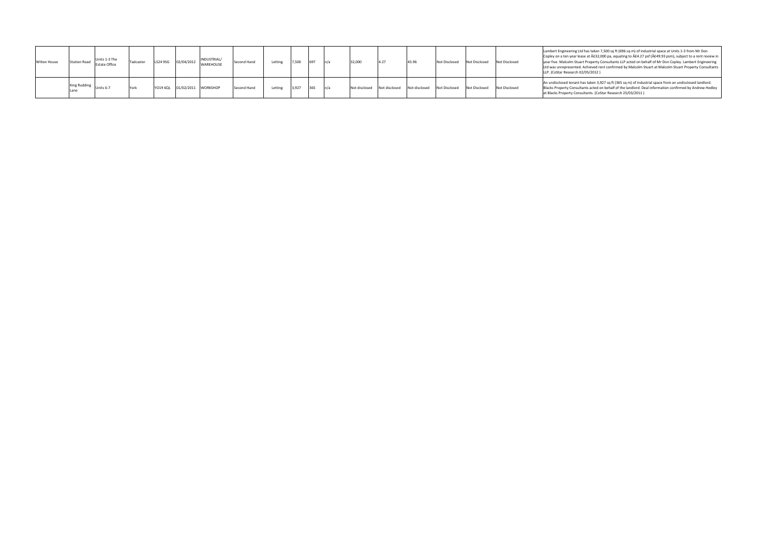Lambert Engineering Ltd has taken 7,500 sq ft (696 sq m) of industrial space at Units 1-3 from Mr Don<br>Copley on a ten year lease at £32,000 pa, equating to £4.27 psf (£49.93 psm), subject to a rent review in<br>year five. Ltd was unrepresented. Achieved rent confirmed by Malcolm Stuart at Malcolm Stuart Property Consultants

An undisclosed tenant has taken 3,927 sq ft (365 sq m) of industrial space from an undisclosed landlord.<br>Blacks Property Consultants acted on behalf of the landlord. Deal information confirmed by Andrew Hedley<br>at Blacks Pr

| <b>Wilton House</b> | <b>Station Road</b> | Units 1-3 The<br><b>Estate Office</b> | Tadcaster | <b>LS24 9SG</b> | 02/04/2012          | INDUSTRIAL/<br><b>WAREHOUSE</b> | Second Hand | Letting | 7,500 | 697 | n/a | 32.000        | 4.27          | 45.96         | Not Disclosed | Not Disclosed        | Not Disclosed | Lambert Engineering Ltd has taken<br>Copley on a ten year lease at £32,<br>year five. Malcolm Stuart Property<br>Ltd was unrepresented. Achieved r<br>LLP. (CoStar Research 02/05/2012) |
|---------------------|---------------------|---------------------------------------|-----------|-----------------|---------------------|---------------------------------|-------------|---------|-------|-----|-----|---------------|---------------|---------------|---------------|----------------------|---------------|-----------------------------------------------------------------------------------------------------------------------------------------------------------------------------------------|
|                     |                     | King Rudding Units 6-7                | York      | YO19 6QL        | 01/02/2011 WORKSHOP |                                 | Second Hand | Letting | 3,927 | 365 | n/a | Not disclosed | Not disclosed | Not disclosed | Not Disclosed | <b>Not Disclosed</b> | Not Disclosed | An undisclosed tenant has taken 3,<br><b>Blacks Property Consultants acted</b><br>at Blacks Property Consultants. (Co                                                                   |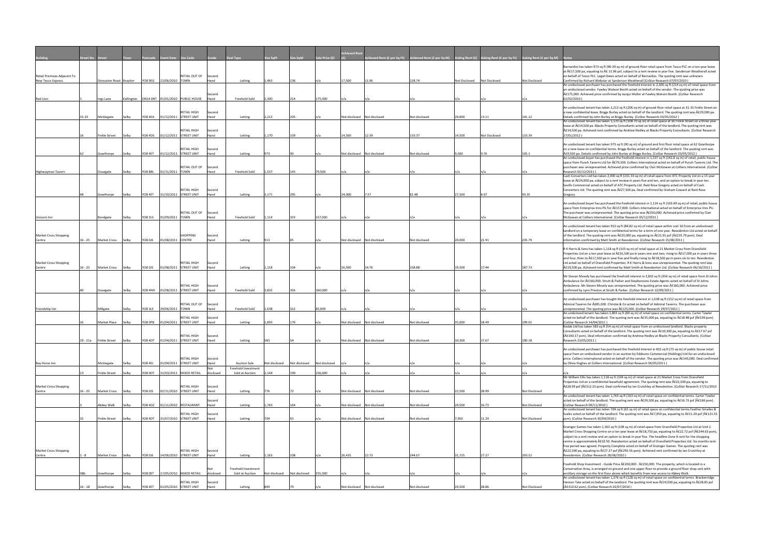taken 973 sq ft (90.39 sq m) of ground-floor retail space from Tesco PLC on a ten-year lease at £17,500 pa, equating to £ 11.96 psf, subject to a rent review in year five. Sanderson Weatherall acted esco PLC. Legat Owen acted on behalf of Barnardos. The quoting rent was unknown. Confirmed by Richard Webster at Sanderson Weatherall (CoStar Research 07/07/2010 ) An undisclosed purchaser has purchased the freehold interest in 2,300 sq ft (214 sq m) of retail space from

d tenant has taken 2,212 sq ft (206 sq m) of ground floor retail space at 31-33 Finkle Street o ntial lease. Briggs Burley acted on behalf of the landlord. The quoting rent was £29,000 pa. Details confirmed by John Burley at Briggs Burley. (CoStar Research 03/05/2012 ) An undisclosed tenant has taken 1,170 sq ft (108.70 sq m) of retail space at 16 Finkle Street on a three year

an undisclosed vendor. Fawley Watson Booth acted on behalf of the vendor. The quoting price was £175,000. Achieved price confirmed by Jacqui Muller at Fawley Watson Booth. (CoStar Research

 $2/2011$ ) Cash Converters Ltd has taken 2,490 sq ft (231.33 sq m) of retail space from ATC Property Ltd on a 15 year 000 pa, subject to a rent review in years five and ten, and an option to break in year ten. rcial acted on behalf of ATC Property Ltd. Reid Rose Gregory acted on behalf of Cash Converters Ltd. The quoting rent was £27,500 pa. Deal confirmed by Graham Coward at Reid Rose

lease at £14,500 pa. Blacks Property Consultants acted on behalf of the landlord. The quoting rent was £14,500 pa. Achieved rent confirmed by Andrew Hedley at Blacks Property Consultants. (CoStar Research

d tenant has taken 973 sq ft (90 sq m) of ground and first floor retail space at 62 Gowthorpe e on confidential terms. Briggs Burley acted on behalf of the landlord. The quoting rent was £9,500 pa. Details confirmed by John Burley at Briggs Burley. (CoStar Research 03/05/2012 ) An undisclosed buyer has purchased the freehold interest in 1,537 sq ft (142.8 sq m) of retail, public house space from Punch Taverns Ltd for £79,500. Colliers International acted on behalf of Punch Taverns Ltd. The sunrepresented. Achieved price confirmed by Clair McGowan at Colliers International. (CoStar

d buyer has purchased the freehold interest in 1,114 sq ft (103.49 sq m) of retail, public hous terprise Inns Plc for £157,000. Colliers International acted on behalf of Enterprise Inns Plc. The purchaser was the formed by Clair was unrepresented. The quoting price was  $250,000$ . Achieved price confirmed by Clair McGowan at Colliers International. (CoStar Research 05/12/2011 )

d tenant has taken 913 sq ft (84.82 sq m) of retail space within unit 16 from an undisclosed landlord on a temporary lease on confidential terms for a term of one year. Reesdenton Ltd acted on behalf of the landlord. The quoting rent was £20,000 pa, equating to £21.91 psf (£235.79 psm). Deal onfirmed by Matt Smith at Reesdenton. (CoStar Research 15/08/2011 )

ons has taken 1,118 sq ft (103 sq m) of retail space at 21 Market Cross from Dransfield Properties Ltd on a ten year lease at £16,500 pa in years one and two, rising to £17,000 pa in years three<br>and four, then to £17,500 pa in year five and finally rising to £18,500 pa in years six to ten. Reesdenton Ltd acted on behalf of Dransfield Properties. R K Harris & Sons was unrepresented. The quoting rent was £19,500 pa. Achieved rent confirmed by Matt Smith at Reesdenton Ltd. (CoStar Research 06/10/2011 )

sely has purchased the freehold interest in 3,832 sq ft (356 sq m) of retail space from St Johr Ambulance for £160,000. Strutt & Parker and Stephensons Estate Agents acted on behalf of St Johns Ir Steven Mosely was unrepresented. The quoting price was £160,000. Achieved price confirmed by Lynn Preston at Strutt & Parker. (CoStar Research 12/09/2011 )

An undisclosed purchaser has bought the freehold interest in 1,638 sq ft (152 sq m) of retail space from enderal Taverns for £85,000. Christie & Co acted on behalf of Admiral Taverns. The purchaser was unrepresneted. The quoting price was £125,000. (CoStar Research 29/07/2011 )<br>An undiclosed tenant has taken 1,893 sq ft (89 sq m) of retail space on confidential terms. Carter Towler acted on behalf of the landlord. The quoting rent was £35,000 pa, equating to £18.48 psf (£199 psm).

(ch 14/04/2011 ) Kodak Ltd has taken 583 sq ft (54 sq m) of retail space from an undisclosed landlord. Blacks property Consultants acted on behalf of the landlord. The quoting rent was  $\hat{A}E10,300$  pa, equating to  $\hat{A}E17.67$  psf n). Deal information confirmed by Andrew Hedley at Blacks Property Consultants. (CoStar B/2011)

d purchaser has purchased the freehold interest in 815 sq ft (75 sq m) of public house retail space from an undisclosed vendor in an auction by Eddisons Commercial (Holdings) Ltd for an undisclosed nternational acted on behalf of the vendor. The quoting price was £145,000. Deal confirm by Olivia Hughes at Colliers International. (CoStar Research 06/05/2011 )

is has taken 1,118 sq ft (104 sq m) of retail space at 21 Market Cross from Dransfield Properties Ltd on a confidential leasehold agreement. The quoting rent was £22,500 pa, equating to £28.99 psf (£312.10 psm). Deal confirmed by Ian Crutchley at Reesdenton. (CoStar Research 17/11/2010

d tenant has taken 1,763 sq ft (163 sq m) of retail space on confidential terms. Carter Towler f of the landlord. The quoting rent was  $\hat{A}E29,500$  pa, equating to  $\hat{A}E16.73$  psf ( $\hat{A}E180$  psm). (CoStar Research 09/11/2010 ) An undisclosed tenant has taken 704 sq ft (65 sq m) of retail space on confidential terms.Feather Smailes &

Scales acted on behalf of the landlord. The quoting rent was  $\hat{A}E7,950$  pa, equating to  $\hat{A}E11.29$  psf ( $\hat{A}E121.55$ Research 30/09/2010 )

es has taken 1,163 sq ft (108 sq m) of retail space from Dransfield Properties Ltd at Unit 2 Market Cross Shopping Centre on a ten year lease at £18,750 pa, equating to £22.72 psf (£244.63 psm), subject to a rent review and an option to break in year five. The headline Zone A rent for the shopping pximately £32.50. Reesdenton acted on behalf of Dransfield Properties Ltd. Six months rent free period was agreed. Property Complete acted on behalf of Grainger Games. The quoting rent was equating to £27.27 psf (£293.56 psm). Achieved rent confirmed by Ian Crutchley at Reesdenton. (CoStar Research 28/06/2010 )

Fireform The Shop Investment - Guide Price  $\hat{A}$ £200,000 -  $\hat{A}$ £250,000. The property, which is located in a Conservation Area, is arranged on ground and one upper floor to provide a ground floor shop unit with ancillary storage on the first floor above which benefits from rear access to Abbey Walk. An undisclosed tenant has taken 1,376 sq ft (128 sq m) of retail space on confidential terms. Brackenridge Hanson Tate acted on behalf of the landlord. The quoting rent was £24,500 pa, equating to £28.85 psf n). (CoStar Research 02/07/2010 )

| ailding                                | treet No. | reet                   | Town       | ostcode        | vent Date         | <b>Use Code</b>                              | Grade            | <b>Deal Type</b>                       | Size SqFt     | Size SqM      | Sale Price (£) | chieved Rent  |                             | $\Delta$ chieved Rent (£ per Sq Ft) Achieved Rent (£ per Sq M) | Asking Rent (£) | Asking Rent (£ per Sq Ft) | Asking Rent (£ per Sq M) | Votes                                  |
|----------------------------------------|-----------|------------------------|------------|----------------|-------------------|----------------------------------------------|------------------|----------------------------------------|---------------|---------------|----------------|---------------|-----------------------------|----------------------------------------------------------------|-----------------|---------------------------|--------------------------|----------------------------------------|
|                                        |           |                        |            |                |                   |                                              |                  |                                        |               |               |                |               |                             |                                                                |                 |                           |                          |                                        |
|                                        |           |                        |            |                |                   |                                              |                  |                                        |               |               |                |               |                             |                                                                |                 |                           |                          | Barnardos has<br>at $ÅE17,500$ pa      |
| Retail Premises Adjacent To            |           |                        |            |                | 21/06/2010 TOWN   | RETAIL OUT OF                                | Second           |                                        |               |               |                | 17,500        | 11.96                       | 128.74                                                         |                 | Not Disclosed             | Not Disclosed            | on behalf of Te<br>Confirmed by F      |
| New Tesco Express                      |           | Doncaster Road Brayton |            | YO8 9EG        |                   |                                              | Hand             | Letting                                | 1,463         | 136           | n/a            |               |                             |                                                                | Not Disclosed   |                           |                          | An undisclosed                         |
|                                        |           |                        |            |                |                   |                                              | Second           |                                        |               |               |                |               |                             |                                                                |                 |                           |                          | an undisclosed<br>£175,000. Acl        |
| Red Lion                               |           | Ings Lane              | Kellington |                |                   | DN14 0NT 01/01/2010 PUBLIC HOUSE             | Hand             | Freehold Sold                          | 2,300         | 214           | 175,000        | n/a           | n/a                         | ٦/a                                                            | n/a             | ה/ו                       | ٦/a                      | 02/02/2010)                            |
|                                        |           |                        |            |                |                   |                                              |                  |                                        |               |               |                |               |                             |                                                                |                 |                           |                          | An undisclosed                         |
|                                        |           |                        |            |                |                   | <b>RETAIL HIGH</b>                           | Second           |                                        |               |               |                |               |                             |                                                                |                 |                           |                          | a new confider                         |
|                                        | $31 - 33$ | Micklegate             | Selby      | YO8 4EA        |                   | 01/12/2011 STREET UNIT                       | Hand             | Letting                                | 2,212         | 205           | n/a            |               | Not disclosed Not disclosed | Not disclosed                                                  | 29,000          | 13.11                     | 141.12                   | Details confirm<br>An undisclosed      |
|                                        |           |                        |            |                |                   |                                              |                  |                                        |               |               |                |               |                             |                                                                |                 |                           |                          | lease at £14,5                         |
|                                        |           | Finkle Street          | Selby      | YO8 4DS        |                   | <b>RETAIL HIGH</b><br>01/12/2011 STREET UNIT | Second<br>Hand   | Letting                                | 1,170         | 109           | n/a            | 14,500        | 12.39                       | 133.37                                                         | 14,500          | Not Disclosed             | 133.39                   | £14,500 pa. A<br>27/01/2012)           |
|                                        |           |                        |            |                |                   |                                              |                  |                                        |               |               |                |               |                             |                                                                |                 |                           |                          |                                        |
|                                        |           |                        |            |                |                   | <b>RETAIL HIGH</b>                           | Second           |                                        |               |               |                |               |                             |                                                                |                 |                           |                          | An undisclosed<br>on a new lease       |
|                                        |           | Gowthorpe              | Selby      |                |                   | YO8 4ET  01/12/2011  STREET UNIT             | Hand             | Letting                                | 973           | 90            | n/a            |               | Not disclosed Not disclosed | Not disclosed                                                  | 9,500           | 9.76                      | 105.1                    | £9,500 pa. De                          |
|                                        |           |                        |            |                |                   |                                              |                  |                                        |               |               |                |               |                             |                                                                |                 |                           |                          | An undisclosed<br>space from Pur       |
|                                        |           |                        |            |                |                   | RETAIL OUT OF                                | Second           |                                        |               |               |                |               |                             |                                                                |                 |                           |                          | purchaser was                          |
| Highwayman Tavern                      |           | Ousegate               | Selby      | <b>YO8 8BL</b> | 01/11/2011 TOWN   |                                              | Hand             | Freehold Sold                          | 1,537         | 143           | 79,500         | n/a           | n/a                         | n/a                                                            | n/a             | n/a                       | n/a                      | Research 05/12<br>Cash Converter       |
|                                        |           |                        |            |                |                   |                                              |                  |                                        |               |               |                |               |                             |                                                                |                 |                           |                          | lease at £24,0                         |
|                                        |           |                        |            |                |                   | <b>RETAIL HIGH</b>                           | Second           |                                        |               |               |                |               |                             |                                                                |                 |                           |                          | Savills Commer<br>Converters Ltd.      |
|                                        |           | Gowthorpe              | Selby      |                |                   | YO8 4ET 31/10/2011 STREET UNIT               | Hand             | Letting                                | 3,171         | 295           | n/a            | 24,000        | 7.57                        | 81.48                                                          | 27,500          | 8.67                      | 93.35                    | Gregory.                               |
|                                        |           |                        |            |                |                   |                                              |                  |                                        |               |               |                |               |                             |                                                                |                 |                           |                          | An undisclosed                         |
|                                        |           |                        |            |                |                   |                                              |                  |                                        |               |               |                |               |                             |                                                                |                 |                           |                          | space from Ent                         |
| Unicorn Inn                            |           | Bondgate               | Selby      | <b>YO8 3LS</b> | 01/09/2011 TOWN   | RETAIL OUT OF                                | Second<br>Hand   | Freehold Sold                          | 1,114         | 103           | 157,000        | n/a           | n/a                         | n/a                                                            | n/a             | n/a                       | ה/ו                      | The purchaser<br>McGowan at C          |
|                                        |           |                        |            |                |                   |                                              |                  |                                        |               |               |                |               |                             |                                                                |                 |                           |                          |                                        |
|                                        |           |                        |            |                |                   |                                              |                  |                                        |               |               |                |               |                             |                                                                |                 |                           |                          | An undisclosed<br>landlord on a t      |
| <b>Market Cross Shopping</b>           |           |                        |            |                |                   | <b>SHOPPING</b>                              | Second           |                                        |               |               |                |               |                             |                                                                |                 |                           |                          | of the landlord                        |
| Centre                                 | 16 - 25   | <b>Market Cross</b>    | Selby      | YO8 OJS        | 01/08/2011 CENTRE |                                              | Hand             | Letting                                | 913           | 85            | n/a            |               | Not disclosed Not disclosed | Not disclosed                                                  | 20,000          | 21.91                     | 235.79                   | information co                         |
|                                        |           |                        |            |                |                   |                                              |                  |                                        |               |               |                |               |                             |                                                                |                 |                           |                          | R K Harris & So                        |
|                                        |           |                        |            |                |                   |                                              |                  |                                        |               |               |                |               |                             |                                                                |                 |                           |                          | Properties Ltd<br>and four, then       |
| Market Cross Shopping                  |           |                        |            |                |                   | <b>RETAIL HIGH</b>                           | Second           |                                        |               |               |                |               |                             |                                                                |                 |                           |                          | Ltd acted on be                        |
| Centre                                 | .6 - 25   | Market Cross           | Selby      | YO8 OJS        | 01/08/2011        | <b>STREET UNIT</b>                           | Hand             | Letting                                | 1,118         | 104           | n/a            | 16,500        | 14.76                       | 158.88                                                         | 19,500          | 17.44                     | 187.73                   | £19,500 pa. A                          |
|                                        |           |                        |            |                |                   |                                              |                  |                                        |               |               |                |               |                             |                                                                |                 |                           |                          | Mr Steven Mos                          |
|                                        |           |                        |            |                |                   | <b>RETAIL HIGH</b>                           | Second           |                                        |               |               |                |               |                             |                                                                |                 |                           |                          | Ambulance for<br>Ambulance. Mi         |
|                                        |           | Ousegate               | Selby      |                |                   | YO8 4NH  01/08/2011  STREET UNIT             | Hand             | Freehold Sold                          | 3,832         | 356           | 160,000        | n/a           | n/a                         | n/a                                                            | n/a             | ר/a                       | n/a                      | confirmed by L                         |
|                                        |           |                        |            |                |                   |                                              |                  |                                        |               |               |                |               |                             |                                                                |                 |                           |                          | An undisclosed                         |
|                                        |           |                        |            |                |                   | RETAIL OUT OF                                | Second           |                                        |               |               |                |               |                             |                                                                |                 |                           |                          | <b>Admiral Taverr</b>                  |
| Friendship Inn                         |           | Millgate               | Selby      | YO8 3LE        | 29/06/2011        | <b>TOWN</b>                                  | Hand             | Freehold Sold                          | 1,638         | 152           | 85,000         | n/a           | In/a                        | n/a                                                            | n/a             | n/a                       |                          | unrepresneted<br>An undiclosed         |
|                                        |           |                        |            |                |                   | <b>RETAIL HIGH</b><br><b>STREET UNIT</b>     | Second           |                                        |               |               |                |               |                             |                                                                | 35,000          |                           |                          | acted on behal                         |
|                                        |           | Market Place           | Selby      | YO8 OPB        | 01/04/2011        |                                              | Hand             | Letting                                | 1,893         | 176           | n/a            | Not disclosed | Not disclosed               | Not disclosed                                                  |                 | 18.49                     | 199.01                   | (CoStar Resear<br>Kodak Ltd has t      |
|                                        |           |                        |            |                |                   | <b>RETAIL HIGH</b>                           | Second           |                                        |               |               |                |               |                             |                                                                |                 |                           |                          | Consultants act<br>(£190.17 psm        |
|                                        | 19 - 21a  | <b>Finkle Street</b>   | Selby      | YO8 4DT        |                   | 01/04/2011 STREET UNIT                       | Hand             | Letting                                | 583           | 54            | n/a            |               | Not disclosed Not disclosed | Not disclosed                                                  | 10,300          | 17.67                     | 190.18                   | Research 23/05                         |
|                                        |           |                        |            |                |                   |                                              |                  |                                        |               |               |                |               |                             |                                                                |                 |                           |                          | An undisclosed                         |
|                                        |           |                        |            |                |                   |                                              |                  |                                        |               |               |                |               |                             |                                                                |                 |                           |                          | space from an                          |
| Bay Horse Inn                          |           | Micklegate             | Selby      | YO8 4EJ        |                   | <b>RETAIL HIGH</b><br>01/04/2011 STREET UNIT | Second<br>Hand   | <b>Auction Sale</b>                    | Not disclosed | Not disclosed | Not disclosed  | n/a           | n/a                         | n/a                                                            | n/a             | n/a                       | n/a                      | price. Colliers I<br>by Olivia Hughe   |
|                                        |           |                        |            |                |                   |                                              | Not              | Freehold Investment                    |               |               |                |               |                             |                                                                |                 |                           |                          |                                        |
|                                        | 2         | <b>Finkle Street</b>   | Selby      | TOO 8OY        |                   | 31/03/2011 MIXED RETAIL                      | disclosed        | Sold at Auction                        | 2,144         | 199           | 156,000        | n/a           | n/a                         | n/a                                                            | n/a             | n/a                       | n/a                      | n/a<br>Mr William Ellis                |
|                                        |           |                        |            |                |                   |                                              |                  |                                        |               |               |                |               |                             |                                                                |                 |                           |                          | Properties Ltd                         |
| <b>Market Cross Shopping</b><br>Centre | 16 - 25   | <b>Market Cross</b>    | Selby      | YO8 OJS        |                   | <b>RETAIL HIGH</b><br>02/11/2010 STREET UNIT | Second<br>Hand   | Letting                                | 776           |               | n/a            |               | Not disclosed Not disclosed | Not disclosed                                                  | 22,500          | 28.99                     | Not Disclosed            | £28.99 psf (Â:                         |
|                                        |           |                        |            |                |                   |                                              |                  |                                        |               |               |                |               |                             |                                                                |                 |                           |                          | An undisclosed                         |
|                                        |           | Abbey Walk             | Selby      | YO8 4DZ        |                   | 01/11/2010 RESTAURANT                        | Second<br>Hand   | Letting                                | 1,763         | 164           | n/a            | Not disclosed | Not disclosed               | Not disclosed                                                  | 29,500          | 16.73                     | Not Disclosed            | acted on behal<br>(CoStar Resear       |
|                                        |           |                        |            |                |                   |                                              |                  |                                        |               |               |                |               |                             |                                                                |                 |                           |                          | An undisclosed                         |
|                                        |           | Finkle Street          | Selby      | YO8 4DT        |                   | <b>RETAIL HIGH</b><br>31/07/2010 STREET UNIT | Second<br>Hand   | Letting                                | 704           |               | n/a            |               | Not disclosed Not disclosed | Not disclosed                                                  | 7,950           | 11.29                     | Not Disclosed            | Scales acted or<br>psm). (CoStar F     |
|                                        |           |                        |            |                |                   |                                              |                  |                                        |               |               |                |               |                             |                                                                |                 |                           |                          |                                        |
|                                        |           |                        |            |                |                   |                                              |                  |                                        |               |               |                |               |                             |                                                                |                 |                           |                          | <b>Grainger Game</b><br>Market Cross S |
|                                        |           |                        |            |                |                   |                                              |                  |                                        |               |               |                |               |                             |                                                                |                 |                           |                          | subject to a rer                       |
|                                        |           |                        |            |                |                   |                                              |                  |                                        |               |               |                |               |                             |                                                                |                 |                           |                          | centre is appro<br>free period wa:     |
| <b>Market Cross Shopping</b>           |           |                        |            |                |                   | <b>RETAIL HIGH</b>                           | Second           |                                        |               |               |                |               |                             |                                                                |                 |                           |                          | £22,500 pa, e                          |
| Centre                                 | $1 - 8$   | Market Cross Selby     |            | YO8 OJS        |                   | 14/06/2010 STREET UNIT                       | Hand             | Letting                                | 1,163         | 108           | n/a            | 26,435        | 22.73                       | 244.67                                                         | 31,715          | 27.27                     | 293.52                   | Reesdenton. (C                         |
|                                        |           |                        |            |                |                   |                                              |                  |                                        |               |               |                |               |                             |                                                                |                 |                           |                          | Freehold Shop                          |
|                                        | 38b       | Gowthorpe              | Selby      | YO8 0ET        |                   | 17/05/2010 MIXED RETAIL                      | Not<br>disclosed | Freehold Investment<br>Sold at Auction | Not disclosed | Not disclosed | 255,000        | n/a           | n/a                         | n/a                                                            | n/a             | ר/a                       | ı/a                      | Conservation A<br>ancillary storag     |
|                                        |           |                        |            |                |                   | <b>RETAIL HIGH</b>                           |                  |                                        |               |               |                |               |                             |                                                                |                 |                           |                          | An undisclosed                         |
|                                        | $6 - 18$  | Gowthorpe              | Selby      |                |                   | YO8 4ET  01/05/2010  STREET UNIT             | Second<br>Hand   | Letting                                | 849           | 79            | n/a            |               | Not disclosed Not disclosed | Not disclosed                                                  | 24,500          | 28.86                     | Not Disclosed            | Hanson Tate ad<br>(£310.62 psm         |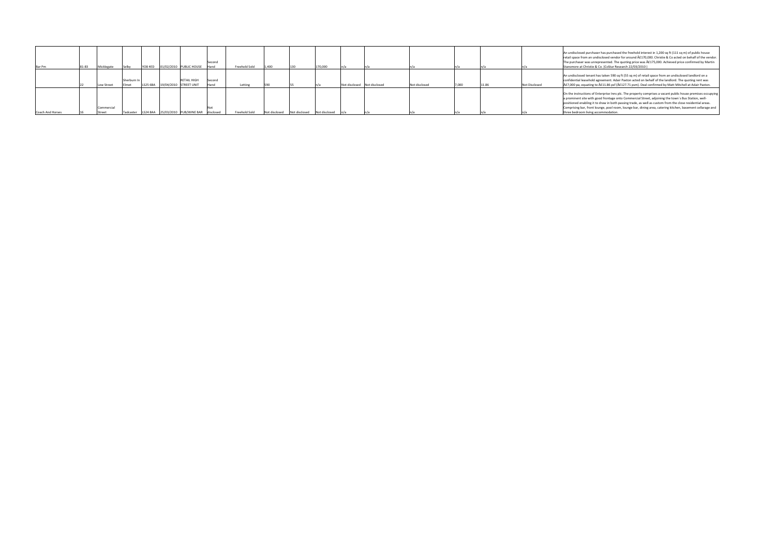| Bar Pm           | 81-83 | Micklegate           | Selby                |                 | YO8 4ED 01/02/2010 PUBLIC HOUSE Hand                 | Second         | Freehold Sold | 1,400         |                                 | 170,000 |                             |               |      |       |               | An undisclosed purchaser has purchased t<br>retail space from an undisclosed vendor fo<br>The purchaser was unrepresented. The qu<br>Stansmore at Christie & Co. (CoStar Resear                                                 |
|------------------|-------|----------------------|----------------------|-----------------|------------------------------------------------------|----------------|---------------|---------------|---------------------------------|---------|-----------------------------|---------------|------|-------|---------------|---------------------------------------------------------------------------------------------------------------------------------------------------------------------------------------------------------------------------------|
|                  |       | Low Street           | Sherburn In<br>Elmet | <b>LS25 6BA</b> | <b>RETAIL HIGH</b><br>19/04/2010 STREET UNIT         | Second<br>Hand | Letting       |               |                                 |         | Not disclosed Not disclosed | Not disclosed | ,000 | 11.86 | Not Disclosed | An undisclosed tenant has taken 590 sq ft<br>confidential leasehold agreement. Adair Pa<br>£7,000 pa, equating to £11.86 psf (£12                                                                                               |
| Coach And Horses |       | Commercial<br>Street |                      |                 | Tadcaster LS24 8AA 25/03/2010 PUB/WINE BAR disclosed |                | Freehold Sold | Not disclosed | Not disclosed Not disclosed n/a |         |                             |               |      |       |               | On the instructions of Enterprise Inns plc. 7<br>a prominent site with good frontage onto (<br>positioned enabling it to draw in both pass<br>Comprising bar, front lounge, pool room, I<br>three bedroom living accommodation. |

An undisclosed purchaser has purchased the freehold interest in 1,200 sq ft (111 sq m) of public house<br>retail space from an undisclosed vendor for around £170,000. Christie & Co acted on behalf of the vendor. The purchaser was unrepresented. The quoting price was £175,000. Achieved price confirmed by Martin<br>Stansmore at Christie & Co. (CoStar Research 22/03/2010 )

An undisclosed tenant has taken 590 sq ft (55 sq m) of retail space from an undisclosed landlord on a confidential leasehold agreement. Adair Paxton acted on behalf of the landlord. The quoting rent was £7,000 pa, equating to £11.86 psf (£127.71 psm). Deal confirmed by Matt Mitchell at Adair Paxton.

On the instructions of Enterprise Inns plc. The property comprises a vacant public house premises occupying<br>a prominent site with good frontage onto Commercial Street, adjoining the town's Bus Station, well-<br>positioned ena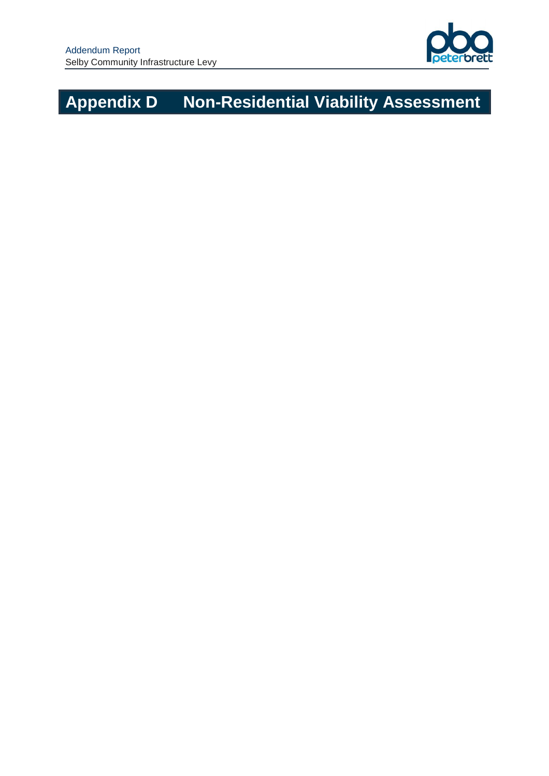

# **Appendix D Non-Residential Viability Assessment**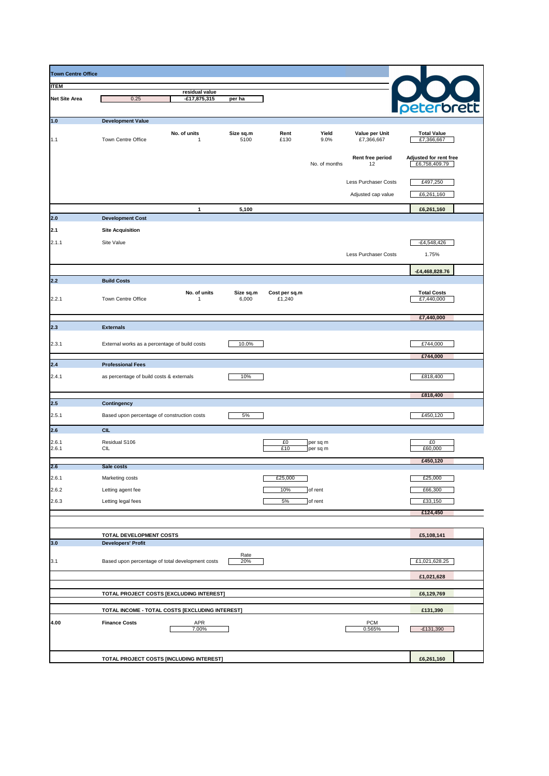| <b>Town Centre Office</b> |                                                  |                                                 |                    |                         |                      |                              |                                         |
|---------------------------|--------------------------------------------------|-------------------------------------------------|--------------------|-------------------------|----------------------|------------------------------|-----------------------------------------|
| <b>ITEM</b>               |                                                  | residual value                                  |                    |                         |                      |                              |                                         |
| <b>Net Site Area</b>      | 0.25                                             | $-£17,875,315$                                  | per ha             |                         |                      |                              | peterbrett                              |
|                           |                                                  |                                                 |                    |                         |                      |                              |                                         |
| $1.0$                     | <b>Development Value</b>                         |                                                 |                    |                         |                      |                              |                                         |
| 1.1                       | Town Centre Office                               | No. of units<br>1                               | Size sq.m<br>5100  | Rent<br>£130            | Yield<br>9.0%        | Value per Unit<br>£7,366,667 | <b>Total Value</b><br>£7,366,667        |
|                           |                                                  |                                                 |                    |                         | No. of months        | Rent free period<br>12       | Adjusted for rent free<br>£6,758,409.79 |
|                           |                                                  |                                                 |                    |                         |                      | Less Purchaser Costs         | £497,250                                |
|                           |                                                  |                                                 |                    |                         |                      | Adjusted cap value           | £6,261,160                              |
|                           |                                                  | $\mathbf{1}$                                    | 5,100              |                         |                      |                              | £6,261,160                              |
| 2.0                       | <b>Development Cost</b>                          |                                                 |                    |                         |                      |                              |                                         |
| 2.1                       | <b>Site Acquisition</b>                          |                                                 |                    |                         |                      |                              |                                         |
| 2.1.1                     | Site Value                                       |                                                 |                    |                         |                      | Less Purchaser Costs         | $-E4,548,426$<br>1.75%                  |
|                           |                                                  |                                                 |                    |                         |                      |                              | -£4,468,828.76                          |
| 2.2                       | <b>Build Costs</b>                               |                                                 |                    |                         |                      |                              |                                         |
| 2.2.1                     | Town Centre Office                               | No. of units<br>$\mathbf{1}$                    | Size sq.m<br>6,000 | Cost per sq.m<br>£1,240 |                      |                              | <b>Total Costs</b><br>£7,440,000        |
|                           |                                                  |                                                 |                    |                         |                      |                              | £7,440,000                              |
| 2.3                       | <b>Externals</b>                                 |                                                 |                    |                         |                      |                              |                                         |
| 2.3.1                     | External works as a percentage of build costs    |                                                 | 10.0%              |                         |                      |                              | £744,000                                |
| 2.4                       | <b>Professional Fees</b>                         |                                                 |                    |                         |                      |                              | £744,000                                |
| 2.4.1                     | as percentage of build costs & externals         |                                                 | 10%                |                         |                      |                              | £818,400                                |
|                           |                                                  |                                                 |                    |                         |                      |                              | £818,400                                |
| 2.5                       | Contingency                                      |                                                 |                    |                         |                      |                              |                                         |
| 2.5.1                     | Based upon percentage of construction costs      |                                                 | 5%                 |                         |                      |                              | £450,120                                |
| 2.6                       | <b>CIL</b>                                       |                                                 |                    |                         |                      |                              |                                         |
| 2.6.1<br>2.6.1            | Residual S106<br>CIL                             |                                                 |                    | £0<br>£10               | per sq m<br>per sq m |                              | £0<br>£60,000                           |
| 2.6                       | Sale costs                                       |                                                 |                    |                         |                      |                              | £450,120                                |
| 2.6.1                     | Marketing costs                                  |                                                 |                    | £25,000                 |                      |                              | £25,000                                 |
| 2.6.2                     | Letting agent fee                                |                                                 |                    | 10%                     | of rent              |                              | £66,300                                 |
| 2.6.3                     | Letting legal fees                               |                                                 |                    | 5%                      | of rent              |                              | £33,150                                 |
|                           |                                                  |                                                 |                    |                         |                      |                              | £124,450                                |
|                           |                                                  |                                                 |                    |                         |                      |                              |                                         |
|                           | TOTAL DEVELOPMENT COSTS                          |                                                 |                    |                         |                      |                              | £5,108,141                              |
| 3.0                       | <b>Developers' Profit</b>                        |                                                 |                    |                         |                      |                              |                                         |
| 3.1                       | Based upon percentage of total development costs |                                                 | Rate<br>20%        |                         |                      |                              | £1,021,628.25                           |
|                           |                                                  |                                                 |                    |                         |                      |                              | £1,021,628                              |
|                           |                                                  | TOTAL PROJECT COSTS [EXCLUDING INTEREST]        |                    |                         |                      |                              | £6,129,769                              |
|                           |                                                  |                                                 |                    |                         |                      |                              |                                         |
|                           |                                                  | TOTAL INCOME - TOTAL COSTS [EXCLUDING INTEREST] |                    |                         |                      |                              | £131,390                                |
| 4.00                      | <b>Finance Costs</b>                             | APR<br>7.00%                                    |                    |                         |                      | <b>PCM</b><br>0.565%         | $-E131,390$                             |
|                           |                                                  |                                                 |                    |                         |                      |                              |                                         |
|                           |                                                  | TOTAL PROJECT COSTS [INCLUDING INTEREST]        |                    |                         |                      |                              | £6,261,160                              |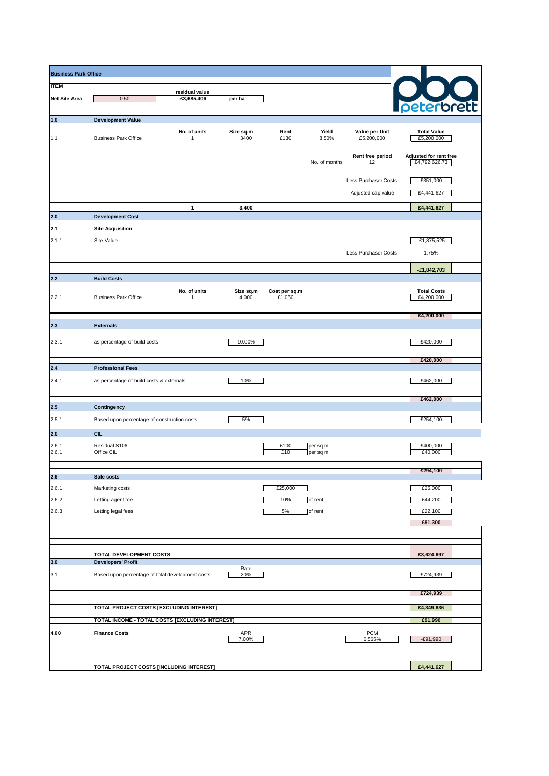| <b>Business Park Office</b> |                                                      |                              |                    |                         |                |                              |                                         |
|-----------------------------|------------------------------------------------------|------------------------------|--------------------|-------------------------|----------------|------------------------------|-----------------------------------------|
| <b>ITEM</b>                 |                                                      | residual value               |                    |                         |                |                              |                                         |
| <b>Net Site Area</b>        | 0.50                                                 | $-£3,685,406$                | per ha             |                         |                |                              | peterbrett                              |
| $1.0$                       | <b>Development Value</b>                             |                              |                    |                         |                |                              |                                         |
| 1.1                         | <b>Business Park Office</b>                          | No. of units<br>$\mathbf{1}$ | Size sq.m<br>3400  | Rent<br>£130            | Yield<br>8.50% | Value per Unit<br>£5,200,000 | <b>Total Value</b><br>£5,200,000        |
|                             |                                                      |                              |                    |                         | No. of months  | Rent free period<br>12       | Adjusted for rent free<br>£4,792,626.73 |
|                             |                                                      |                              |                    |                         |                | Less Purchaser Costs         | £351,000                                |
|                             |                                                      |                              |                    |                         |                | Adjusted cap value           | £4,441,627                              |
|                             |                                                      | $\mathbf{1}$                 | 3,400              |                         |                |                              | £4,441,627                              |
| 2.0                         | <b>Development Cost</b>                              |                              |                    |                         |                |                              |                                         |
| 2.1                         | <b>Site Acquisition</b>                              |                              |                    |                         |                |                              |                                         |
| 2.1.1                       | Site Value                                           |                              |                    |                         |                |                              | $-E1,875,525$                           |
|                             |                                                      |                              |                    |                         |                | Less Purchaser Costs         | 1.75%                                   |
|                             |                                                      |                              |                    |                         |                |                              | $-£1,842,703$                           |
| 2.2                         | <b>Build Costs</b>                                   |                              |                    |                         |                |                              |                                         |
| 2.2.1                       | <b>Business Park Office</b>                          | No. of units<br>$\mathbf{1}$ | Size sq.m<br>4,000 | Cost per sq.m<br>£1,050 |                |                              | <b>Total Costs</b><br>£4,200,000        |
|                             |                                                      |                              |                    |                         |                |                              | £4,200,000                              |
| 2.3                         | <b>Externals</b>                                     |                              |                    |                         |                |                              |                                         |
| 2.3.1                       | as percentage of build costs                         |                              | 10.00%             |                         |                |                              | £420,000                                |
| 2.4                         | <b>Professional Fees</b>                             |                              |                    |                         |                |                              | £420,000                                |
| 2.4.1                       | as percentage of build costs & externals             |                              | 10%                |                         |                |                              | £462,000                                |
|                             |                                                      |                              |                    |                         |                |                              |                                         |
| 2.5                         | Contingency                                          |                              |                    |                         |                |                              | £462,000                                |
| 2.5.1                       | Based upon percentage of construction costs          |                              | 5%                 |                         |                |                              | £254.100                                |
| 2.6                         | <b>CIL</b>                                           |                              |                    |                         |                |                              |                                         |
| 2.6.1                       | Residual S106                                        |                              |                    | £100                    | per sq m       |                              | £400,000                                |
| 2.6.1                       | Office CIL                                           |                              |                    | £10                     | per sq m       |                              | £40,000                                 |
|                             |                                                      |                              |                    |                         |                |                              | £294,100                                |
| 2.6                         | Sale costs                                           |                              |                    |                         |                |                              |                                         |
| 2.6.1                       | Marketing costs                                      |                              |                    | £25,000                 | of rent        |                              | £25,000                                 |
| 2.6.2<br>2.6.3              | Letting agent fee<br>Letting legal fees              |                              |                    | 10%<br>5%               | of rent        |                              | £44,200<br>£22,100                      |
|                             |                                                      |                              |                    |                         |                |                              | £91,300                                 |
|                             |                                                      |                              |                    |                         |                |                              |                                         |
|                             |                                                      |                              |                    |                         |                |                              |                                         |
| 3.0                         | TOTAL DEVELOPMENT COSTS<br><b>Developers' Profit</b> |                              |                    |                         |                |                              | £3,624,697                              |
| 3.1                         | Based upon percentage of total development costs     |                              | Rate<br>20%        |                         |                |                              | £724,939                                |
|                             |                                                      |                              |                    |                         |                |                              |                                         |
|                             |                                                      |                              |                    |                         |                |                              | £724,939                                |
|                             | <b>TOTAL PROJECT COSTS [EXCLUDING INTEREST]</b>      |                              |                    |                         |                |                              | £4,349,636                              |
|                             | TOTAL INCOME - TOTAL COSTS [EXCLUDING INTEREST]      |                              |                    |                         |                |                              | £91,990                                 |
| 4.00                        | <b>Finance Costs</b>                                 |                              | APR<br>7.00%       |                         |                | <b>PCM</b><br>0.565%         | $-E91,990$                              |
|                             |                                                      |                              |                    |                         |                |                              |                                         |
|                             | TOTAL PROJECT COSTS [INCLUDING INTEREST]             |                              |                    |                         |                |                              | £4,441,627                              |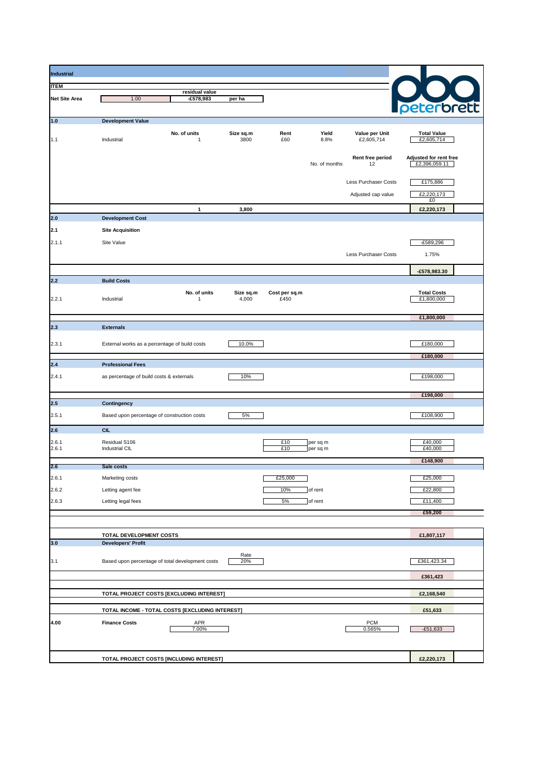| <b>Industrial</b>    |                                                  |                                                 |                    |                       |               |                      |                                  |  |
|----------------------|--------------------------------------------------|-------------------------------------------------|--------------------|-----------------------|---------------|----------------------|----------------------------------|--|
| <b>ITEM</b>          |                                                  |                                                 |                    |                       |               |                      |                                  |  |
| <b>Net Site Area</b> | 1.00                                             | residual value<br>$-£578,983$                   | per ha             |                       |               |                      |                                  |  |
|                      |                                                  |                                                 |                    |                       |               |                      | peterbrett                       |  |
| 1.0                  | <b>Development Value</b>                         |                                                 |                    |                       |               |                      |                                  |  |
|                      |                                                  | No. of units                                    | Size sq.m          | Rent                  | Yield         | Value per Unit       | <b>Total Value</b>               |  |
| 1.1                  | Industrial                                       | 1                                               | 3800               | £60                   | 8.8%          | £2,605,714           | £2,605,714                       |  |
|                      |                                                  |                                                 |                    |                       |               | Rent free period     | Adjusted for rent free           |  |
|                      |                                                  |                                                 |                    |                       | No. of months | 12                   | £2,396,059.11                    |  |
|                      |                                                  |                                                 |                    |                       |               | Less Purchaser Costs | £175,886                         |  |
|                      |                                                  |                                                 |                    |                       |               | Adjusted cap value   | £2,220,173<br>£0                 |  |
|                      |                                                  | $\mathbf{1}$                                    | 3,800              |                       |               |                      | £2,220,173                       |  |
| 2.0                  | <b>Development Cost</b>                          |                                                 |                    |                       |               |                      |                                  |  |
| 2.1                  | <b>Site Acquisition</b>                          |                                                 |                    |                       |               |                      |                                  |  |
| 2.1.1                | Site Value                                       |                                                 |                    |                       |               |                      | $-£589,296$                      |  |
|                      |                                                  |                                                 |                    |                       |               | Less Purchaser Costs | 1.75%                            |  |
|                      |                                                  |                                                 |                    |                       |               |                      |                                  |  |
|                      |                                                  |                                                 |                    |                       |               |                      | £578,983.30                      |  |
| 2.2                  | <b>Build Costs</b>                               |                                                 |                    |                       |               |                      |                                  |  |
| 2.2.1                | Industrial                                       | No. of units<br>$\mathbf{1}$                    | Size sq.m<br>4,000 | Cost per sq.m<br>£450 |               |                      | <b>Total Costs</b><br>£1,800,000 |  |
|                      |                                                  |                                                 |                    |                       |               |                      |                                  |  |
|                      |                                                  |                                                 |                    |                       |               |                      | £1,800,000                       |  |
| 2.3                  | <b>Externals</b>                                 |                                                 |                    |                       |               |                      |                                  |  |
| 2.3.1                | External works as a percentage of build costs    |                                                 | 10.0%              |                       |               |                      | £180,000                         |  |
|                      |                                                  |                                                 |                    |                       |               |                      | £180,000                         |  |
| 2.4                  | <b>Professional Fees</b>                         |                                                 |                    |                       |               |                      |                                  |  |
| 2.4.1                | as percentage of build costs & externals         |                                                 | 10%                |                       |               |                      | £198,000                         |  |
|                      |                                                  |                                                 |                    |                       |               |                      |                                  |  |
|                      |                                                  |                                                 |                    |                       |               |                      | £198,000                         |  |
| 2.5                  | Contingency                                      |                                                 |                    |                       |               |                      |                                  |  |
| 2.5.1                | Based upon percentage of construction costs      |                                                 | 5%                 |                       |               |                      | £108,900                         |  |
| 2.6                  | <b>CIL</b>                                       |                                                 |                    |                       |               |                      |                                  |  |
| 2.6.1                | Residual S106                                    |                                                 |                    | £10                   | per sq m      |                      | £40,000<br>£40,000               |  |
| 2.6.1                | Industrial CIL                                   |                                                 |                    | £10                   | per sq m      |                      |                                  |  |
| 2.6                  | Sale costs                                       |                                                 |                    |                       |               |                      | £148,900                         |  |
| 2.6.1                | Marketing costs                                  |                                                 |                    | £25,000               |               |                      | £25,000                          |  |
| 2.6.2                | Letting agent fee                                |                                                 |                    | 10%                   | of rent       |                      | £22,800                          |  |
| 2.6.3                | Letting legal fees                               |                                                 |                    | 5%                    | of rent       |                      | £11,400                          |  |
|                      |                                                  |                                                 |                    |                       |               |                      | £59,200                          |  |
|                      |                                                  |                                                 |                    |                       |               |                      |                                  |  |
|                      | TOTAL DEVELOPMENT COSTS                          |                                                 |                    |                       |               |                      | £1,807,117                       |  |
| 3.0                  | <b>Developers' Profit</b>                        |                                                 |                    |                       |               |                      |                                  |  |
|                      |                                                  |                                                 | Rate               |                       |               |                      |                                  |  |
| 3.1                  | Based upon percentage of total development costs |                                                 | 20%                |                       |               |                      | £361,423.34                      |  |
|                      |                                                  |                                                 |                    |                       |               |                      | £361,423                         |  |
|                      |                                                  |                                                 |                    |                       |               |                      |                                  |  |
|                      |                                                  | TOTAL PROJECT COSTS [EXCLUDING INTEREST]        |                    |                       |               |                      | £2,168,540                       |  |
|                      |                                                  | TOTAL INCOME - TOTAL COSTS [EXCLUDING INTEREST] |                    |                       |               |                      | £51,633                          |  |
| 4.00                 | <b>Finance Costs</b>                             | APR                                             |                    |                       |               | <b>PCM</b>           |                                  |  |
|                      |                                                  | 7.00%                                           |                    |                       |               | 0.565%               | $-£51,633$                       |  |
|                      |                                                  |                                                 |                    |                       |               |                      |                                  |  |
|                      |                                                  |                                                 |                    |                       |               |                      |                                  |  |
|                      |                                                  | TOTAL PROJECT COSTS [INCLUDING INTEREST]        |                    |                       |               |                      | £2,220,173                       |  |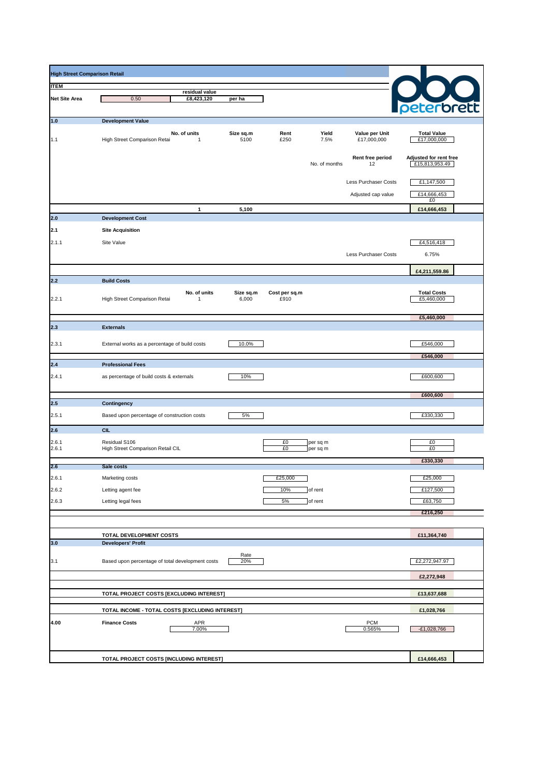| <b>High Street Comparison Retail</b> |                                                    |                   |               |                      |                      |                        |
|--------------------------------------|----------------------------------------------------|-------------------|---------------|----------------------|----------------------|------------------------|
| <b>ITEM</b>                          | residual value                                     |                   |               |                      |                      |                        |
| <b>Net Site Area</b>                 | £8,423,120<br>0.50                                 | per ha            |               |                      |                      | peterbrett             |
|                                      |                                                    |                   |               |                      |                      |                        |
| 1.0                                  | <b>Development Value</b><br>No. of units           |                   |               | Yield                | Value per Unit       | <b>Total Value</b>     |
| 1.1                                  | High Street Comparison Retai<br>$\overline{1}$     | Size sq.m<br>5100 | Rent<br>£250  | 7.5%                 | £17,000,000          | £17,000,000            |
|                                      |                                                    |                   |               |                      | Rent free period     | Adjusted for rent free |
|                                      |                                                    |                   |               | No. of months        | 12                   | £15,813,953.49         |
|                                      |                                                    |                   |               |                      | Less Purchaser Costs | £1,147,500             |
|                                      |                                                    |                   |               |                      | Adjusted cap value   | £14,666,453            |
|                                      | $\mathbf{1}$                                       | 5,100             |               |                      |                      | £0<br>£14,666,453      |
| 2.0                                  | <b>Development Cost</b>                            |                   |               |                      |                      |                        |
| 2.1                                  | <b>Site Acquisition</b>                            |                   |               |                      |                      |                        |
| 2.1.1                                | Site Value                                         |                   |               |                      |                      | £4,516,418             |
|                                      |                                                    |                   |               |                      | Less Purchaser Costs | 6.75%                  |
|                                      |                                                    |                   |               |                      |                      | £4,211,559.86          |
| 2.2                                  | <b>Build Costs</b>                                 |                   |               |                      |                      |                        |
|                                      | No. of units                                       | Size sq.m         | Cost per sq.m |                      |                      | <b>Total Costs</b>     |
| 2.2.1                                | High Street Comparison Retai<br>$\mathbf{1}$       | 6,000             | £910          |                      |                      | £5,460,000             |
|                                      |                                                    |                   |               |                      |                      | £5,460,000             |
| 2.3                                  | <b>Externals</b>                                   |                   |               |                      |                      |                        |
| 2.3.1                                | External works as a percentage of build costs      | 10.0%             |               |                      |                      | £546,000               |
|                                      |                                                    |                   |               |                      |                      | £546,000               |
| 2.4                                  | <b>Professional Fees</b>                           |                   |               |                      |                      |                        |
| 2.4.1                                | as percentage of build costs & externals           | 10%               |               |                      |                      | £600,600               |
|                                      |                                                    |                   |               |                      |                      | £600,600               |
| 2.5                                  | Contingency                                        |                   |               |                      |                      |                        |
| 2.5.1                                | Based upon percentage of construction costs        | 5%                |               |                      |                      | £330,330               |
| 2.6                                  | <b>CIL</b>                                         |                   |               |                      |                      |                        |
| 2.6.1<br>2.6.1                       | Residual S106<br>High Street Comparison Retail CIL |                   | £0<br>£0      | per sq m<br>per sq m |                      | £0<br>£0               |
|                                      |                                                    |                   |               |                      |                      | £330,330               |
| 2.6                                  | Sale costs                                         |                   |               |                      |                      |                        |
| 2.6.1                                | Marketing costs                                    |                   | £25,000       |                      |                      | £25,000                |
| 2.6.2                                | Letting agent fee<br>Letting legal fees            |                   | 10%           | of rent              |                      | £127,500<br>£63,750    |
| 2.6.3                                |                                                    |                   | 5%            | of rent              |                      | £216,250               |
|                                      |                                                    |                   |               |                      |                      |                        |
|                                      | TOTAL DEVELOPMENT COSTS                            |                   |               |                      |                      | £11,364,740            |
| 3.0                                  | <b>Developers' Profit</b>                          |                   |               |                      |                      |                        |
| 3.1                                  | Based upon percentage of total development costs   | Rate<br>20%       |               |                      |                      | £2,272,947.97          |
|                                      |                                                    |                   |               |                      |                      |                        |
|                                      |                                                    |                   |               |                      |                      | £2,272,948             |
|                                      | TOTAL PROJECT COSTS [EXCLUDING INTEREST]           |                   |               |                      |                      | £13,637,688            |
|                                      | TOTAL INCOME - TOTAL COSTS [EXCLUDING INTEREST]    |                   |               |                      |                      | £1,028,766             |
| 4.00                                 | <b>Finance Costs</b><br>APR                        |                   |               |                      | <b>PCM</b>           |                        |
|                                      | 7.00%                                              |                   |               |                      | 0.565%               | $-E1,028,766$          |
|                                      |                                                    |                   |               |                      |                      |                        |
|                                      | TOTAL PROJECT COSTS [INCLUDING INTEREST]           |                   |               |                      |                      | £14,666,453            |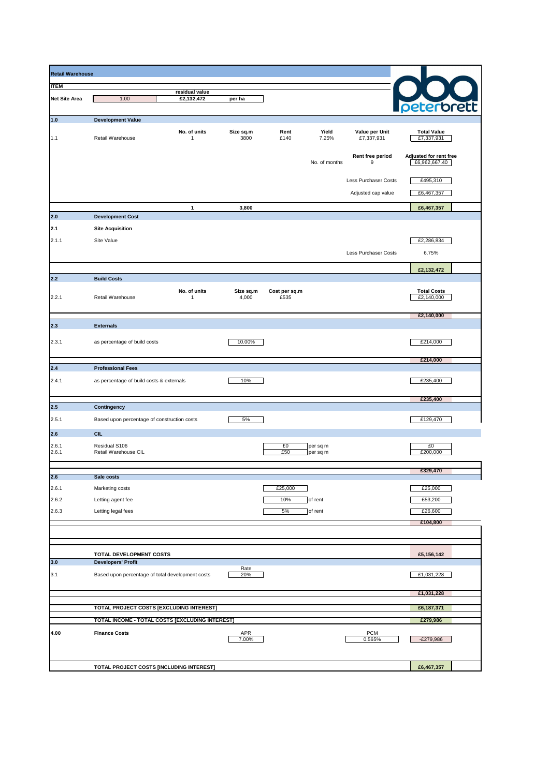| <b>Retail Warehouse</b> |                                                                               |                              |                    |                       |                      |                              |                                         |
|-------------------------|-------------------------------------------------------------------------------|------------------------------|--------------------|-----------------------|----------------------|------------------------------|-----------------------------------------|
| <b>ITEM</b>             |                                                                               | residual value               |                    |                       |                      |                              |                                         |
| <b>Net Site Area</b>    | 1.00                                                                          | £2,132,472                   | per ha             |                       |                      |                              | peterbrett                              |
| $1.0$                   | <b>Development Value</b>                                                      |                              |                    |                       |                      |                              |                                         |
| 1.1                     | Retail Warehouse                                                              | No. of units<br>$\mathbf{1}$ | Size sq.m<br>3800  | Rent<br>£140          | Yield<br>7.25%       | Value per Unit<br>£7,337,931 | <b>Total Value</b><br>£7,337,931        |
|                         |                                                                               |                              |                    |                       | No. of months        | Rent free period<br>9        | Adjusted for rent free<br>£6,962,667.40 |
|                         |                                                                               |                              |                    |                       |                      | Less Purchaser Costs         | £495,310                                |
|                         |                                                                               |                              |                    |                       |                      | Adjusted cap value           | £6,467,357                              |
|                         |                                                                               | $\mathbf{1}$                 | 3,800              |                       |                      |                              | £6,467,357                              |
| 2.0                     | <b>Development Cost</b>                                                       |                              |                    |                       |                      |                              |                                         |
| 2.1                     | <b>Site Acquisition</b>                                                       |                              |                    |                       |                      |                              |                                         |
| 2.1.1                   | Site Value                                                                    |                              |                    |                       |                      |                              | £2,286,834                              |
|                         |                                                                               |                              |                    |                       |                      | Less Purchaser Costs         | 6.75%                                   |
| 2.2                     | <b>Build Costs</b>                                                            |                              |                    |                       |                      |                              | £2,132,472                              |
| 2.2.1                   | Retail Warehouse                                                              | No. of units<br>$\mathbf{1}$ | Size sq.m<br>4,000 | Cost per sq.m<br>£535 |                      |                              | <b>Total Costs</b><br>£2,140,000        |
|                         |                                                                               |                              |                    |                       |                      |                              | £2,140,000                              |
| 2.3                     | <b>Externals</b>                                                              |                              |                    |                       |                      |                              |                                         |
| 2.3.1                   | as percentage of build costs                                                  |                              | 10.00%             |                       |                      |                              | £214,000                                |
|                         |                                                                               |                              |                    |                       |                      |                              | £214,000                                |
| 2.4                     | <b>Professional Fees</b>                                                      |                              |                    |                       |                      |                              |                                         |
| 2.4.1                   | as percentage of build costs & externals                                      |                              | 10%                |                       |                      |                              | £235,400                                |
| 2.5                     | Contingency                                                                   |                              |                    |                       |                      |                              | £235,400                                |
| 2.5.1                   | Based upon percentage of construction costs                                   |                              | 5%                 |                       |                      |                              | £129,470                                |
| 2.6                     | <b>CIL</b>                                                                    |                              |                    |                       |                      |                              |                                         |
| 2.6.1<br>2.6.1          | Residual S106<br>Retail Warehouse CIL                                         |                              |                    | £0<br>£50             | per sq m<br>per sq m |                              | £0<br>£200,000                          |
|                         |                                                                               |                              |                    |                       |                      |                              |                                         |
| 2.6                     | Sale costs                                                                    |                              |                    |                       |                      |                              | £329,470                                |
| 2.6.1                   | Marketing costs                                                               |                              |                    | £25,000               |                      |                              | £25,000                                 |
| 2.6.2                   | Letting agent fee                                                             |                              |                    | 10%                   | of rent              |                              | £53,200                                 |
| 2.6.3                   | Letting legal fees                                                            |                              |                    | 5%                    | of rent              |                              | £26,600                                 |
|                         |                                                                               |                              |                    |                       |                      |                              | £104,800                                |
|                         |                                                                               |                              |                    |                       |                      |                              |                                         |
|                         | TOTAL DEVELOPMENT COSTS                                                       |                              |                    |                       |                      |                              | £5,156,142                              |
| 3.0<br>3.1              | <b>Developers' Profit</b><br>Based upon percentage of total development costs |                              | Rate<br>20%        |                       |                      |                              | £1,031,228                              |
|                         |                                                                               |                              |                    |                       |                      |                              | £1,031,228                              |
|                         |                                                                               |                              |                    |                       |                      |                              |                                         |
|                         | <b>TOTAL PROJECT COSTS [EXCLUDING INTEREST]</b>                               |                              |                    |                       |                      |                              | £6,187,371                              |
|                         | TOTAL INCOME - TOTAL COSTS [EXCLUDING INTEREST]                               |                              |                    |                       |                      |                              | £279,986                                |
| 4.00                    | <b>Finance Costs</b>                                                          |                              | APR<br>7.00%       |                       |                      | <b>PCM</b><br>0.565%         | $-E279,986$                             |
|                         |                                                                               |                              |                    |                       |                      |                              |                                         |
|                         | TOTAL PROJECT COSTS [INCLUDING INTEREST]                                      |                              |                    |                       |                      |                              | £6,467,357                              |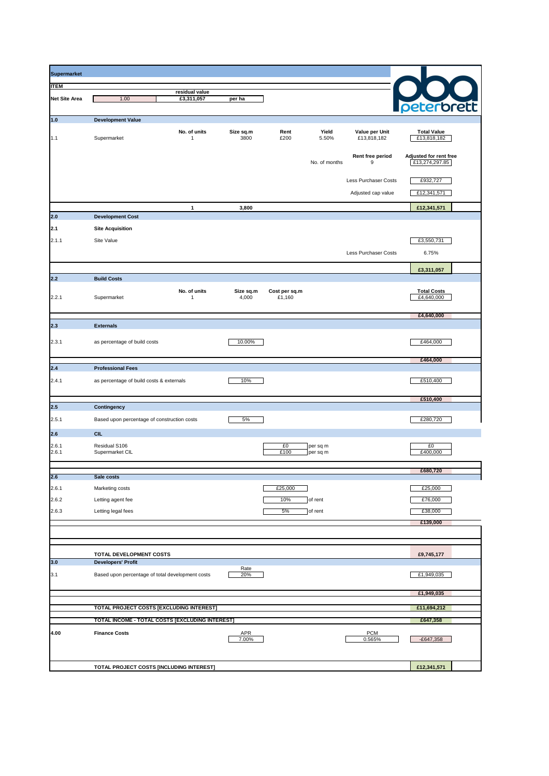| <b>Supermarket</b>   |                                                                               |                              |                    |                         |                      |                               |                                          |
|----------------------|-------------------------------------------------------------------------------|------------------------------|--------------------|-------------------------|----------------------|-------------------------------|------------------------------------------|
| <b>ITEM</b>          |                                                                               | residual value               |                    |                         |                      |                               |                                          |
| <b>Net Site Area</b> | 1.00                                                                          | £3,311,057                   | per ha             |                         |                      |                               | peterbrett                               |
| $1.0$                | <b>Development Value</b>                                                      |                              |                    |                         |                      |                               |                                          |
| 1.1                  | Supermarket                                                                   | No. of units<br>$\mathbf{1}$ | Size sq.m<br>3800  | Rent<br>£200            | Yield<br>5.50%       | Value per Unit<br>£13,818,182 | <b>Total Value</b><br>£13,818,182        |
|                      |                                                                               |                              |                    |                         | No. of months        | Rent free period<br>9         | Adjusted for rent free<br>£13,274,297.85 |
|                      |                                                                               |                              |                    |                         |                      | Less Purchaser Costs          | £932,727                                 |
|                      |                                                                               |                              |                    |                         |                      | Adjusted cap value            | £12,341,571                              |
|                      |                                                                               | $\mathbf{1}$                 | 3,800              |                         |                      |                               | £12,341,571                              |
| 2.0                  | <b>Development Cost</b>                                                       |                              |                    |                         |                      |                               |                                          |
| 2.1                  | <b>Site Acquisition</b>                                                       |                              |                    |                         |                      |                               |                                          |
| 2.1.1                | Site Value                                                                    |                              |                    |                         |                      |                               | £3,550,731                               |
|                      |                                                                               |                              |                    |                         |                      | Less Purchaser Costs          | 6.75%                                    |
|                      |                                                                               |                              |                    |                         |                      |                               | £3,311,057                               |
| 2.2                  | <b>Build Costs</b>                                                            |                              |                    |                         |                      |                               |                                          |
| 2.2.1                | Supermarket                                                                   | No. of units<br>$\mathbf{1}$ | Size sq.m<br>4,000 | Cost per sq.m<br>£1,160 |                      |                               | <b>Total Costs</b><br>£4,640,000         |
|                      |                                                                               |                              |                    |                         |                      |                               | £4,640,000                               |
| 2.3                  | <b>Externals</b>                                                              |                              |                    |                         |                      |                               |                                          |
| 2.3.1                | as percentage of build costs                                                  |                              | 10.00%             |                         |                      |                               | £464,000                                 |
| 2.4                  | <b>Professional Fees</b>                                                      |                              |                    |                         |                      |                               | £464,000                                 |
| 2.4.1                | as percentage of build costs & externals                                      |                              | 10%                |                         |                      |                               | £510,400                                 |
|                      |                                                                               |                              |                    |                         |                      |                               | £510,400                                 |
| 2.5                  | Contingency                                                                   |                              |                    |                         |                      |                               |                                          |
| 2.5.1                | Based upon percentage of construction costs                                   |                              | 5%                 |                         |                      |                               | £280,720                                 |
| 2.6                  | <b>CIL</b>                                                                    |                              |                    |                         |                      |                               |                                          |
| 2.6.1<br>2.6.1       | Residual S106<br>Supermarket CIL                                              |                              |                    | £0<br>£100              | per sq m<br>per sq m |                               | £0<br>£400,000                           |
|                      |                                                                               |                              |                    |                         |                      |                               | £680,720                                 |
| 2.6                  | Sale costs                                                                    |                              |                    |                         |                      |                               |                                          |
| 2.6.1<br>2.6.2       | Marketing costs                                                               |                              |                    | £25,000                 | of rent              |                               | £25,000<br>£76,000                       |
| 2.6.3                | Letting agent fee<br>Letting legal fees                                       |                              |                    | 10%<br>5%               | of rent              |                               | £38,000                                  |
|                      |                                                                               |                              |                    |                         |                      |                               | £139,000                                 |
|                      |                                                                               |                              |                    |                         |                      |                               |                                          |
|                      |                                                                               |                              |                    |                         |                      |                               |                                          |
|                      | TOTAL DEVELOPMENT COSTS                                                       |                              |                    |                         |                      |                               | £9,745,177                               |
| 3.0                  | <b>Developers' Profit</b><br>Based upon percentage of total development costs |                              | Rate               |                         |                      |                               | £1,949,035                               |
| 3.1                  |                                                                               |                              | 20%                |                         |                      |                               | £1,949,035                               |
|                      |                                                                               |                              |                    |                         |                      |                               |                                          |
|                      | <b>TOTAL PROJECT COSTS [EXCLUDING INTEREST]</b>                               |                              |                    |                         |                      |                               | £11,694,212                              |
|                      | TOTAL INCOME - TOTAL COSTS [EXCLUDING INTEREST]                               |                              |                    |                         |                      |                               | £647,358                                 |
| 4.00                 | <b>Finance Costs</b>                                                          |                              | APR<br>7.00%       |                         |                      | <b>PCM</b><br>0.565%          | $-E647,358$                              |
|                      | TOTAL PROJECT COSTS [INCLUDING INTEREST]                                      |                              |                    |                         |                      |                               | £12,341,571                              |
|                      |                                                                               |                              |                    |                         |                      |                               |                                          |